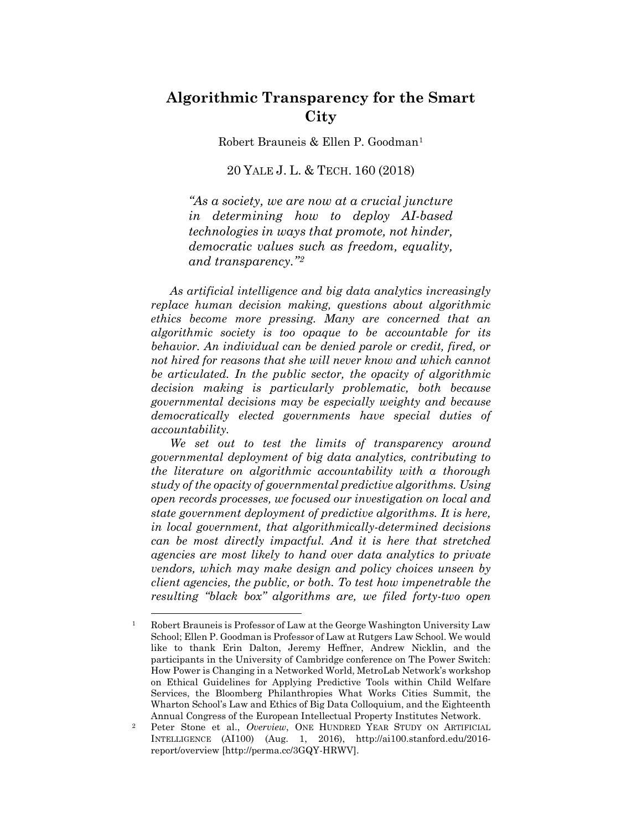# **Algorithmic Transparency for the Smart City**

Robert Brauneis & Ellen P. Goodman[1](#page-0-0)

20 YALE J. L. & TECH. 160 (2018)

*"As a society, we are now at a crucial juncture in determining how to deploy AI-based technologies in ways that promote, not hinder, democratic values such as freedom, equality, and transparency."[2](#page-0-1)*

*As artificial intelligence and big data analytics increasingly replace human decision making, questions about algorithmic ethics become more pressing. Many are concerned that an algorithmic society is too opaque to be accountable for its behavior. An individual can be denied parole or credit, fired, or not hired for reasons that she will never know and which cannot be articulated. In the public sector, the opacity of algorithmic decision making is particularly problematic, both because governmental decisions may be especially weighty and because democratically elected governments have special duties of accountability.*

*We set out to test the limits of transparency around governmental deployment of big data analytics, contributing to the literature on algorithmic accountability with a thorough study of the opacity of governmental predictive algorithms. Using open records processes, we focused our investigation on local and state government deployment of predictive algorithms. It is here, in local government, that algorithmically-determined decisions can be most directly impactful. And it is here that stretched agencies are most likely to hand over data analytics to private vendors, which may make design and policy choices unseen by client agencies, the public, or both. To test how impenetrable the resulting "black box" algorithms are, we filed forty-two open* 

<span id="page-0-0"></span><sup>&</sup>lt;sup>1</sup> Robert Brauneis is Professor of Law at the George Washington University Law School; Ellen P. Goodman is Professor of Law at Rutgers Law School. We would like to thank Erin Dalton, Jeremy Heffner, Andrew Nicklin, and the participants in the University of Cambridge conference on The Power Switch: How Power is Changing in a Networked World, MetroLab Network's workshop on Ethical Guidelines for Applying Predictive Tools within Child Welfare Services, the Bloomberg Philanthropies What Works Cities Summit, the Wharton School's Law and Ethics of Big Data Colloquium, and the Eighteenth Annual Congress of the European Intellectual Property Institutes Network.

<span id="page-0-1"></span><sup>2</sup> Peter Stone et al., *Overview*, ONE HUNDRED YEAR STUDY ON ARTIFICIAL INTELLIGENCE (AI100) (Aug. 1, 2016), http://ai100.stanford.edu/2016 report/overview [http://perma.cc/3GQY-HRWV].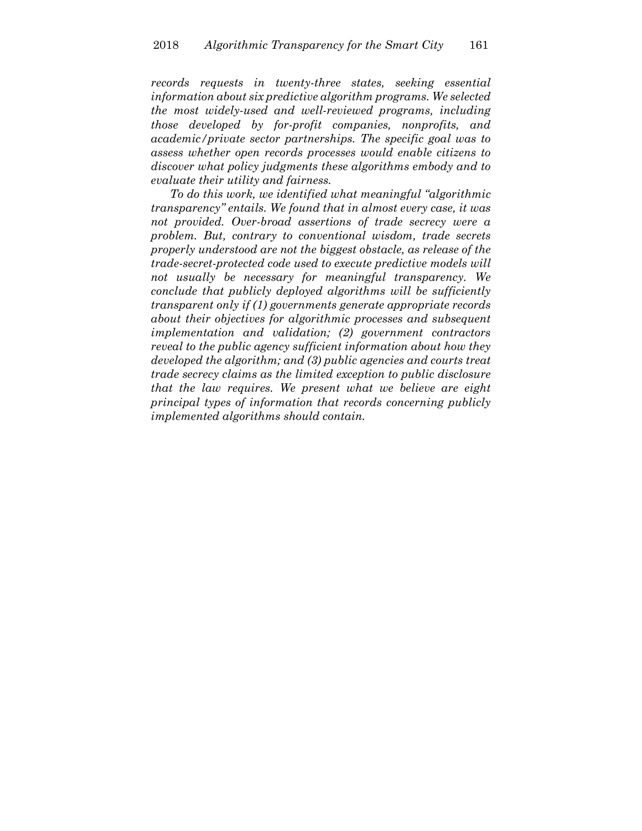*records requests in twenty-three states, seeking essential information about six predictive algorithm programs. We selected the most widely-used and well-reviewed programs, including those developed by for-profit companies, nonprofits, and academic/private sector partnerships. The specific goal was to assess whether open records processes would enable citizens to discover what policy judgments these algorithms embody and to evaluate their utility and fairness.*

*To do this work, we identified what meaningful "algorithmic transparency" entails. We found that in almost every case, it was not provided. Over-broad assertions of trade secrecy were a problem. But, contrary to conventional wisdom, trade secrets properly understood are not the biggest obstacle, as release of the trade-secret-protected code used to execute predictive models will not usually be necessary for meaningful transparency. We conclude that publicly deployed algorithms will be sufficiently transparent only if (1) governments generate appropriate records about their objectives for algorithmic processes and subsequent implementation and validation; (2) government contractors reveal to the public agency sufficient information about how they developed the algorithm; and (3) public agencies and courts treat trade secrecy claims as the limited exception to public disclosure that the law requires. We present what we believe are eight principal types of information that records concerning publicly implemented algorithms should contain.*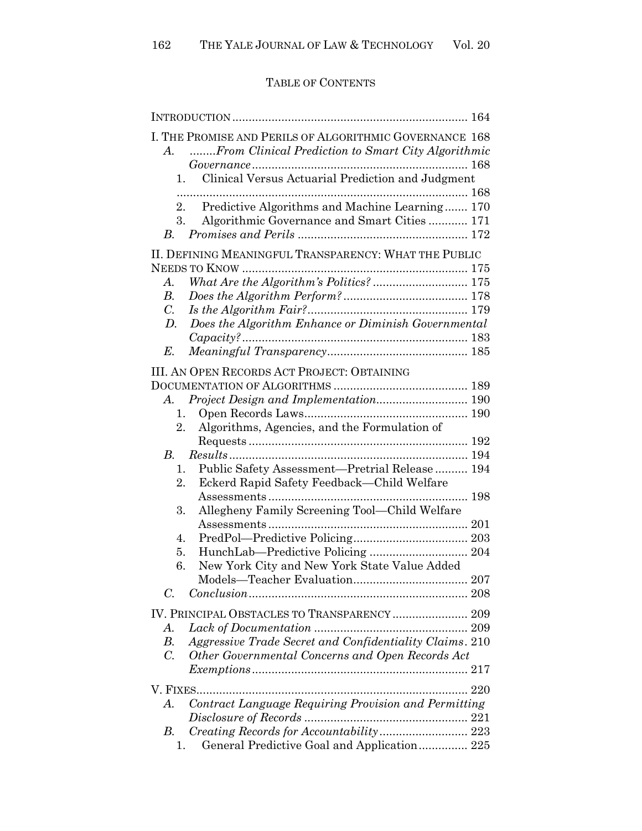# TABLE OF CONTENTS

| I. THE PROMISE AND PERILS OF ALGORITHMIC GOVERNANCE 168<br>From Clinical Prediction to Smart City Algorithmic<br>А. |
|---------------------------------------------------------------------------------------------------------------------|
| Clinical Versus Actuarial Prediction and Judgment<br>1.                                                             |
| Predictive Algorithms and Machine Learning 170<br>2.<br>3.<br>Algorithmic Governance and Smart Cities 171<br>B.     |
| II. DEFINING MEANINGFUL TRANSPARENCY: WHAT THE PUBLIC                                                               |
| А.                                                                                                                  |
| $B_{\cdot}$                                                                                                         |
| $C_{\cdot}$                                                                                                         |
| Does the Algorithm Enhance or Diminish Governmental<br>D.                                                           |
|                                                                                                                     |
| Е.                                                                                                                  |
| <b>III. AN OPEN RECORDS ACT PROJECT: OBTAINING</b>                                                                  |
|                                                                                                                     |
| А.                                                                                                                  |
| 1.                                                                                                                  |
| Algorithms, Agencies, and the Formulation of<br>2.                                                                  |
|                                                                                                                     |
| B.                                                                                                                  |
| Public Safety Assessment-Pretrial Release  194<br>1.                                                                |
| Eckerd Rapid Safety Feedback-Child Welfare<br>2.                                                                    |
|                                                                                                                     |
| Allegheny Family Screening Tool-Child Welfare<br>3.                                                                 |
|                                                                                                                     |
| 4.                                                                                                                  |
| 5.                                                                                                                  |
| New York City and New York State Value Added<br>6.                                                                  |
| $C_{\cdot}$                                                                                                         |
|                                                                                                                     |
| IV. PRINCIPAL OBSTACLES TO TRANSPARENCY 209                                                                         |
| А.                                                                                                                  |
| Aggressive Trade Secret and Confidentiality Claims. 210<br>В.                                                       |
| $C_{\cdot}$<br>Other Governmental Concerns and Open Records Act                                                     |
|                                                                                                                     |
|                                                                                                                     |
| Contract Language Requiring Provision and Permitting<br>А.                                                          |
|                                                                                                                     |
| Creating Records for Accountability 223<br>В.                                                                       |
| General Predictive Goal and Application 225<br>1.                                                                   |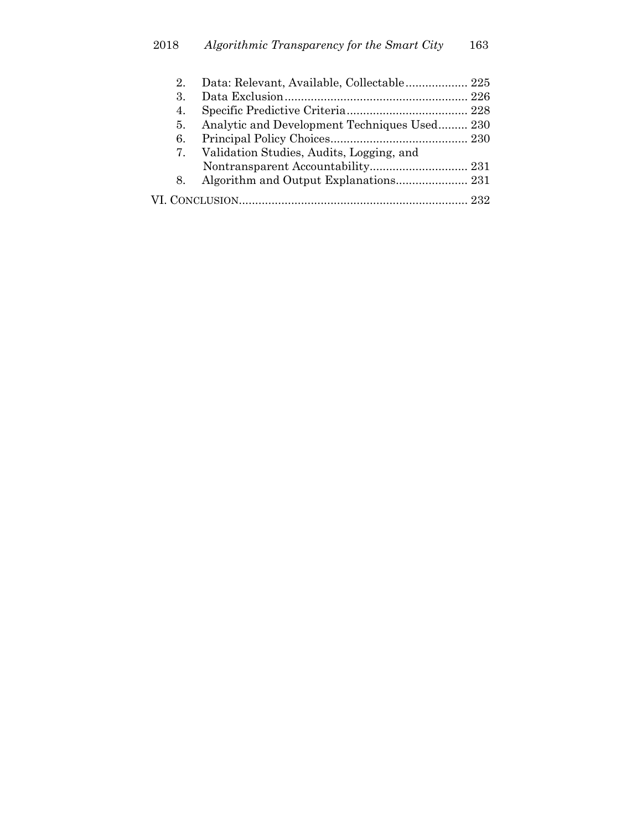| $2_{-}$ | Data: Relevant, Available, Collectable 225   |  |
|---------|----------------------------------------------|--|
| 3.      |                                              |  |
| 4.      |                                              |  |
| 5.      | Analytic and Development Techniques Used 230 |  |
| 6.      |                                              |  |
| 7.      | Validation Studies, Audits, Logging, and     |  |
|         |                                              |  |
| 8.      |                                              |  |
|         |                                              |  |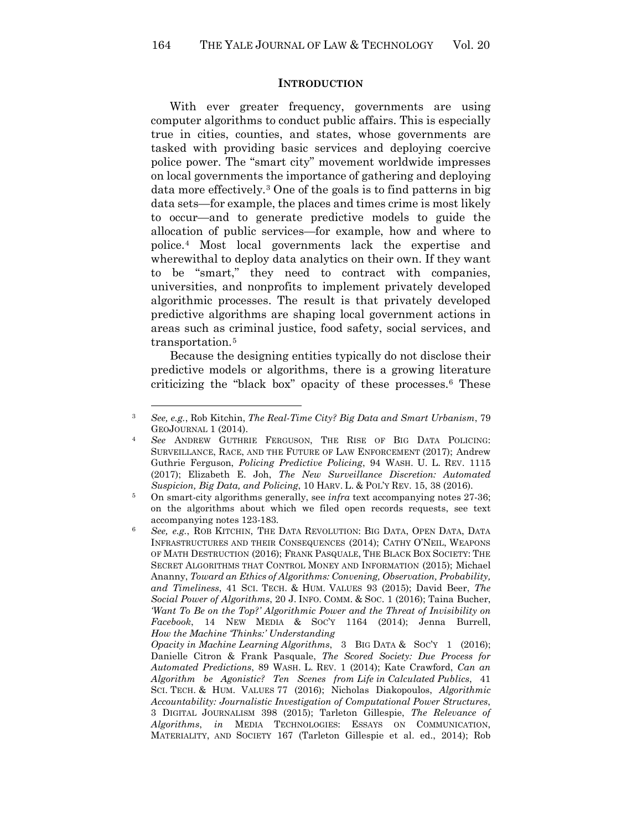#### **INTRODUCTION**

With ever greater frequency, governments are using computer algorithms to conduct public affairs. This is especially true in cities, counties, and states, whose governments are tasked with providing basic services and deploying coercive police power. The "smart city" movement worldwide impresses on local governments the importance of gathering and deploying data more effectively.[3](#page-4-0) One of the goals is to find patterns in big data sets—for example, the places and times crime is most likely to occur—and to generate predictive models to guide the allocation of public services—for example, how and where to police.[4](#page-4-1) Most local governments lack the expertise and wherewithal to deploy data analytics on their own. If they want to be "smart," they need to contract with companies, universities, and nonprofits to implement privately developed algorithmic processes. The result is that privately developed predictive algorithms are shaping local government actions in areas such as criminal justice, food safety, social services, and transportation.<sup>[5](#page-4-2)</sup>

<span id="page-4-5"></span><span id="page-4-4"></span>Because the designing entities typically do not disclose their predictive models or algorithms, there is a growing literature criticizing the "black box" opacity of these processes.[6](#page-4-3) These

<span id="page-4-1"></span><span id="page-4-0"></span><sup>3</sup> *See, e.g.*, Rob Kitchin, *The Real-Time City? Big Data and Smart Urbanism*, 79 GEOJOURNAL 1 (2014). 4 *See* ANDREW GUTHRIE FERGUSON, THE RISE OF BIG DATA POLICING:

SURVEILLANCE, RACE, AND THE FUTURE OF LAW ENFORCEMENT (2017); Andrew Guthrie Ferguson, *Policing Predictive Policing*, 94 WASH. U. L. REV. 1115 (2017); Elizabeth E. Joh, *The New Surveillance Discretion: Automated Suspicion, Big Data, and Policing*, 10 HARV. L. & POL'Y REV. 15, 38 (2016).

<span id="page-4-2"></span><sup>5</sup> On smart-city algorithms generally, see *infra* text accompanying notes [27](#page-11-0)[-36;](#page-12-0) on the algorithms about which we filed open records requests, see text accompanying notes [123](#page-34-0)[-183](#page-48-0)*.*

<span id="page-4-3"></span><sup>6</sup> *See, e.g.*, ROB KITCHIN, THE DATA REVOLUTION: BIG DATA, OPEN DATA, DATA INFRASTRUCTURES AND THEIR CONSEQUENCES (2014); CATHY O'NEIL, WEAPONS OF MATH DESTRUCTION (2016); FRANK PASQUALE, THE BLACK BOX SOCIETY: THE SECRET ALGORITHMS THAT CONTROL MONEY AND INFORMATION (2015); Michael Ananny, *Toward an Ethics of Algorithms: Convening, Observation, Probability, and Timeliness*, 41 SCI. TECH. & HUM. VALUES 93 (2015); David Beer, *The Social Power of Algorithms*, 20 J. INFO. COMM. & SOC. 1 (2016); Taina Bucher, *'Want To Be on the Top?' Algorithmic Power and the Threat of Invisibility on Facebook*, 14 NEW MEDIA & SOC'Y 1164 (2014); Jenna Burrell, *How the Machine 'Thinks:' Understanding* 

*Opacity in Machine Learning Algorithms*, 3 BIG DATA & SOC'Y 1 (2016); Danielle Citron & Frank Pasquale, *The Scored Society: Due Process for Automated Predictions*, 89 WASH. L. REV. 1 (2014); Kate Crawford, *Can an Algorithm be Agonistic? Ten Scenes from Life in Calculated Publics*, 41 SCI. TECH. & HUM. VALUES 77 (2016); Nicholas Diakopoulos, *Algorithmic Accountability: Journalistic Investigation of Computational Power Structures*, 3 DIGITAL JOURNALISM 398 (2015); Tarleton Gillespie, *The Relevance of Algorithms*, *in* MEDIA TECHNOLOGIES: ESSAYS ON COMMUNICATION, MATERIALITY, AND SOCIETY 167 (Tarleton Gillespie et al. ed., 2014); Rob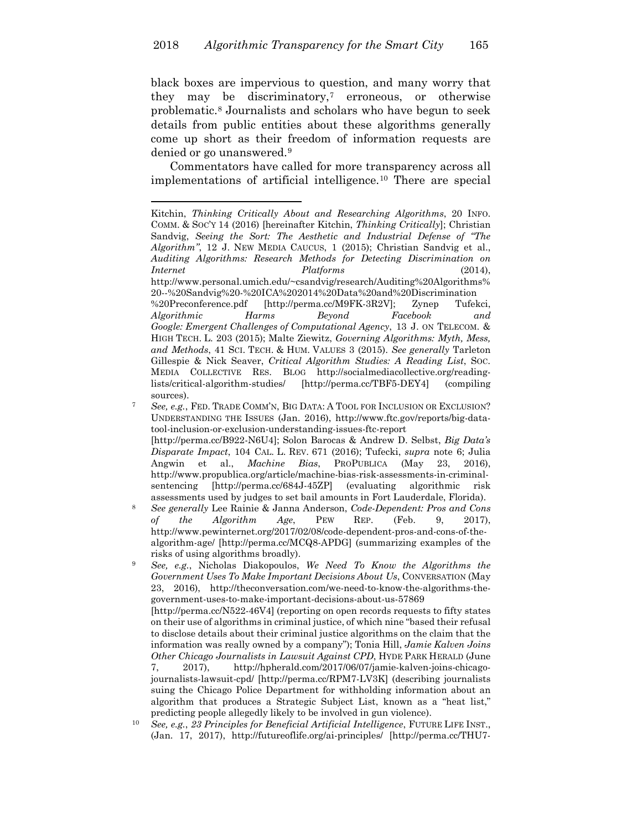<span id="page-5-4"></span>black boxes are impervious to question, and many worry that they may be discriminatory,[7](#page-5-0) erroneous, or otherwise problematic.[8](#page-5-1) Journalists and scholars who have begun to seek details from public entities about these algorithms generally come up short as their freedom of information requests are denied or go unanswered[.9](#page-5-2)

Commentators have called for more transparency across all implementations of artificial intelligence.[10](#page-5-3) There are special

Kitchin, *Thinking Critically About and Researching Algorithms*, 20 INFO. COMM. & SOC'Y 14 (2016) [hereinafter Kitchin, *Thinking Critically*]; Christian Sandvig, *Seeing the Sort: The Aesthetic and Industrial Defense of "The Algorithm"*, 12 J. NEW MEDIA CAUCUS, 1 (2015); Christian Sandvig et al., *Auditing Algorithms: Research Methods for Detecting Discrimination on Internet Platforms* (2014), http://www.personal.umich.edu/~csandvig/research/Auditing%20Algorithms% 20--%20Sandvig%20-%20ICA%202014%20Data%20and%20Discrimination %20Preconference.pdf [http://perma.cc/M9FK-3R2V]; Zynep Tufekci, *Algorithmic Harms Beyond Facebook and Google: Emergent Challenges of Computational Agency*, 13 J. ON TELECOM. & HIGH TECH. L. 203 (2015); Malte Ziewitz, *Governing Algorithms: Myth, Mess, and Methods*, 41 SCI. TECH. & HUM. VALUES 3 (2015). *See generally* Tarleton Gillespie & Nick Seaver, *Critical Algorithm Studies: A Reading List*, SOC. MEDIA COLLECTIVE RES. BLOG http://socialmediacollective.org/readinglists/critical-algorithm-studies/ [http://perma.cc/TBF5-DEY4] (compiling sources).

<span id="page-5-0"></span><sup>7</sup> *See, e.g.*, FED. TRADE COMM'N, BIG DATA: A TOOL FOR INCLUSION OR EXCLUSION? UNDERSTANDING THE ISSUES (Jan. 2016), http://www.ftc.gov/reports/big-datatool-inclusion-or-exclusion-understanding-issues-ftc-report [http://perma.cc/B922-N6U4]; Solon Barocas & Andrew D. Selbst, *Big Data's Disparate Impact*, 104 CAL. L. REV. 671 (2016); Tufecki, *supra* note [6;](#page-4-4) Julia Angwin et al., *Machine Bias*, PROPUBLICA (May 23, 2016), http://www.propublica.org/article/machine-bias-risk-assessments-in-criminal-

sentencing [http://perma.cc/684J-45ZP] (evaluating algorithmic risk assessments used by judges to set bail amounts in Fort Lauderdale, Florida). 8 *See generally* Lee Rainie & Janna Anderson, *Code-Dependent: Pros and Cons* 

<span id="page-5-1"></span>*of the Algorithm Age*, PEW REP. (Feb. 9, 2017), http://www.pewinternet.org/2017/02/08/code-dependent-pros-and-cons-of-thealgorithm-age/ [http://perma.cc/MCQ8-APDG] (summarizing examples of the risks of using algorithms broadly).

<span id="page-5-2"></span><sup>9</sup> *See, e.g.*, Nicholas Diakopoulos, *We Need To Know the Algorithms the Government Uses To Make Important Decisions About Us*, CONVERSATION (May 23, 2016), http://theconversation.com/we-need-to-know-the-algorithms-thegovernment-uses-to-make-important-decisions-about-us-57869 [http://perma.cc/N522-46V4] (reporting on open records requests to fifty states on their use of algorithms in criminal justice, of which nine "based their refusal to disclose details about their criminal justice algorithms on the claim that the information was really owned by a company"); Tonia Hill, *Jamie Kalven Joins Other Chicago Journalists in Lawsuit Against CPD*, HYDE PARK HERALD (June 7, 2017), http://hpherald.com/2017/06/07/jamie-kalven-joins-chicagojournalists-lawsuit-cpd/ [http://perma.cc/RPM7-LV3K] (describing journalists suing the Chicago Police Department for withholding information about an algorithm that produces a Strategic Subject List, known as a "heat list," predicting people allegedly likely to be involved in gun violence).

<span id="page-5-3"></span><sup>10</sup> *See, e.g.*, *23 Principles for Beneficial Artificial Intelligence*, FUTURE LIFE INST., (Jan. 17, 2017), http://futureoflife.org/ai-principles/ [http://perma.cc/THU7-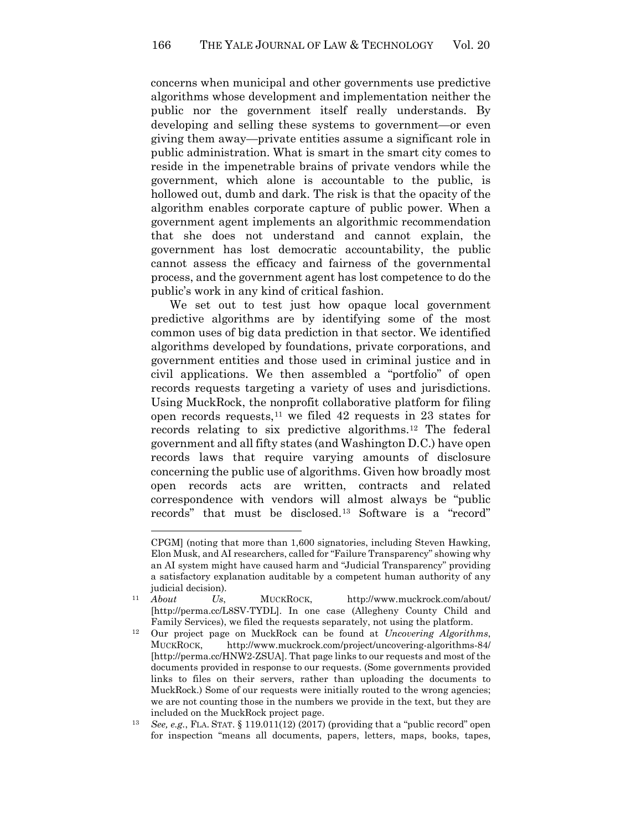concerns when municipal and other governments use predictive algorithms whose development and implementation neither the public nor the government itself really understands. By developing and selling these systems to government—or even giving them away—private entities assume a significant role in public administration. What is smart in the smart city comes to reside in the impenetrable brains of private vendors while the government, which alone is accountable to the public, is hollowed out, dumb and dark. The risk is that the opacity of the algorithm enables corporate capture of public power. When a government agent implements an algorithmic recommendation that she does not understand and cannot explain, the government has lost democratic accountability, the public cannot assess the efficacy and fairness of the governmental process, and the government agent has lost competence to do the public's work in any kind of critical fashion.

We set out to test just how opaque local government predictive algorithms are by identifying some of the most common uses of big data prediction in that sector. We identified algorithms developed by foundations, private corporations, and government entities and those used in criminal justice and in civil applications. We then assembled a "portfolio" of open records requests targeting a variety of uses and jurisdictions. Using MuckRock, the nonprofit collaborative platform for filing open records requests,<sup>[11](#page-6-0)</sup> we filed 42 requests in 23 states for records relating to six predictive algorithms.[12](#page-6-1) The federal government and all fifty states (and Washington D.C.) have open records laws that require varying amounts of disclosure concerning the public use of algorithms. Given how broadly most open records acts are written, contracts and related correspondence with vendors will almost always be "public records" that must be disclosed.[13](#page-6-2) Software is a "record"

CPGM] (noting that more than 1,600 signatories, including Steven Hawking, Elon Musk, and AI researchers, called for "Failure Transparency" showing why an AI system might have caused harm and "Judicial Transparency" providing a satisfactory explanation auditable by a competent human authority of any judicial decision).

<span id="page-6-0"></span><sup>11</sup> *About Us*, MUCKROCK, http://www.muckrock.com/about/ [http://perma.cc/L8SV-TYDL]. In one case (Allegheny County Child and Family Services), we filed the requests separately, not using the platform.

<span id="page-6-1"></span><sup>12</sup> Our project page on MuckRock can be found at *Uncovering Algorithms*, MUCKROCK, http://www.muckrock.com/project/uncovering-algorithms-84/ [http://perma.cc/HNW2-ZSUA]. That page links to our requests and most of the documents provided in response to our requests. (Some governments provided links to files on their servers, rather than uploading the documents to MuckRock.) Some of our requests were initially routed to the wrong agencies; we are not counting those in the numbers we provide in the text, but they are included on the MuckRock project page.

<span id="page-6-2"></span><sup>13</sup> *See, e.g.*, FLA. STAT. § 119.011(12) (2017) (providing that a "public record" open for inspection "means all documents, papers, letters, maps, books, tapes,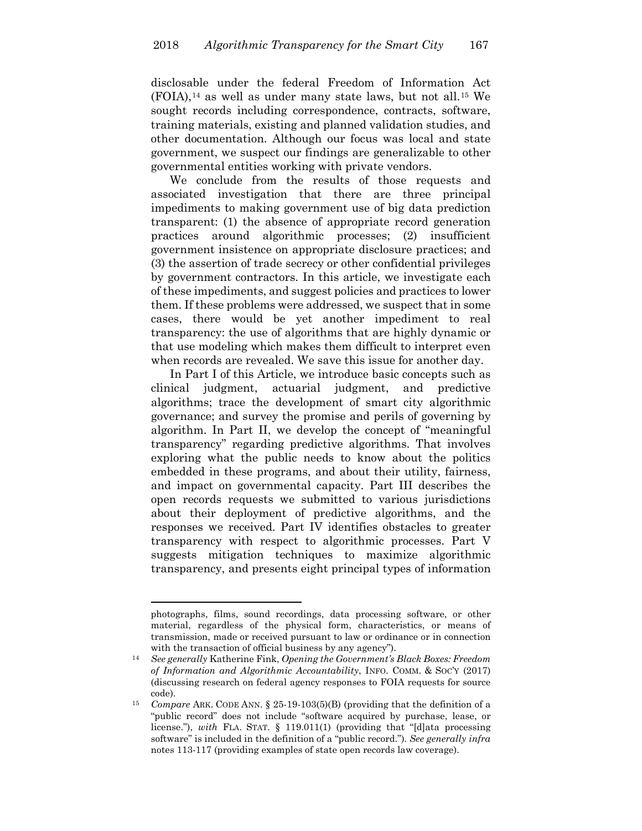disclosable under the federal Freedom of Information Act  $(FOIA)$ ,<sup>[14](#page-7-0)</sup> as well as under many state laws, but not all.<sup>15</sup> We sought records including correspondence, contracts, software, training materials, existing and planned validation studies, and other documentation. Although our focus was local and state government, we suspect our findings are generalizable to other governmental entities working with private vendors.

We conclude from the results of those requests and associated investigation that there are three principal impediments to making government use of big data prediction transparent: (1) the absence of appropriate record generation practices around algorithmic processes; (2) insufficient government insistence on appropriate disclosure practices; and (3) the assertion of trade secrecy or other confidential privileges by government contractors. In this article, we investigate each of these impediments, and suggest policies and practices to lower them. If these problems were addressed, we suspect that in some cases, there would be yet another impediment to real transparency: the use of algorithms that are highly dynamic or that use modeling which makes them difficult to interpret even when records are revealed. We save this issue for another day.

In Part I of this Article, we introduce basic concepts such as clinical judgment, actuarial judgment, and predictive algorithms; trace the development of smart city algorithmic governance; and survey the promise and perils of governing by algorithm. In Part II, we develop the concept of "meaningful transparency" regarding predictive algorithms. That involves exploring what the public needs to know about the politics embedded in these programs, and about their utility, fairness, and impact on governmental capacity. Part III describes the open records requests we submitted to various jurisdictions about their deployment of predictive algorithms, and the responses we received. Part IV identifies obstacles to greater transparency with respect to algorithmic processes. Part V suggests mitigation techniques to maximize algorithmic transparency, and presents eight principal types of information

photographs, films, sound recordings, data processing software, or other material, regardless of the physical form, characteristics, or means of transmission, made or received pursuant to law or ordinance or in connection with the transaction of official business by any agency".

<span id="page-7-0"></span><sup>14</sup> *See generally* Katherine Fink, *Opening the Government's Black Boxes: Freedom of Information and Algorithmic Accountability*, INFO. COMM. & SOC'Y (2017) (discussing research on federal agency responses to FOIA requests for source code).

<span id="page-7-1"></span><sup>15</sup> *Compare* ARK. CODE ANN. § 25-19-103(5)(B) (providing that the definition of a "public record" does not include "software acquired by purchase, lease, or license."), *with* FLA. STAT. § 119.011(1) (providing that "[d]ata processing software" is included in the definition of a "public record."). *See generally infra* note[s 113](#page-31-0)[-117](#page-32-0) (providing examples of state open records law coverage).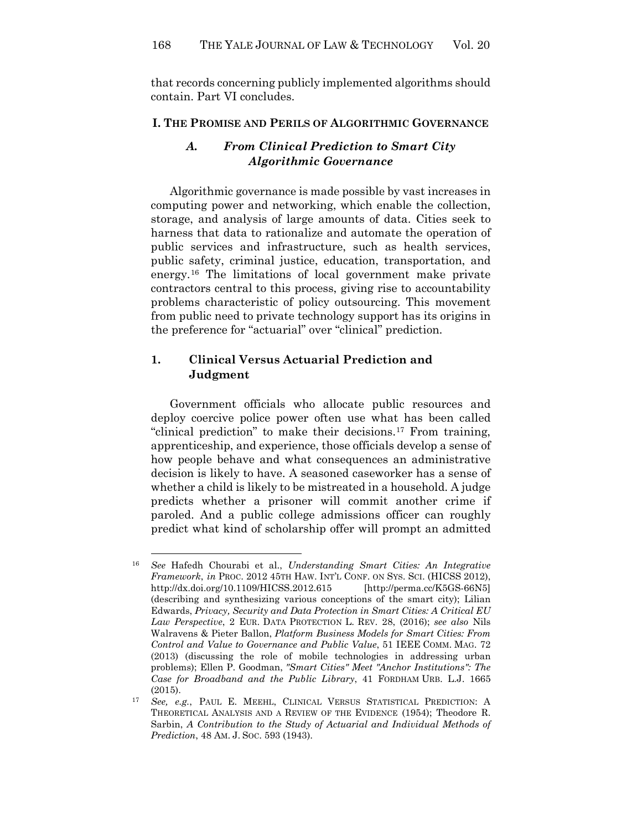that records concerning publicly implemented algorithms should contain. Part VI concludes.

#### **I. THE PROMISE AND PERILS OF ALGORITHMIC GOVERNANCE**

### *A. From Clinical Prediction to Smart City Algorithmic Governance*

<span id="page-8-3"></span>Algorithmic governance is made possible by vast increases in computing power and networking, which enable the collection, storage, and analysis of large amounts of data. Cities seek to harness that data to rationalize and automate the operation of public services and infrastructure, such as health services, public safety, criminal justice, education, transportation, and energy.[16](#page-8-0) The limitations of local government make private contractors central to this process, giving rise to accountability problems characteristic of policy outsourcing. This movement from public need to private technology support has its origins in the preference for "actuarial" over "clinical" prediction.

# **1. Clinical Versus Actuarial Prediction and Judgment**

<span id="page-8-2"></span>Government officials who allocate public resources and deploy coercive police power often use what has been called "clinical prediction" to make their decisions.[17](#page-8-1) From training, apprenticeship, and experience, those officials develop a sense of how people behave and what consequences an administrative decision is likely to have. A seasoned caseworker has a sense of whether a child is likely to be mistreated in a household. A judge predicts whether a prisoner will commit another crime if paroled. And a public college admissions officer can roughly predict what kind of scholarship offer will prompt an admitted

<span id="page-8-0"></span> $\overline{a}$ <sup>16</sup> *See* Hafedh Chourabi et al., *Understanding Smart Cities: An Integrative Framework*, *in* PROC. 2012 45TH HAW. INT'L CONF. ON SYS. SCI. (HICSS 2012), http://dx.doi.org/10.1109/HICSS.2012.615 [http://perma.cc/K5GS-66N5] (describing and synthesizing various conceptions of the smart city); Lilian Edwards, *Privacy, Security and Data Protection in Smart Cities: A Critical EU Law Perspective*, 2 EUR. DATA PROTECTION L. REV. 28, (2016); *see also* Nils Walravens & Pieter Ballon, *Platform Business Models for Smart Cities: From Control and Value to Governance and Public Value*, 51 IEEE COMM. MAG. 72 (2013) (discussing the role of mobile technologies in addressing urban problems); Ellen P. Goodman, *"Smart Cities" Meet "Anchor Institutions": The Case for Broadband and the Public Library*, 41 FORDHAM URB. L.J. 1665 (2015).

<span id="page-8-1"></span><sup>17</sup> *See, e.g.*, PAUL E. MEEHL, CLINICAL VERSUS STATISTICAL PREDICTION: A THEORETICAL ANALYSIS AND A REVIEW OF THE EVIDENCE (1954); Theodore R. Sarbin, *A Contribution to the Study of Actuarial and Individual Methods of Prediction*, 48 AM. J. SOC. 593 (1943).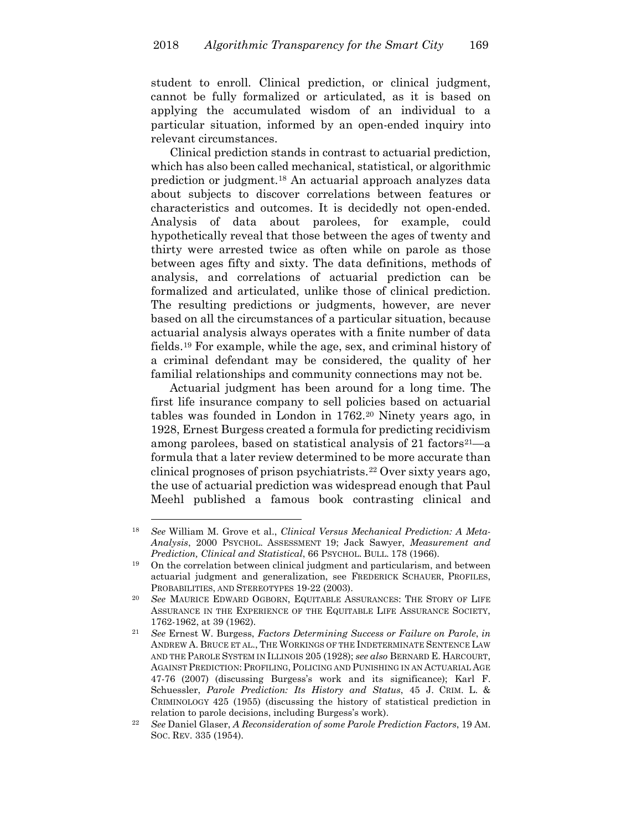student to enroll. Clinical prediction, or clinical judgment, cannot be fully formalized or articulated, as it is based on applying the accumulated wisdom of an individual to a particular situation, informed by an open-ended inquiry into relevant circumstances.

<span id="page-9-5"></span>Clinical prediction stands in contrast to actuarial prediction, which has also been called mechanical, statistical, or algorithmic prediction or judgment.[18](#page-9-0) An actuarial approach analyzes data about subjects to discover correlations between features or characteristics and outcomes. It is decidedly not open-ended. Analysis of data about parolees, for example, could hypothetically reveal that those between the ages of twenty and thirty were arrested twice as often while on parole as those between ages fifty and sixty. The data definitions, methods of analysis, and correlations of actuarial prediction can be formalized and articulated, unlike those of clinical prediction. The resulting predictions or judgments, however, are never based on all the circumstances of a particular situation, because actuarial analysis always operates with a finite number of data fields.[19](#page-9-1) For example, while the age, sex, and criminal history of a criminal defendant may be considered, the quality of her familial relationships and community connections may not be.

Actuarial judgment has been around for a long time. The first life insurance company to sell policies based on actuarial tables was founded in London in 1762.[20](#page-9-2) Ninety years ago, in 1928, Ernest Burgess created a formula for predicting recidivism among parolees, based on statistical analysis of  $21$  factors<sup>21</sup>—a formula that a later review determined to be more accurate than clinical prognoses of prison psychiatrists.[22](#page-9-4) Over sixty years ago, the use of actuarial prediction was widespread enough that Paul Meehl published a famous book contrasting clinical and

<span id="page-9-0"></span><sup>18</sup> *See* William M. Grove et al., *Clinical Versus Mechanical Prediction: A Meta-Analysis*, 2000 PSYCHOL. ASSESSMENT 19; Jack Sawyer, *Measurement and Prediction, Clinical and Statistical*, 66 PSYCHOL. BULL. 178 (1966).

<span id="page-9-1"></span> $19$  On the correlation between clinical judgment and particularism, and between actuarial judgment and generalization, see FREDERICK SCHAUER, PROFILES, PROBABILITIES, AND STEREOTYPES 19-22 (2003).

<span id="page-9-2"></span><sup>20</sup> *See* MAURICE EDWARD OGBORN, EQUITABLE ASSURANCES: THE STORY OF LIFE ASSURANCE IN THE EXPERIENCE OF THE EQUITABLE LIFE ASSURANCE SOCIETY, 1762-1962, at 39 (1962).

<span id="page-9-3"></span><sup>21</sup> *See* Ernest W. Burgess, *Factors Determining Success or Failure on Parole*, *in* ANDREW A. BRUCE ET AL., THE WORKINGS OF THE INDETERMINATE SENTENCE LAW AND THE PAROLE SYSTEM IN ILLINOIS 205 (1928); *see also* BERNARD E. HARCOURT, AGAINST PREDICTION: PROFILING, POLICING AND PUNISHING IN AN ACTUARIAL AGE 47-76 (2007) (discussing Burgess's work and its significance); Karl F. Schuessler, *Parole Prediction: Its History and Status*, 45 J. CRIM. L. & CRIMINOLOGY 425 (1955) (discussing the history of statistical prediction in relation to parole decisions, including Burgess's work).

<span id="page-9-4"></span><sup>22</sup> *See* Daniel Glaser, *A Reconsideration of some Parole Prediction Factors*, 19 AM. SOC. REV. 335 (1954).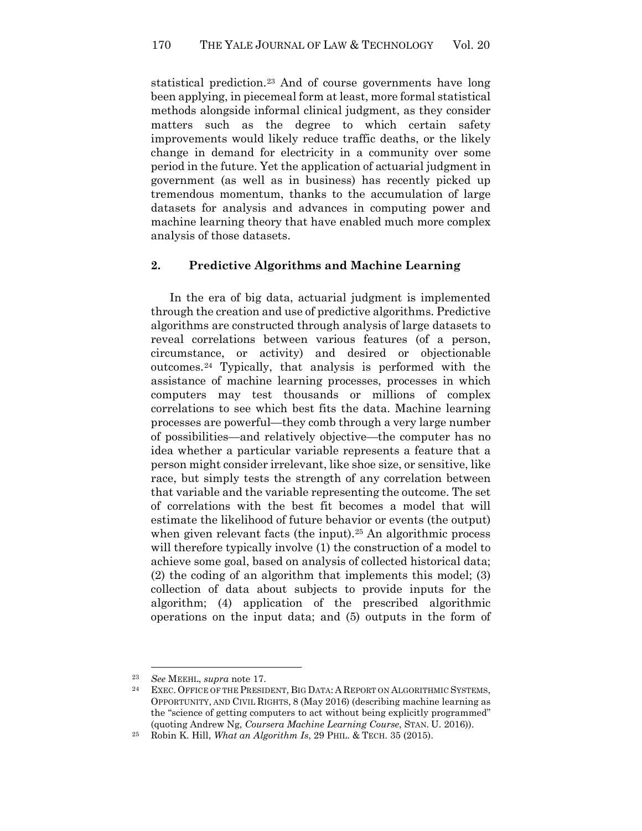statistical prediction.[23](#page-10-0) And of course governments have long been applying, in piecemeal form at least, more formal statistical methods alongside informal clinical judgment, as they consider matters such as the degree to which certain safety improvements would likely reduce traffic deaths, or the likely change in demand for electricity in a community over some period in the future. Yet the application of actuarial judgment in government (as well as in business) has recently picked up tremendous momentum, thanks to the accumulation of large datasets for analysis and advances in computing power and machine learning theory that have enabled much more complex analysis of those datasets.

#### **2. Predictive Algorithms and Machine Learning**

<span id="page-10-3"></span>In the era of big data, actuarial judgment is implemented through the creation and use of predictive algorithms. Predictive algorithms are constructed through analysis of large datasets to reveal correlations between various features (of a person, circumstance, or activity) and desired or objectionable outcomes.[24](#page-10-1) Typically, that analysis is performed with the assistance of machine learning processes, processes in which computers may test thousands or millions of complex correlations to see which best fits the data. Machine learning processes are powerful—they comb through a very large number of possibilities—and relatively objective—the computer has no idea whether a particular variable represents a feature that a person might consider irrelevant, like shoe size, or sensitive, like race, but simply tests the strength of any correlation between that variable and the variable representing the outcome. The set of correlations with the best fit becomes a model that will estimate the likelihood of future behavior or events (the output) when given relevant facts (the input).<sup>[25](#page-10-2)</sup> An algorithmic process will therefore typically involve (1) the construction of a model to achieve some goal, based on analysis of collected historical data; (2) the coding of an algorithm that implements this model; (3) collection of data about subjects to provide inputs for the algorithm; (4) application of the prescribed algorithmic operations on the input data; and (5) outputs in the form of

<sup>23</sup> *See* MEEHL, *supra* note [17.](#page-8-2)

<span id="page-10-1"></span><span id="page-10-0"></span><sup>&</sup>lt;sup>24</sup> EXEC. OFFICE OF THE PRESIDENT, BIG DATA: A REPORT ON ALGORITHMIC SYSTEMS. OPPORTUNITY, AND CIVIL RIGHTS, 8 (May 2016) (describing machine learning as the "science of getting computers to act without being explicitly programmed" (quoting Andrew Ng, *Coursera Machine Learning Course*, STAN. U. 2016)). 25 Robin K. Hill, *What an Algorithm Is*, 29 PHIL. & TECH. 35 (2015).

<span id="page-10-2"></span>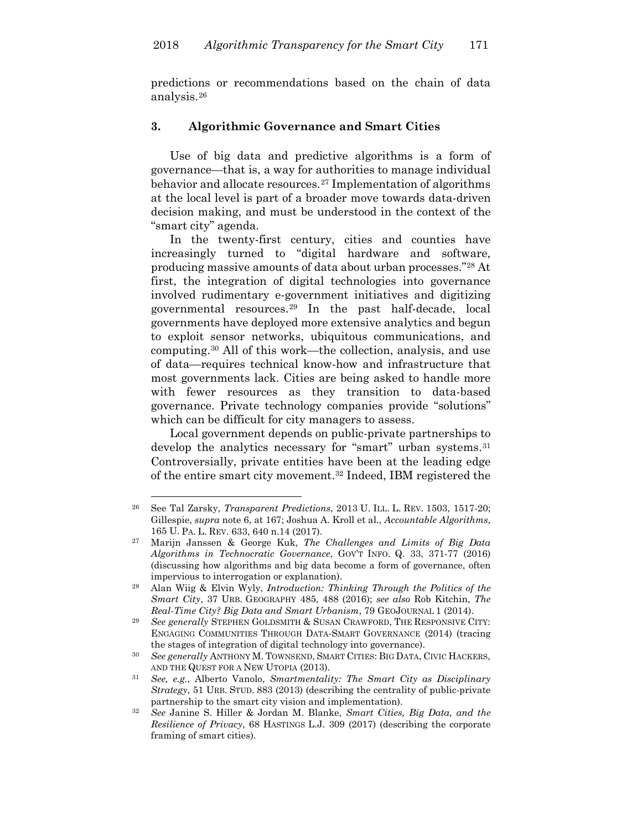<span id="page-11-8"></span>predictions or recommendations based on the chain of data analysis.[26](#page-11-1)

#### **3. Algorithmic Governance and Smart Cities**

<span id="page-11-0"></span>Use of big data and predictive algorithms is a form of governance—that is, a way for authorities to manage individual behavior and allocate resources.[27](#page-11-2) Implementation of algorithms at the local level is part of a broader move towards data-driven decision making, and must be understood in the context of the "smart city" agenda.

In the twenty-first century, cities and counties have increasingly turned to "digital hardware and software, producing massive amounts of data about urban processes."[28](#page-11-3) At first, the integration of digital technologies into governance involved rudimentary e-government initiatives and digitizing governmental resources.[29](#page-11-4) In the past half-decade, local governments have deployed more extensive analytics and begun to exploit sensor networks, ubiquitous communications, and computing.[30](#page-11-5) All of this work—the collection, analysis, and use of data—requires technical know-how and infrastructure that most governments lack. Cities are being asked to handle more with fewer resources as they transition to data-based governance. Private technology companies provide "solutions" which can be difficult for city managers to assess.

Local government depends on public-private partnerships to develop the analytics necessary for "smart" urban systems.<sup>[31](#page-11-6)</sup> Controversially, private entities have been at the leading edge of the entire smart city movement.[32](#page-11-7) Indeed, IBM registered the

<span id="page-11-1"></span><sup>26</sup> See Tal Zarsky, *Transparent Predictions*, 2013 U. ILL. L. REV. 1503, 1517-20; Gillespie, *supra* note [6,](#page-4-4) at 167; Joshua A. Kroll et al., *Accountable Algorithms*, 165 U. PA. L. REV. 633, 640 n.14 (2017).

<span id="page-11-2"></span><sup>27</sup> Marijn Janssen & George Kuk, *The Challenges and Limits of Big Data Algorithms in Technocratic Governance*, GOV'T INFO. Q. 33, 371-77 (2016) (discussing how algorithms and big data become a form of governance, often impervious to interrogation or explanation).

<span id="page-11-3"></span><sup>28</sup> Alan Wiig & Elvin Wyly, *Introduction: Thinking Through the Politics of the Smart City*, 37 URB. GEOGRAPHY 485, 488 (2016); *see also* Rob Kitchin, *The Real-Time City? Big Data and Smart Urbanism*, 79 GEOJOURNAL 1 (2014).

<span id="page-11-4"></span><sup>29</sup> *See generally* STEPHEN GOLDSMITH & SUSAN CRAWFORD, THE RESPONSIVE CITY: ENGAGING COMMUNITIES THROUGH DATA-SMART GOVERNANCE (2014) (tracing the stages of integration of digital technology into governance).

<span id="page-11-5"></span><sup>30</sup> *See generally* ANTHONY M. TOWNSEND, SMART CITIES: BIG DATA, CIVIC HACKERS, AND THE QUEST FOR A NEW UTOPIA (2013).

<span id="page-11-6"></span><sup>31</sup> *See, e.g.*, Alberto Vanolo, *Smartmentality: The Smart City as Disciplinary Strategy*, 51 URB. STUD. 883 (2013) (describing the centrality of public-private partnership to the smart city vision and implementation).

<span id="page-11-7"></span><sup>32</sup> *See* Janine S. Hiller & Jordan M. Blanke, *Smart Cities, Big Data, and the Resilience of Privacy*, 68 HASTINGS L.J. 309 (2017) (describing the corporate framing of smart cities).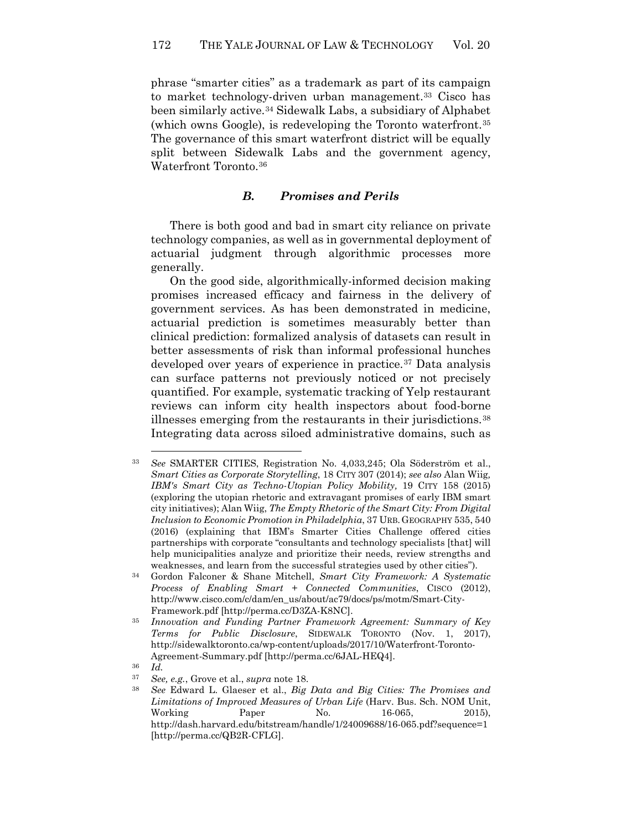phrase "smarter cities" as a trademark as part of its campaign to market technology-driven urban management.<sup>[33](#page-12-1)</sup> Cisco has been similarly active.[34](#page-12-2) Sidewalk Labs, a subsidiary of Alphabet (which owns Google), is redeveloping the Toronto waterfront.[35](#page-12-3) The governance of this smart waterfront district will be equally split between Sidewalk Labs and the government agency, Waterfront Toronto.[36](#page-12-4)

#### <span id="page-12-7"></span><span id="page-12-0"></span>*B. Promises and Perils*

There is both good and bad in smart city reliance on private technology companies, as well as in governmental deployment of actuarial judgment through algorithmic processes more generally.

On the good side, algorithmically-informed decision making promises increased efficacy and fairness in the delivery of government services. As has been demonstrated in medicine, actuarial prediction is sometimes measurably better than clinical prediction: formalized analysis of datasets can result in better assessments of risk than informal professional hunches developed over years of experience in practice.<sup>[37](#page-12-5)</sup> Data analysis can surface patterns not previously noticed or not precisely quantified. For example, systematic tracking of Yelp restaurant reviews can inform city health inspectors about food-borne illnesses emerging from the restaurants in their jurisdictions.[38](#page-12-6) Integrating data across siloed administrative domains, such as

<span id="page-12-1"></span><sup>33</sup> *See* SMARTER CITIES, Registration No. 4,033,245; Ola Söderström et al., *Smart Cities as Corporate Storytelling*, 18 CITY 307 (2014); *see also* Alan Wiig*, IBM's Smart City as Techno-Utopian Policy Mobility,* 19 CITY 158 (2015) (exploring the utopian rhetoric and extravagant promises of early IBM smart city initiatives); Alan Wiig, *The Empty Rhetoric of the Smart City: From Digital Inclusion to Economic Promotion in Philadelphia*, 37 URB.GEOGRAPHY 535, 540 (2016) (explaining that IBM's Smarter Cities Challenge offered cities partnerships with corporate "consultants and technology specialists [that] will help municipalities analyze and prioritize their needs, review strengths and weaknesses, and learn from the successful strategies used by other cities").

<span id="page-12-2"></span><sup>34</sup> Gordon Falconer & Shane Mitchell, *Smart City Framework: A Systematic Process of Enabling Smart + Connected Communities*, CISCO (2012), http://www.cisco.com/c/dam/en\_us/about/ac79/docs/ps/motm/Smart-City-Framework.pdf [http://perma.cc/D3ZA-K8NC].

<span id="page-12-3"></span><sup>35</sup> *Innovation and Funding Partner Framework Agreement: Summary of Key Terms for Public Disclosure*, SIDEWALK TORONTO (Nov. 1, 2017), http://sidewalktoronto.ca/wp-content/uploads/2017/10/Waterfront-Toronto-Agreement-Summary.pdf [http://perma.cc/6JAL-HEQ4].

<span id="page-12-4"></span><sup>36</sup> *Id.* 

<span id="page-12-6"></span><span id="page-12-5"></span><sup>37</sup> *See, e.g.*, Grove et al., *supra* note [18.](#page-9-5)

<sup>38</sup> *See* Edward L. Glaeser et al., *Big Data and Big Cities: The Promises and Limitations of Improved Measures of Urban Life* (Harv. Bus. Sch. NOM Unit, Working Paper No. 16-065, 2015), http://dash.harvard.edu/bitstream/handle/1/24009688/16-065.pdf?sequence=1 [http://perma.cc/QB2R-CFLG].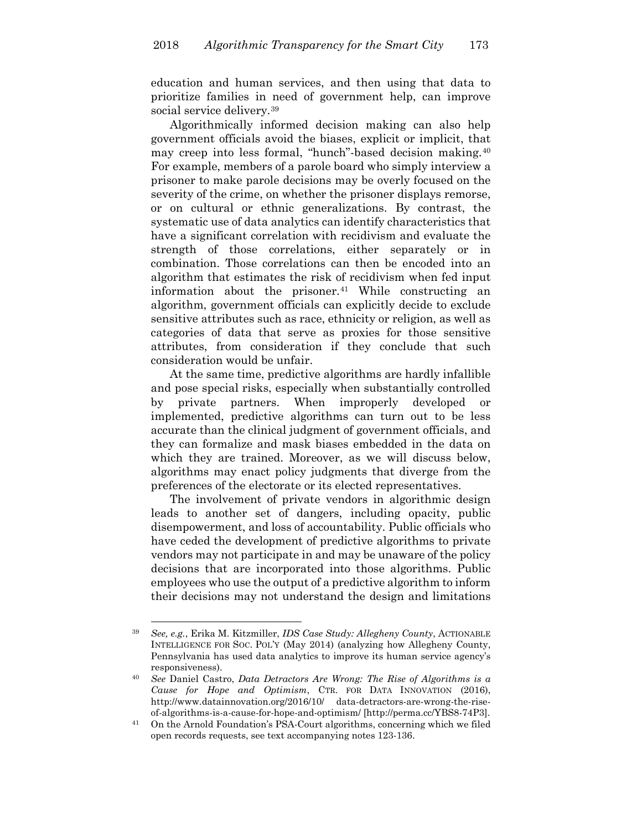education and human services, and then using that data to prioritize families in need of government help, can improve social service delivery.<sup>[39](#page-13-0)</sup>

Algorithmically informed decision making can also help government officials avoid the biases, explicit or implicit, that may creep into less formal, "hunch"-based decision making.[40](#page-13-1) For example, members of a parole board who simply interview a prisoner to make parole decisions may be overly focused on the severity of the crime, on whether the prisoner displays remorse, or on cultural or ethnic generalizations. By contrast, the systematic use of data analytics can identify characteristics that have a significant correlation with recidivism and evaluate the strength of those correlations, either separately or in combination. Those correlations can then be encoded into an algorithm that estimates the risk of recidivism when fed input information about the prisoner.<sup>[41](#page-13-2)</sup> While constructing an algorithm, government officials can explicitly decide to exclude sensitive attributes such as race, ethnicity or religion, as well as categories of data that serve as proxies for those sensitive attributes, from consideration if they conclude that such consideration would be unfair.

At the same time, predictive algorithms are hardly infallible and pose special risks, especially when substantially controlled by private partners. When improperly developed or implemented, predictive algorithms can turn out to be less accurate than the clinical judgment of government officials, and they can formalize and mask biases embedded in the data on which they are trained. Moreover, as we will discuss below, algorithms may enact policy judgments that diverge from the preferences of the electorate or its elected representatives.

The involvement of private vendors in algorithmic design leads to another set of dangers, including opacity, public disempowerment, and loss of accountability. Public officials who have ceded the development of predictive algorithms to private vendors may not participate in and may be unaware of the policy decisions that are incorporated into those algorithms. Public employees who use the output of a predictive algorithm to inform their decisions may not understand the design and limitations

<span id="page-13-0"></span><sup>39</sup> *See, e.g.*, Erika M. Kitzmiller, *IDS Case Study: Allegheny County*, ACTIONABLE INTELLIGENCE FOR SOC. POL'Y (May 2014) (analyzing how Allegheny County, Pennsylvania has used data analytics to improve its human service agency's responsiveness).

<span id="page-13-1"></span><sup>40</sup> *See* Daniel Castro, *Data Detractors Are Wrong: The Rise of Algorithms is a Cause for Hope and Optimism*, CTR. FOR DATA INNOVATION (2016), http://www.datainnovation.org/2016/10/ data-detractors-are-wrong-the-riseof-algorithms-is-a-cause-for-hope-and-optimism/ [http://perma.cc/YBS8-74P3].

<span id="page-13-2"></span><sup>41</sup> On the Arnold Foundation's PSA-Court algorithms, concerning which we filed open records requests, see text accompanying notes [123](#page-34-0)[-136.](#page-38-0)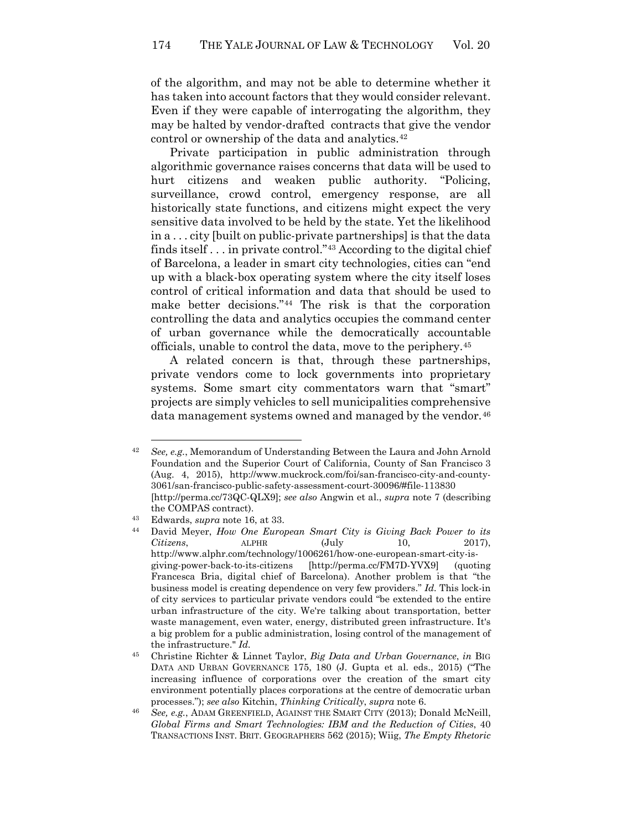of the algorithm, and may not be able to determine whether it has taken into account factors that they would consider relevant. Even if they were capable of interrogating the algorithm, they may be halted by vendor-drafted contracts that give the vendor control or ownership of the data and analytics.[42](#page-14-0)

Private participation in public administration through algorithmic governance raises concerns that data will be used to hurt citizens and weaken public authority. "Policing, surveillance, crowd control, emergency response, are all historically state functions, and citizens might expect the very sensitive data involved to be held by the state. Yet the likelihood in a . . . city [built on public-private partnerships] is that the data finds itself . . . in private control."[43](#page-14-1) According to the digital chief of Barcelona, a leader in smart city technologies, cities can "end up with a black-box operating system where the city itself loses control of critical information and data that should be used to make better decisions."[44](#page-14-2) The risk is that the corporation controlling the data and analytics occupies the command center of urban governance while the democratically accountable officials, unable to control the data, move to the periphery.[45](#page-14-3)

A related concern is that, through these partnerships, private vendors come to lock governments into proprietary systems. Some smart city commentators warn that "smart" projects are simply vehicles to sell municipalities comprehensive data management systems owned and managed by the vendor.<sup>[46](#page-14-4)</sup>

<span id="page-14-0"></span><sup>42</sup> *See, e.g.*, Memorandum of Understanding Between the Laura and John Arnold Foundation and the Superior Court of California, County of San Francisco 3 (Aug. 4, 2015), http://www.muckrock.com/foi/san-francisco-city-and-county-3061/san-francisco-public-safety-assessment-court-30096/#file-113830 [http://perma.cc/73QC-QLX9]; *see also* Angwin et al., *supra* note [7](#page-5-4) (describing the COMPAS contract).

<span id="page-14-1"></span><sup>43</sup> Edwards, *supra* note [16,](#page-8-3) at 33.

<span id="page-14-2"></span><sup>44</sup> David Meyer, *How One European Smart City is Giving Back Power to its Citizens*, **ALPHR** (July 10, 2017), http://www.alphr.com/technology/1006261/how-one-european-smart-city-isgiving-power-back-to-its-citizens [http://perma.cc/FM7D-YVX9] (quoting Francesca Bria, digital chief of Barcelona). Another problem is that "the business model is creating dependence on very few providers." *Id.* This lock-in of city services to particular private vendors could "be extended to the entire urban infrastructure of the city. We're talking about transportation, better waste management, even water, energy, distributed green infrastructure. It's a big problem for a public administration, losing control of the management of the infrastructure." *Id.* 

<span id="page-14-3"></span><sup>45</sup> Christine Richter & Linnet Taylor, *Big Data and Urban Governance*, *in* BIG DATA AND URBAN GOVERNANCE 175, 180 (J. Gupta et al. eds., 2015) ("The increasing influence of corporations over the creation of the smart city environment potentially places corporations at the centre of democratic urban processes."); *see also* Kitchin, *Thinking Critically*, *supra* note [6.](#page-4-4)

<span id="page-14-4"></span><sup>46</sup> *See, e.g.*, ADAM GREENFIELD, AGAINST THE SMART CITY (2013); Donald McNeill, *Global Firms and Smart Technologies: IBM and the Reduction of Cities*, 40 TRANSACTIONS INST. BRIT. GEOGRAPHERS 562 (2015); Wiig, *The Empty Rhetoric*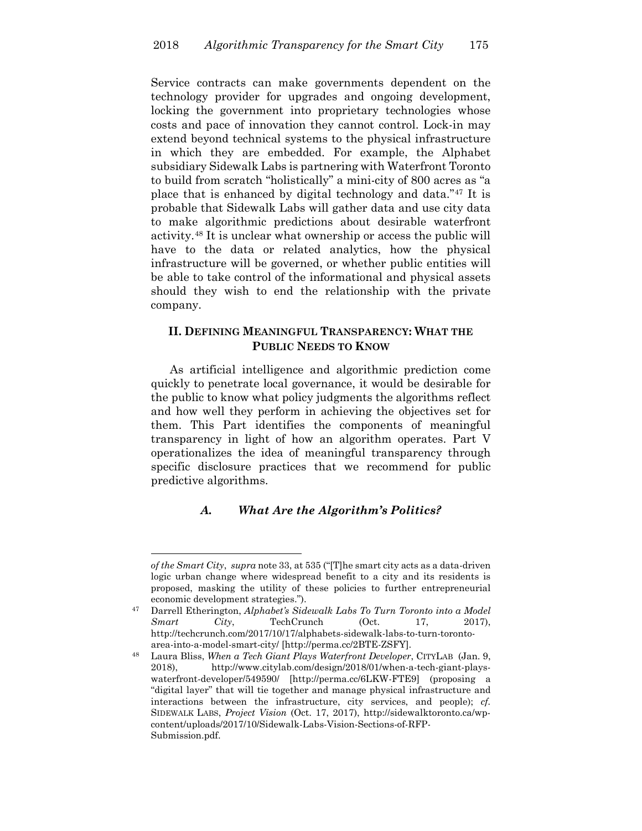Service contracts can make governments dependent on the technology provider for upgrades and ongoing development, locking the government into proprietary technologies whose costs and pace of innovation they cannot control. Lock-in may extend beyond technical systems to the physical infrastructure in which they are embedded. For example, the Alphabet subsidiary Sidewalk Labs is partnering with Waterfront Toronto to build from scratch "holistically" a mini-city of 800 acres as "a place that is enhanced by digital technology and data."[47](#page-15-0) It is probable that Sidewalk Labs will gather data and use city data to make algorithmic predictions about desirable waterfront activity.[48](#page-15-1) It is unclear what ownership or access the public will have to the data or related analytics, how the physical infrastructure will be governed, or whether public entities will be able to take control of the informational and physical assets should they wish to end the relationship with the private company.

## **II. DEFINING MEANINGFUL TRANSPARENCY: WHAT THE PUBLIC NEEDS TO KNOW**

As artificial intelligence and algorithmic prediction come quickly to penetrate local governance, it would be desirable for the public to know what policy judgments the algorithms reflect and how well they perform in achieving the objectives set for them. This Part identifies the components of meaningful transparency in light of how an algorithm operates. Part V operationalizes the idea of meaningful transparency through specific disclosure practices that we recommend for public predictive algorithms.

## *A. What Are the Algorithm's Politics?*

*of the Smart City*, *supra* not[e 33,](#page-12-7) at 535 ("[T]he smart city acts as a data-driven logic urban change where widespread benefit to a city and its residents is proposed, masking the utility of these policies to further entrepreneurial economic development strategies.").

<span id="page-15-0"></span><sup>47</sup> Darrell Etherington, *Alphabet's Sidewalk Labs To Turn Toronto into a Model Smart City*, TechCrunch (Oct. 17, 2017), http://techcrunch.com/2017/10/17/alphabets-sidewalk-labs-to-turn-torontoarea-into-a-model-smart-city/ [http://perma.cc/2BTE-ZSFY].

<span id="page-15-1"></span><sup>48</sup> Laura Bliss, *When a Tech Giant Plays Waterfront Developer*, CITYLAB (Jan. 9, 2018), http://www.citylab.com/design/2018/01/when-a-tech-giant-playswaterfront-developer/549590/ [http://perma.cc/6LKW-FTE9] (proposing a "digital layer" that will tie together and manage physical infrastructure and interactions between the infrastructure, city services, and people); *cf.* SIDEWALK LABS, *Project Vision* (Oct. 17, 2017), http://sidewalktoronto.ca/wpcontent/uploads/2017/10/Sidewalk-Labs-Vision-Sections-of-RFP-Submission.pdf.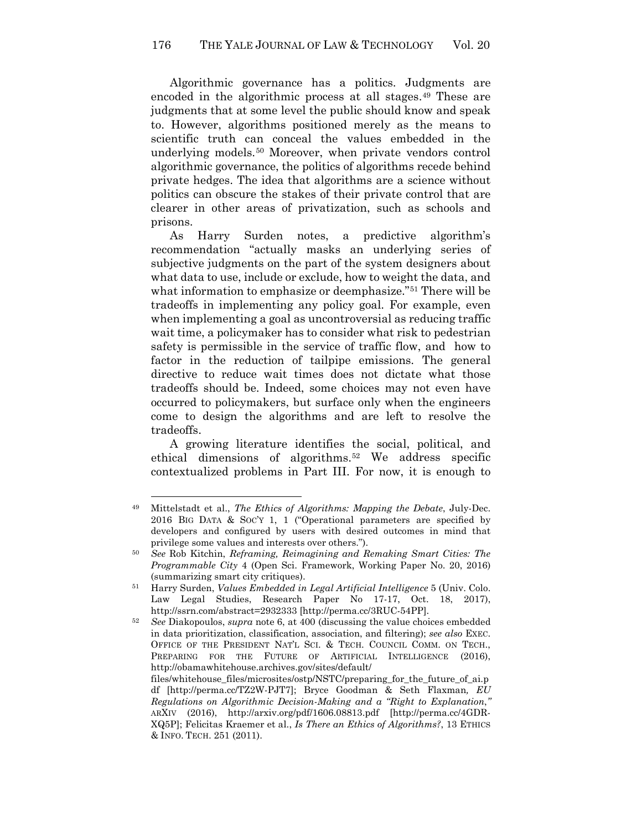<span id="page-16-4"></span>Algorithmic governance has a politics. Judgments are encoded in the algorithmic process at all stages.[49](#page-16-0) These are judgments that at some level the public should know and speak to. However, algorithms positioned merely as the means to scientific truth can conceal the values embedded in the underlying models.[50](#page-16-1) Moreover, when private vendors control algorithmic governance, the politics of algorithms recede behind private hedges. The idea that algorithms are a science without politics can obscure the stakes of their private control that are clearer in other areas of privatization, such as schools and prisons.

<span id="page-16-5"></span>As Harry Surden notes, a predictive algorithm's recommendation "actually masks an underlying series of subjective judgments on the part of the system designers about what data to use, include or exclude, how to weight the data, and what information to emphasize or deemphasize."<sup>[51](#page-16-2)</sup> There will be tradeoffs in implementing any policy goal. For example, even when implementing a goal as uncontroversial as reducing traffic wait time, a policymaker has to consider what risk to pedestrian safety is permissible in the service of traffic flow, and how to factor in the reduction of tailpipe emissions. The general directive to reduce wait times does not dictate what those tradeoffs should be. Indeed, some choices may not even have occurred to policymakers, but surface only when the engineers come to design the algorithms and are left to resolve the tradeoffs.

A growing literature identifies the social, political, and ethical dimensions of algorithms.[52](#page-16-3) We address specific contextualized problems in Part III. For now, it is enough to

<span id="page-16-0"></span><sup>49</sup> Mittelstadt et al., *The Ethics of Algorithms: Mapping the Debate*, July-Dec. 2016 BIG DATA & SOC'Y 1, 1 ("Operational parameters are specified by developers and configured by users with desired outcomes in mind that privilege some values and interests over others.").

<span id="page-16-1"></span><sup>50</sup> *See* Rob Kitchin, *Reframing, Reimagining and Remaking Smart Cities: The Programmable City* 4 (Open Sci. Framework, Working Paper No. 20, 2016) (summarizing smart city critiques). 51 Harry Surden, *Values Embedded in Legal Artificial Intelligence* 5 (Univ. Colo.

<span id="page-16-2"></span>Law Legal Studies, Research Paper No 17-17, Oct. 18, 2017), http://ssrn.com/abstract=2932333 [http://perma.cc/3RUC-54PP].

<span id="page-16-3"></span><sup>52</sup> *See* Diakopoulos, *supra* note [6,](#page-4-4) at 400 (discussing the value choices embedded in data prioritization, classification, association, and filtering); *see also* EXEC. OFFICE OF THE PRESIDENT NAT'L SCI. & TECH. COUNCIL COMM. ON TECH., PREPARING FOR THE FUTURE OF ARTIFICIAL INTELLIGENCE (2016), http://obamawhitehouse.archives.gov/sites/default/ files/whitehouse\_files/microsites/ostp/NSTC/preparing\_for\_the\_future\_of\_ai.p df [http://perma.cc/TZ2W-PJT7]; Bryce Goodman & Seth Flaxman*, EU Regulations on Algorithmic Decision-Making and a "Right to Explanation*,*"* ARXIV (2016), http://arxiv.org/pdf/1606.08813.pdf [http://perma.cc/4GDR-XQ5P]; Felicitas Kraemer et al., *Is There an Ethics of Algorithms?*, 13 ETHICS & INFO. TECH. 251 (2011).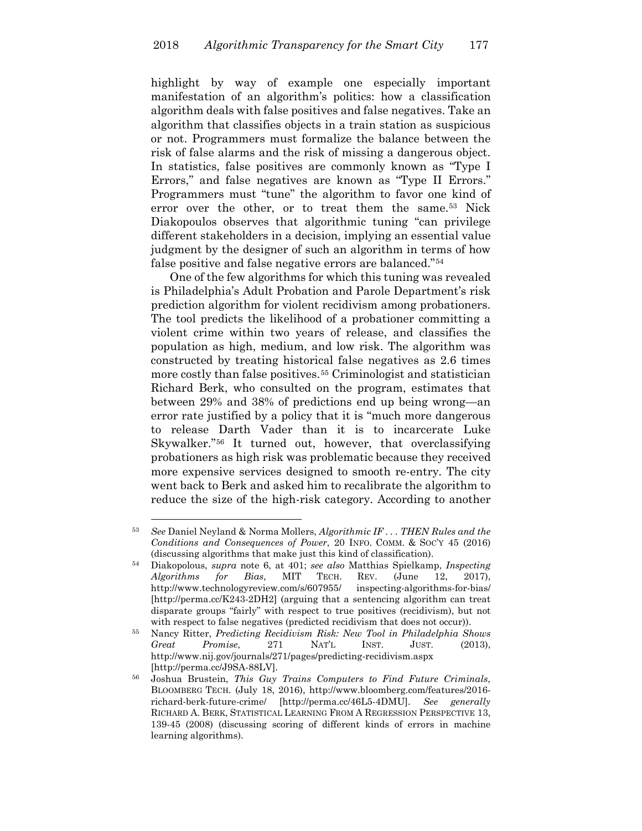highlight by way of example one especially important manifestation of an algorithm's politics: how a classification algorithm deals with false positives and false negatives. Take an algorithm that classifies objects in a train station as suspicious or not. Programmers must formalize the balance between the risk of false alarms and the risk of missing a dangerous object. In statistics, false positives are commonly known as "Type I Errors," and false negatives are known as "Type II Errors." Programmers must "tune" the algorithm to favor one kind of error over the other, or to treat them the same.[53](#page-17-0) Nick Diakopoulos observes that algorithmic tuning "can privilege different stakeholders in a decision, implying an essential value judgment by the designer of such an algorithm in terms of how false positive and false negative errors are balanced."[54](#page-17-1)

One of the few algorithms for which this tuning was revealed is Philadelphia's Adult Probation and Parole Department's risk prediction algorithm for violent recidivism among probationers. The tool predicts the likelihood of a probationer committing a violent crime within two years of release, and classifies the population as high, medium, and low risk. The algorithm was constructed by treating historical false negatives as 2.6 times more costly than false positives.<sup>[55](#page-17-2)</sup> Criminologist and statistician Richard Berk, who consulted on the program, estimates that between 29% and 38% of predictions end up being wrong—an error rate justified by a policy that it is "much more dangerous to release Darth Vader than it is to incarcerate Luke Skywalker."[56](#page-17-3) It turned out, however, that overclassifying probationers as high risk was problematic because they received more expensive services designed to smooth re-entry. The city went back to Berk and asked him to recalibrate the algorithm to reduce the size of the high-risk category. According to another

<span id="page-17-0"></span><sup>53</sup> *See* Daniel Neyland & Norma Mollers, *Algorithmic IF . . . THEN Rules and the Conditions and Consequences of Power*, 20 INFO. COMM. & SOC'Y 45 (2016) (discussing algorithms that make just this kind of classification). 54 Diakopolous, *supra* note [6,](#page-4-4) at 401; *see also* Matthias Spielkamp, *[Inspecting](https://www.technologyreview.com/s/607955/inspecting-algorithms-for-bias/)* 

<span id="page-17-1"></span>*[Algorithms for Bias](https://www.technologyreview.com/s/607955/inspecting-algorithms-for-bias/)*, MIT TECH. REV. (June 12, 2017), http://www.technologyreview.com/s/607955/ inspecting-algorithms-for-bias/ [http://perma.cc/K243-2DH2] (arguing that a sentencing algorithm can treat disparate groups "fairly" with respect to true positives (recidivism), but not

<span id="page-17-2"></span>with respect to false negatives (predicted recidivism that does not occur)).<br><sup>55</sup> Nancy Ritter, *Predicting Recidivism Risk: New Tool in Philadelphia Shows Great Promise*, 271 NAT'L INST. JUST. (2013), http://www.nij.gov/journals/271/pages/predicting-recidivism.aspx [http://perma.cc/J9SA-88LV].

<span id="page-17-3"></span><sup>56</sup> Joshua Brustein, *This Guy Trains Computers to Find Future Criminals*, BLOOMBERG TECH. (July 18, 2016), http://www.bloomberg.com/features/2016 richard-berk-future-crime/ [http://perma.cc/46L5-4DMU]. *See generally*  RICHARD A. BERK, STATISTICAL LEARNING FROM A REGRESSION PERSPECTIVE 13, 139-45 (2008) (discussing scoring of different kinds of errors in machine learning algorithms).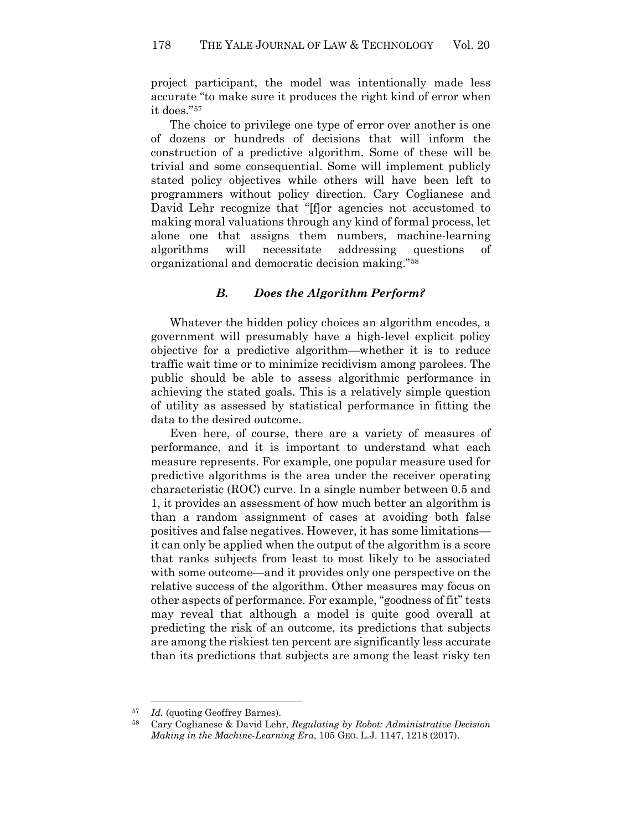project participant, the model was intentionally made less accurate "to make sure it produces the right kind of error when it does."[57](#page-18-0)

The choice to privilege one type of error over another is one of dozens or hundreds of decisions that will inform the construction of a predictive algorithm. Some of these will be trivial and some consequential. Some will implement publicly stated policy objectives while others will have been left to programmers without policy direction. Cary Coglianese and David Lehr recognize that "[f]or agencies not accustomed to making moral valuations through any kind of formal process, let alone one that assigns them numbers, machine-learning algorithms will necessitate addressing questions of organizational and democratic decision making."[58](#page-18-1)

#### *B. Does the Algorithm Perform?*

Whatever the hidden policy choices an algorithm encodes, a government will presumably have a high-level explicit policy objective for a predictive algorithm—whether it is to reduce traffic wait time or to minimize recidivism among parolees. The public should be able to assess algorithmic performance in achieving the stated goals. This is a relatively simple question of utility as assessed by statistical performance in fitting the data to the desired outcome.

Even here, of course, there are a variety of measures of performance, and it is important to understand what each measure represents. For example, one popular measure used for predictive algorithms is the area under the receiver operating characteristic (ROC) curve. In a single number between 0.5 and 1, it provides an assessment of how much better an algorithm is than a random assignment of cases at avoiding both false positives and false negatives. However, it has some limitations it can only be applied when the output of the algorithm is a score that ranks subjects from least to most likely to be associated with some outcome—and it provides only one perspective on the relative success of the algorithm. Other measures may focus on other aspects of performance. For example, "goodness of fit" tests may reveal that although a model is quite good overall at predicting the risk of an outcome, its predictions that subjects are among the riskiest ten percent are significantly less accurate than its predictions that subjects are among the least risky ten

<span id="page-18-1"></span><span id="page-18-0"></span><sup>57</sup> *Id.* (quoting Geoffrey Barnes).

<sup>58</sup> Cary Coglianese & David Lehr, *Regulating by Robot: Administrative Decision Making in the Machine-Learning Era*, 105 GEO. L.J. 1147, 1218 (2017).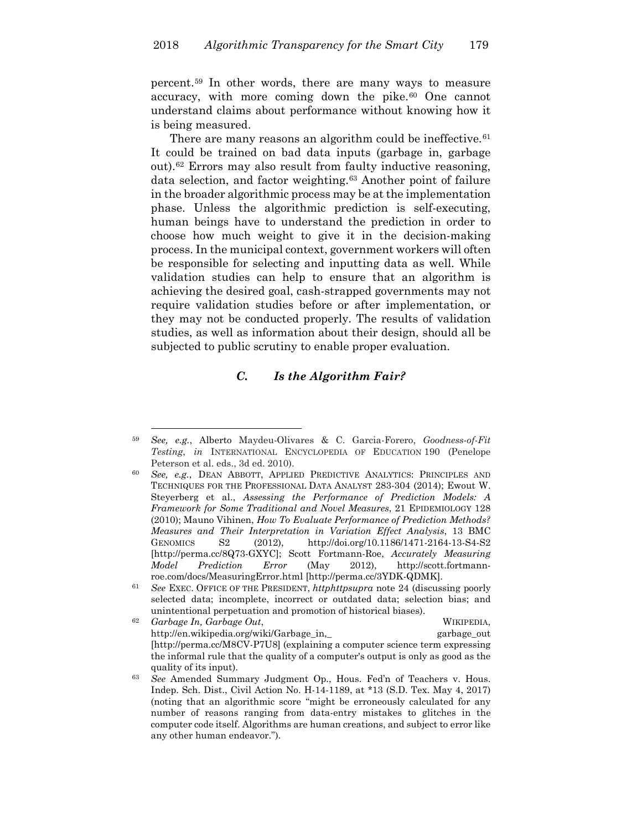percent.[59](#page-19-0) In other words, there are many ways to measure accuracy, with more coming down the pike.<sup>[60](#page-19-1)</sup> One cannot understand claims about performance without knowing how it is being measured.

There are many reasons an algorithm could be ineffective.<sup>[61](#page-19-2)</sup> It could be trained on bad data inputs (garbage in, garbage out).[62](#page-19-3) Errors may also result from faulty inductive reasoning, data selection, and factor weighting.[63](#page-19-4) Another point of failure in the broader algorithmic process may be at the implementation phase. Unless the algorithmic prediction is self-executing, human beings have to understand the prediction in order to choose how much weight to give it in the decision-making process. In the municipal context, government workers will often be responsible for selecting and inputting data as well. While validation studies can help to ensure that an algorithm is achieving the desired goal, cash-strapped governments may not require validation studies before or after implementation, or they may not be conducted properly. The results of validation studies, as well as information about their design, should all be subjected to public scrutiny to enable proper evaluation.

# *C. Is the Algorithm Fair?*

<span id="page-19-0"></span><sup>59</sup> *See, e.g.*, Alberto Maydeu-Olivares & C. Garcia-Forero, *Goodness-of-Fit Testing*, *in* INTERNATIONAL ENCYCLOPEDIA OF EDUCATION 190 (Penelope Peterson et al. eds., 3d ed. 2010).

<span id="page-19-1"></span><sup>60</sup> *See, e.g.*, DEAN ABBOTT, APPLIED PREDICTIVE ANALYTICS: PRINCIPLES AND TECHNIQUES FOR THE PROFESSIONAL DATA ANALYST 283-304 (2014); Ewout W. Steyerberg et al., *Assessing the Performance of Prediction Models: A Framework for Some Traditional and Novel Measures*, 21 EPIDEMIOLOGY 128 (2010); Mauno Vihinen, *How To Evaluate Performance of Prediction Methods? Measures and Their Interpretation in Variation Effect Analysis*, 13 BMC GENOMICS S2 (2012), http://doi.org/10.1186/1471-2164-13-S4-S2 [http://perma.cc/8Q73-GXYC]; Scott Fortmann-Roe, *Accurately Measuring Model Prediction Error* (May 2012), http://scott.fortmann-

<span id="page-19-2"></span>roe.com/docs/MeasuringError.html [http://perma.cc/3YDK-QDMK]. 61 *See* EXEC. OFFICE OF THE PRESIDENT, *httphttpsupra* note [24](#page-10-3) (discussing poorly selected data; incomplete, incorrect or outdated data; selection bias; and unintentional perpetuation and promotion of historical biases).

<span id="page-19-3"></span><sup>62</sup> *Garbage In, Garbage Out*, WIKIPEDIA, http://en.wikipedia.org/wiki/Garbage\_in,\_ garbage\_out garbage\_out [http://perma.cc/M8CV-P7U8] (explaining a computer science term expressing the informal rule that the quality of a computer's output is only as good as the quality of its input).

<span id="page-19-4"></span><sup>63</sup> *See* Amended Summary Judgment Op., Hous. Fed'n of Teachers v. Hous. Indep. Sch. Dist., Civil Action No. H-14-1189, at \*13 (S.D. Tex. May 4, 2017) (noting that an algorithmic score "might be erroneously calculated for any number of reasons ranging from data-entry mistakes to glitches in the computer code itself. Algorithms are human creations, and subject to error like any other human endeavor.").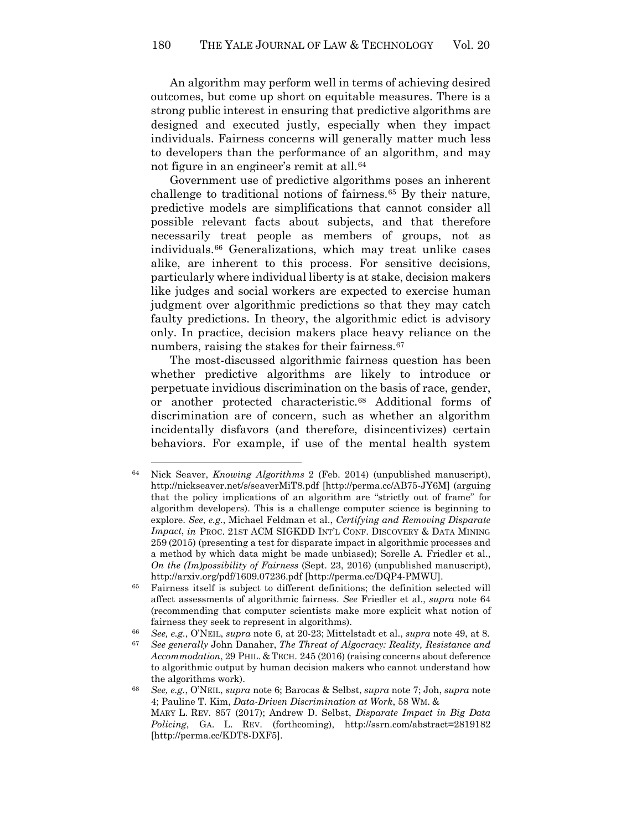An algorithm may perform well in terms of achieving desired outcomes, but come up short on equitable measures. There is a strong public interest in ensuring that predictive algorithms are designed and executed justly, especially when they impact individuals. Fairness concerns will generally matter much less to developers than the performance of an algorithm, and may not figure in an engineer's remit at all.[64](#page-20-1)

<span id="page-20-0"></span>Government use of predictive algorithms poses an inherent challenge to traditional notions of fairness.[65](#page-20-2) By their nature, predictive models are simplifications that cannot consider all possible relevant facts about subjects, and that therefore necessarily treat people as members of groups, not as individuals.[66](#page-20-3) Generalizations, which may treat unlike cases alike, are inherent to this process. For sensitive decisions, particularly where individual liberty is at stake, decision makers like judges and social workers are expected to exercise human judgment over algorithmic predictions so that they may catch faulty predictions. In theory, the algorithmic edict is advisory only. In practice, decision makers place heavy reliance on the numbers, raising the stakes for their fairness.<sup>[67](#page-20-4)</sup>

The most-discussed algorithmic fairness question has been whether predictive algorithms are likely to introduce or perpetuate invidious discrimination on the basis of race, gender, or another protected characteristic.[68](#page-20-5) Additional forms of discrimination are of concern, such as whether an algorithm incidentally disfavors (and therefore, disincentivizes) certain behaviors. For example, if use of the mental health system

<span id="page-20-1"></span><sup>64</sup> Nick Seaver, *Knowing Algorithms* 2 (Feb. 2014) (unpublished manuscript), http://nickseaver.net/s/seaverMiT8.pdf [http://perma.cc/AB75-JY6M] (arguing that the policy implications of an algorithm are "strictly out of frame" for algorithm developers). This is a challenge computer science is beginning to explore. *See*, *e.g.*, Michael Feldman et al., *Certifying and Removing Disparate Impact*, *in* PROC. 21ST ACM SIGKDD INT'L CONF. DISCOVERY & DATA MINING 259 (2015) (presenting a test for disparate impact in algorithmic processes and a method by which data might be made unbiased); Sorelle A. Friedler et al., *On the (Im)possibility of Fairness* (Sept. 23, 2016) (unpublished manuscript), http://arxiv.org/pdf/1609.07236.pdf [http://perma.cc/DQP4-PMWU].<br><sup>65</sup> Fairness itself is subject to different definitions; the definition selected will

<span id="page-20-2"></span>affect assessments of algorithmic fairness. *See* Friedler et al., *supra* note [64](#page-20-0) (recommending that computer scientists make more explicit what notion of fairness they seek to represent in algorithms).

<span id="page-20-3"></span><sup>66</sup> *See, e.g*., O'NEIL, *supra* note [6,](#page-4-4) at 20-23; Mittelstadt et al., *supra* not[e 49,](#page-16-4) at 8.

<span id="page-20-4"></span><sup>67</sup> *See generally* John Danaher, *The Threat of Algocracy: Reality, Resistance and Accommodation*, 29 PHIL. & TECH. 245 (2016) (raising concerns about deference to algorithmic output by human decision makers who cannot understand how the algorithms work).

<span id="page-20-5"></span><sup>68</sup> *See, e.g.*, O'NEIL, *supra* note [6;](#page-4-4) Barocas & Selbst, *supra* note [7;](#page-5-4) Joh, *supra* note [4;](#page-4-5) Pauline T. Kim, *Data-Driven Discrimination at Work*, 58 WM. & MARY L. REV. 857 (2017); Andrew D. Selbst, *Disparate Impact in Big Data Policing*, GA. L. REV. (forthcoming), http://ssrn.com/abstract=2819182 [http://perma.cc/KDT8-DXF5].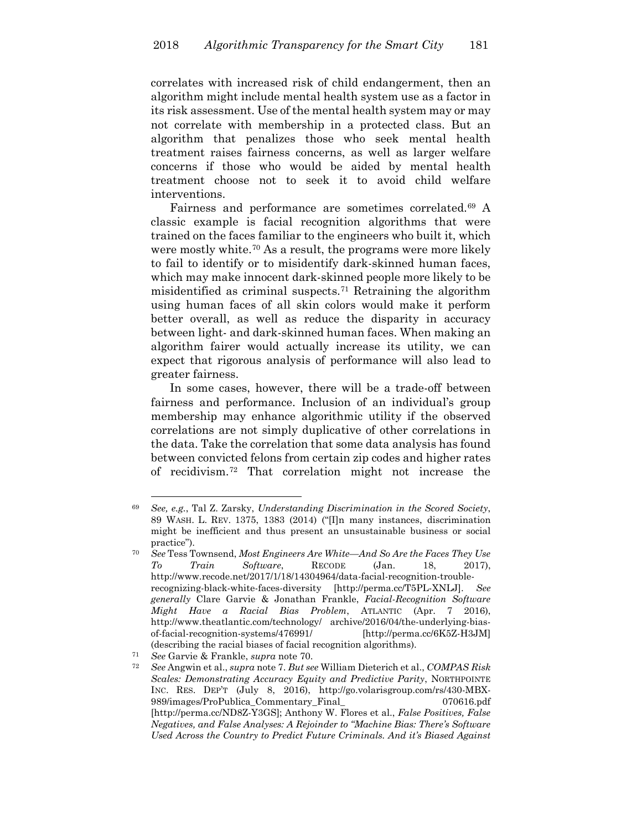correlates with increased risk of child endangerment, then an algorithm might include mental health system use as a factor in its risk assessment. Use of the mental health system may or may not correlate with membership in a protected class. But an algorithm that penalizes those who seek mental health treatment raises fairness concerns, as well as larger welfare concerns if those who would be aided by mental health treatment choose not to seek it to avoid child welfare interventions.

<span id="page-21-0"></span>Fairness and performance are sometimes correlated.[69](#page-21-1) A classic example is facial recognition algorithms that were trained on the faces familiar to the engineers who built it, which were mostly white.[70](#page-21-2) As a result, the programs were more likely to fail to identify or to misidentify dark-skinned human faces, which may make innocent dark-skinned people more likely to be misidentified as criminal suspects.[71](#page-21-3) Retraining the algorithm using human faces of all skin colors would make it perform better overall, as well as reduce the disparity in accuracy between light- and dark-skinned human faces. When making an algorithm fairer would actually increase its utility, we can expect that rigorous analysis of performance will also lead to greater fairness.

In some cases, however, there will be a trade-off between fairness and performance. Inclusion of an individual's group membership may enhance algorithmic utility if the observed correlations are not simply duplicative of other correlations in the data. Take the correlation that some data analysis has found between convicted felons from certain zip codes and higher rates of recidivism.[72](#page-21-4) That correlation might not increase the

<span id="page-21-1"></span><sup>69</sup> *See, e.g.*, Tal Z. Zarsky, *Understanding Discrimination in the Scored Society*, 89 WASH. L. REV. 1375, 1383 (2014) ("[I]n many instances, discrimination might be inefficient and thus present an unsustainable business or social practice").

<span id="page-21-2"></span><sup>70</sup> *See* Tess Townsend, *Most Engineers Are White—And So Are the Faces They Use To Train Software*, RECODE (Jan. 18, 2017), http://www.recode.net/2017/1/18/14304964/data-facial-recognition-troublerecognizing-black-white-faces-diversity [http://perma.cc/T5PL-XNLJ]. *See generally* Clare Garvie & Jonathan Frankle, *Facial-Recognition Software Might Have a Racial Bias Problem*, ATLANTIC (Apr. 7 2016), http://www.theatlantic.com/technology/ archive/2016/04/the-underlying-biasof-facial-recognition-systems/476991/ [http://perma.cc/6K5Z-H3JM] (describing the racial biases of facial recognition algorithms).

<span id="page-21-4"></span><span id="page-21-3"></span><sup>71</sup> *See* Garvie & Frankle, *supra* note [70.](#page-21-0)

<sup>72</sup> *See* Angwin et al., *supra* not[e 7.](#page-5-4) *But see* William Dieterich et al., *COMPAS Risk Scales: Demonstrating Accuracy Equity and Predictive Parity*, NORTHPOINTE INC. RES. DEP'T (July 8, 2016), http://go.volarisgroup.com/rs/430-MBX-989/images/ProPublica\_Commentary\_Final\_ 070616.pdf [http://perma.cc/ND8Z-Y3GS]; Anthony W. Flores et al., *False Positives, False Negatives, and False Analyses: A Rejoinder to "Machine Bias: There's Software Used Across the Country to Predict Future Criminals. And it's Biased Against*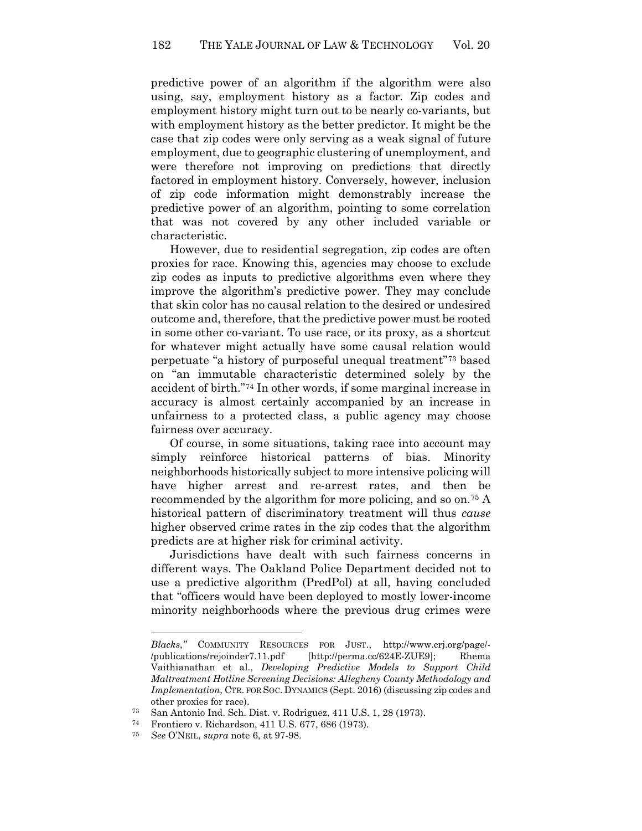predictive power of an algorithm if the algorithm were also using, say, employment history as a factor. Zip codes and employment history might turn out to be nearly co-variants, but with employment history as the better predictor. It might be the case that zip codes were only serving as a weak signal of future employment, due to geographic clustering of unemployment, and were therefore not improving on predictions that directly factored in employment history. Conversely, however, inclusion of zip code information might demonstrably increase the predictive power of an algorithm, pointing to some correlation that was not covered by any other included variable or characteristic.

However, due to residential segregation, zip codes are often proxies for race. Knowing this, agencies may choose to exclude zip codes as inputs to predictive algorithms even where they improve the algorithm's predictive power. They may conclude that skin color has no causal relation to the desired or undesired outcome and, therefore, that the predictive power must be rooted in some other co-variant. To use race, or its proxy, as a shortcut for whatever might actually have some causal relation would perpetuate "a history of purposeful unequal treatment"[73](#page-22-0) based on "an immutable characteristic determined solely by the accident of birth."[74](#page-22-1) In other words, if some marginal increase in accuracy is almost certainly accompanied by an increase in unfairness to a protected class, a public agency may choose fairness over accuracy.

Of course, in some situations, taking race into account may simply reinforce historical patterns of bias. Minority neighborhoods historically subject to more intensive policing will have higher arrest and re-arrest rates, and then be recommended by the algorithm for more policing, and so on.[75](#page-22-2) A historical pattern of discriminatory treatment will thus *cause* higher observed crime rates in the zip codes that the algorithm predicts are at higher risk for criminal activity.

Jurisdictions have dealt with such fairness concerns in different ways. The Oakland Police Department decided not to use a predictive algorithm (PredPol) at all, having concluded that "officers would have been deployed to mostly lower-income minority neighborhoods where the previous drug crimes were

*Blacks*,*"* COMMUNITY RESOURCES FOR JUST., http://www.crj.org/page/- /publications/rejoinder7.11.pdf [http://perma.cc/624E-ZUE9]; Rhema Vaithianathan et al., *Developing Predictive Models to Support Child Maltreatment Hotline Screening Decisions: Allegheny County Methodology and Implementation*, CTR. FOR SOC. DYNAMICS (Sept. 2016) (discussing zip codes and other proxies for race).

<span id="page-22-0"></span><sup>73</sup> San Antonio Ind. Sch. Dist. v. Rodriguez, 411 U.S. 1, 28 (1973).

<sup>74</sup> Frontiero v. Richardson, 411 U.S. 677, 686 (1973).

<span id="page-22-2"></span><span id="page-22-1"></span><sup>75</sup> *See* O'NEIL, *supra* note [6,](#page-4-4) at 97-98.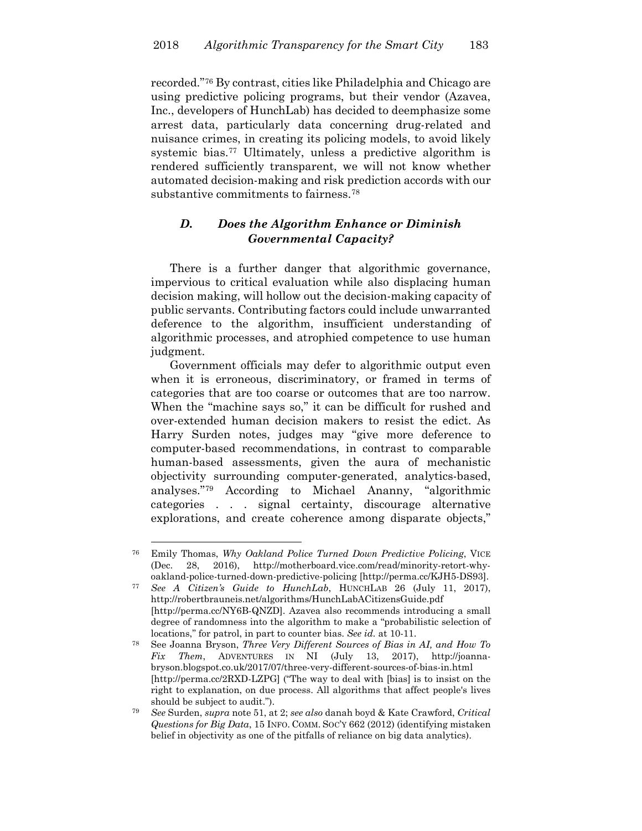recorded."[76](#page-23-0) By contrast, cities like Philadelphia and Chicago are using predictive policing programs, but their vendor (Azavea, Inc., developers of HunchLab) has decided to deemphasize some arrest data, particularly data concerning drug-related and nuisance crimes, in creating its policing models, to avoid likely systemic bias.<sup>[77](#page-23-1)</sup> Ultimately, unless a predictive algorithm is rendered sufficiently transparent, we will not know whether automated decision-making and risk prediction accords with our substantive commitments to fairness.<sup>[78](#page-23-2)</sup>

# *D. Does the Algorithm Enhance or Diminish Governmental Capacity?*

There is a further danger that algorithmic governance, impervious to critical evaluation while also displacing human decision making, will hollow out the decision-making capacity of public servants. Contributing factors could include unwarranted deference to the algorithm, insufficient understanding of algorithmic processes, and atrophied competence to use human judgment.

Government officials may defer to algorithmic output even when it is erroneous, discriminatory, or framed in terms of categories that are too coarse or outcomes that are too narrow. When the "machine says so," it can be difficult for rushed and over-extended human decision makers to resist the edict. As Harry Surden notes, judges may "give more deference to computer-based recommendations, in contrast to comparable human-based assessments, given the aura of mechanistic objectivity surrounding computer-generated, analytics-based, analyses."[79](#page-23-3) According to Michael Ananny, "algorithmic categories . . . signal certainty, discourage alternative explorations, and create coherence among disparate objects,"

<span id="page-23-0"></span> $\overline{a}$ <sup>76</sup> Emily Thomas, *Why Oakland Police Turned Down Predictive Policing*, VICE (Dec. 28, 2016), http://motherboard.vice.com/read/minority-retort-whyoakland-police-turned-down-predictive-policing [http://perma.cc/KJH5-DS93].

<span id="page-23-1"></span><sup>77</sup> *See A Citizen's Guide to HunchLab*, HUNCHLAB 26 (July 11, 2017), http://robertbrauneis.net/algorithms/HunchLabACitizensGuide.pdf [http://perma.cc/NY6B-QNZD]. Azavea also recommends introducing a small degree of randomness into the algorithm to make a "probabilistic selection of locations," for patrol, in part to counter bias. *See id.* at 10-11.

<span id="page-23-2"></span><sup>78</sup> See Joanna Bryson, *Three Very Different Sources of Bias in AI, and How To Fix Them*, ADVENTURES IN NI (July 13, 2017), http://joannabryson.blogspot.co.uk/2017/07/three-very-different-sources-of-bias-in.html [http://perma.cc/2RXD-LZPG] ("The way to deal with [bias] is to insist on the right to explanation, on due process. All algorithms that affect people's lives

<span id="page-23-3"></span>should be subject to audit."). 79 *See* Surden, *supra* not[e 51,](#page-16-5) at 2; *see also* danah boyd & Kate Crawford, *Critical Questions for Big Data*, 15 INFO. COMM. SOC'Y 662 (2012) (identifying mistaken belief in objectivity as one of the pitfalls of reliance on big data analytics).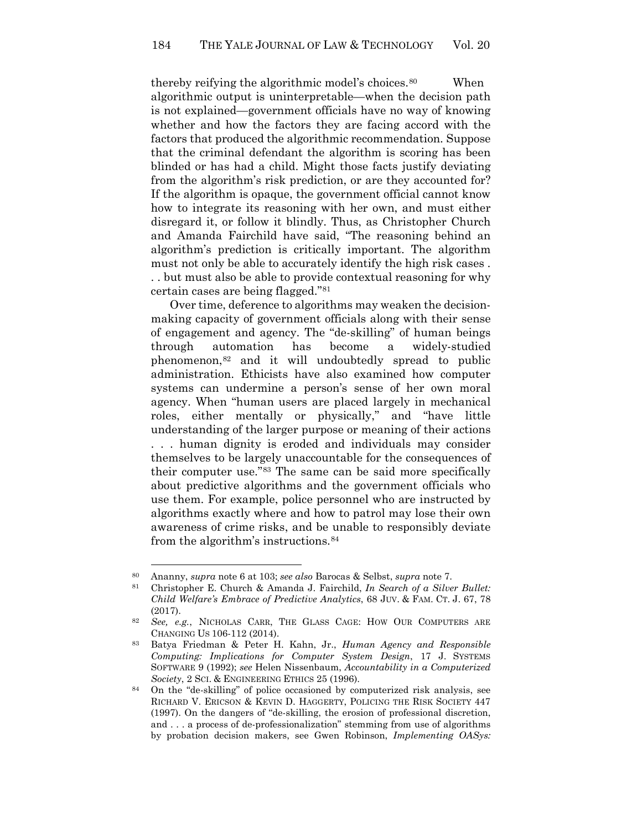thereby reifying the algorithmic model's choices.<sup>[80](#page-24-0)</sup> When algorithmic output is uninterpretable—when the decision path is not explained—government officials have no way of knowing whether and how the factors they are facing accord with the factors that produced the algorithmic recommendation. Suppose that the criminal defendant the algorithm is scoring has been blinded or has had a child. Might those facts justify deviating from the algorithm's risk prediction, or are they accounted for? If the algorithm is opaque, the government official cannot know how to integrate its reasoning with her own, and must either disregard it, or follow it blindly. Thus, as Christopher Church and Amanda Fairchild have said, "The reasoning behind an algorithm's prediction is critically important. The algorithm must not only be able to accurately identify the high risk cases . . . but must also be able to provide contextual reasoning for why certain cases are being flagged."[81](#page-24-1)

Over time, deference to algorithms may weaken the decisionmaking capacity of government officials along with their sense of engagement and agency. The "de-skilling" of human beings through automation has become a widely-studied phenomenon,[82](#page-24-2) and it will undoubtedly spread to public administration. Ethicists have also examined how computer systems can undermine a person's sense of her own moral agency. When "human users are placed largely in mechanical roles, either mentally or physically," and "have little understanding of the larger purpose or meaning of their actions . . . human dignity is eroded and individuals may consider themselves to be largely unaccountable for the consequences of their computer use."[83](#page-24-3) The same can be said more specifically about predictive algorithms and the government officials who use them. For example, police personnel who are instructed by algorithms exactly where and how to patrol may lose their own awareness of crime risks, and be unable to responsibly deviate from the algorithm's instructions.[84](#page-24-4)

<span id="page-24-0"></span><sup>80</sup> Ananny, *supra* not[e 6](#page-4-4) at 103; *see also* Barocas & Selbst, *supra* note [7.](#page-5-4)

<span id="page-24-1"></span><sup>81</sup> Christopher E. Church & Amanda J. Fairchild, *In Search of a Silver Bullet: Child Welfare's Embrace of Predictive Analytics*, 68 JUV. & FAM. CT. J. 67, 78 (2017).

<span id="page-24-2"></span><sup>82</sup> *See, e.g.*, NICHOLAS CARR, THE GLASS CAGE: HOW OUR COMPUTERS ARE CHANGING US 106-112 (2014).

<span id="page-24-3"></span><sup>83</sup> Batya Friedman & Peter H. Kahn, Jr., *Human Agency and Responsible Computing: Implications for Computer System Design*, 17 J. SYSTEMS SOFTWARE 9 (1992); *see* Helen Nissenbaum, *Accountability in a Computerized Society*, 2 SCI. & ENGINEERING ETHICS 25 (1996).

<span id="page-24-4"></span><sup>84</sup> On the "de-skilling" of police occasioned by computerized risk analysis, see RICHARD V. ERICSON & KEVIN D. HAGGERTY, POLICING THE RISK SOCIETY 447 (1997). On the dangers of "de-skilling, the erosion of professional discretion, and . . . a process of de-professionalization" stemming from use of algorithms by probation decision makers, see Gwen Robinson, *Implementing OASys:*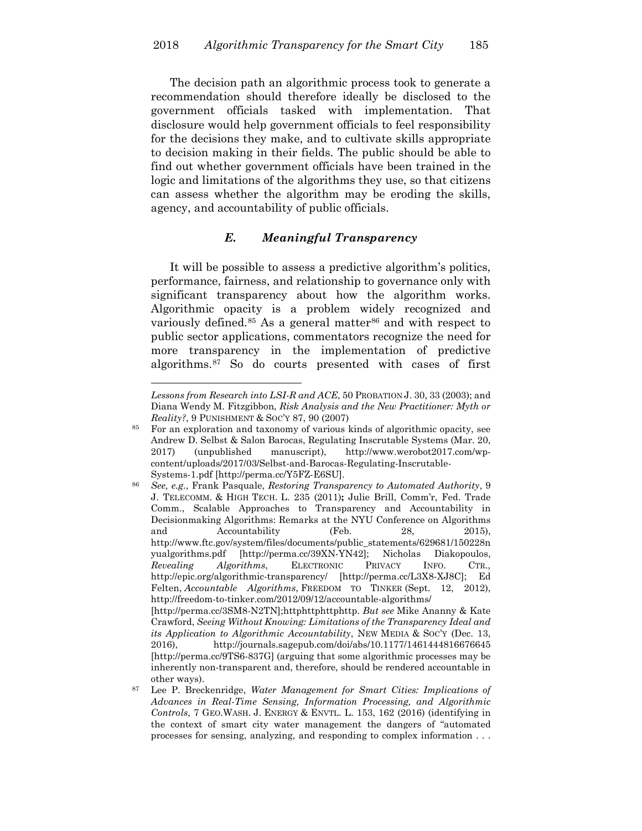The decision path an algorithmic process took to generate a recommendation should therefore ideally be disclosed to the government officials tasked with implementation. That disclosure would help government officials to feel responsibility for the decisions they make, and to cultivate skills appropriate to decision making in their fields. The public should be able to find out whether government officials have been trained in the logic and limitations of the algorithms they use, so that citizens can assess whether the algorithm may be eroding the skills, agency, and accountability of public officials.

### <span id="page-25-3"></span>*E. Meaningful Transparency*

It will be possible to assess a predictive algorithm's politics, performance, fairness, and relationship to governance only with significant transparency about how the algorithm works. Algorithmic opacity is a problem widely recognized and variously defined. $85$  As a general matter  $86$  and with respect to public sector applications, commentators recognize the need for more transparency in the implementation of predictive algorithms.[87](#page-25-2) So do courts presented with cases of first

 $\overline{a}$ *Lessons from Research into LSI-R and ACE*, 50 PROBATION J. 30, 33 (2003); and Diana Wendy M. Fitzgibbon, *Risk Analysis and the New Practitioner: Myth or Reality?*, 9 PUNISHMENT & SOC'Y 87, 90 (2007)

<span id="page-25-0"></span><sup>85</sup> For an exploration and taxonomy of various kinds of algorithmic opacity, see Andrew D. Selbst & Salon Barocas, Regulating Inscrutable Systems (Mar. 20, 2017) (unpublished manuscript), http://www.werobot2017.com/wpcontent/uploads/2017/03/Selbst-and-Barocas-Regulating-Inscrutable-

<span id="page-25-1"></span>Systems-1.pdf [http://perma.cc/Y5FZ-E6SU]. 86 *See, e.g*., Frank Pasquale, *Restoring Transparency to Automated Authority*, 9 J. TELECOMM. & HIGH TECH. L. 235 (2011)**;** Julie Brill, Comm'r, Fed. Trade Comm., Scalable Approaches to Transparency and Accountability in Decisionmaking Algorithms: Remarks at the NYU Conference on Algorithms and Accountability (Feb. 28, 2015), http://www.ftc.gov/system/files/documents/public\_statements/629681/150228n yualgorithms.pdf [http://perma.cc/39XN-YN42]; Nicholas Diakopoulos, *Revealing Algorithms*, ELECTRONIC PRIVACY INFO. CTR., http://epic.org/algorithmic-transparency/ [http://perma.cc/L3X8-XJ8C]; Ed Felten, *Accountable Algorithms*, FREEDOM TO TINKER (Sept. 12, 2012), http://freedom-to-tinker.com/2012/09/12/accountable-algorithms/ [http://perma.cc/3SM8-N2TN];httphttphttphttp. *But see* Mike Ananny & Kate Crawford, *Seeing Without Knowing: Limitations of the Transparency Ideal and its Application to Algorithmic Accountability*, NEW MEDIA & SOC'Y (Dec. 13, 2016), http://journals.sagepub.com/doi/abs/10.1177/1461444816676645 [http://perma.cc/9TS6-837G] (arguing that some algorithmic processes may be inherently non-transparent and, therefore, should be rendered accountable in other ways).

<span id="page-25-2"></span><sup>87</sup> Lee P. Breckenridge, *Water Management for Smart Cities: Implications of Advances in Real-Time Sensing, Information Processing, and Algorithmic Controls*, 7 GEO.WASH. J. ENERGY & ENVTL. L. 153, 162 (2016) (identifying in the context of smart city water management the dangers of "automated processes for sensing, analyzing, and responding to complex information . . .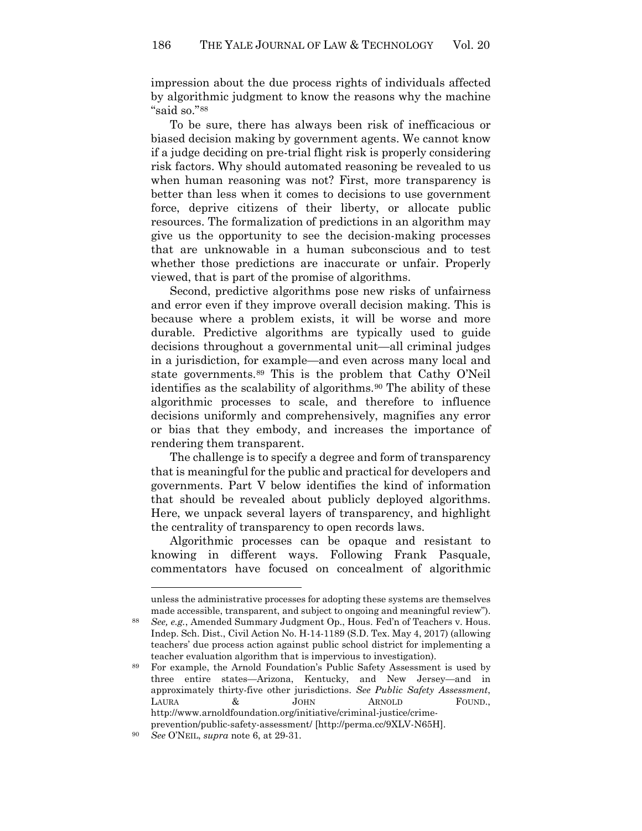impression about the due process rights of individuals affected by algorithmic judgment to know the reasons why the machine "said so."[88](#page-26-0)

To be sure, there has always been risk of inefficacious or biased decision making by government agents. We cannot know if a judge deciding on pre-trial flight risk is properly considering risk factors. Why should automated reasoning be revealed to us when human reasoning was not? First, more transparency is better than less when it comes to decisions to use government force, deprive citizens of their liberty, or allocate public resources. The formalization of predictions in an algorithm may give us the opportunity to see the decision-making processes that are unknowable in a human subconscious and to test whether those predictions are inaccurate or unfair. Properly viewed, that is part of the promise of algorithms.

<span id="page-26-3"></span>Second, predictive algorithms pose new risks of unfairness and error even if they improve overall decision making. This is because where a problem exists, it will be worse and more durable. Predictive algorithms are typically used to guide decisions throughout a governmental unit—all criminal judges in a jurisdiction, for example—and even across many local and state governments.[89](#page-26-1) This is the problem that Cathy O'Neil identifies as the scalability of algorithms.[90](#page-26-2) The ability of these algorithmic processes to scale, and therefore to influence decisions uniformly and comprehensively, magnifies any error or bias that they embody, and increases the importance of rendering them transparent.

The challenge is to specify a degree and form of transparency that is meaningful for the public and practical for developers and governments. Part V below identifies the kind of information that should be revealed about publicly deployed algorithms. Here, we unpack several layers of transparency, and highlight the centrality of transparency to open records laws.

Algorithmic processes can be opaque and resistant to knowing in different ways. Following Frank Pasquale, commentators have focused on concealment of algorithmic

unless the administrative processes for adopting these systems are themselves made accessible, transparent, and subject to ongoing and meaningful review").

<span id="page-26-0"></span><sup>88</sup> *See, e.g.*, Amended Summary Judgment Op., Hous. Fed'n of Teachers v. Hous. Indep. Sch. Dist., Civil Action No. H-14-1189 (S.D. Tex. May 4, 2017) (allowing teachers' due process action against public school district for implementing a teacher evaluation algorithm that is impervious to investigation). 89 For example, the Arnold Foundation's Public Safety Assessment is used by

<span id="page-26-1"></span>three entire states—Arizona, Kentucky, and New Jersey—and in approximately thirty-five other jurisdictions. *See Public Safety Assessment*, LAURA  $\&$  JOHN ARNOLD FOUND., http://www.arnoldfoundation.org/initiative/criminal-justice/crimeprevention/public-safety-assessment/ [http://perma.cc/9XLV-N65H].

<span id="page-26-2"></span><sup>90</sup> *See* O'NEIL, *supra* note [6,](#page-4-4) at 29-31.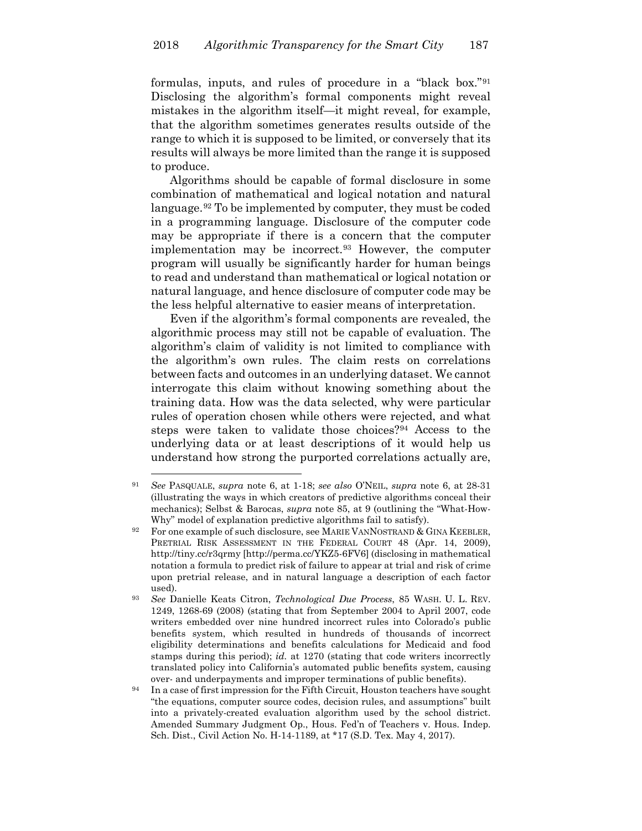formulas, inputs, and rules of procedure in a "black box."[91](#page-27-0) Disclosing the algorithm's formal components might reveal mistakes in the algorithm itself—it might reveal, for example, that the algorithm sometimes generates results outside of the range to which it is supposed to be limited, or conversely that its results will always be more limited than the range it is supposed to produce.

Algorithms should be capable of formal disclosure in some combination of mathematical and logical notation and natural language.[92](#page-27-1) To be implemented by computer, they must be coded in a programming language. Disclosure of the computer code may be appropriate if there is a concern that the computer implementation may be incorrect.[93](#page-27-2) However, the computer program will usually be significantly harder for human beings to read and understand than mathematical or logical notation or natural language, and hence disclosure of computer code may be the less helpful alternative to easier means of interpretation.

Even if the algorithm's formal components are revealed, the algorithmic process may still not be capable of evaluation. The algorithm's claim of validity is not limited to compliance with the algorithm's own rules. The claim rests on correlations between facts and outcomes in an underlying dataset. We cannot interrogate this claim without knowing something about the training data. How was the data selected, why were particular rules of operation chosen while others were rejected, and what steps were taken to validate those choices[?94](#page-27-3) Access to the underlying data or at least descriptions of it would help us understand how strong the purported correlations actually are,

<span id="page-27-0"></span><sup>91</sup> *See* PASQUALE, *supra* note [6,](#page-4-4) at 1-18; *see also* O'NEIL, *supra* note [6,](#page-4-4) at 28-31 (illustrating the ways in which creators of predictive algorithms conceal their mechanics); Selbst & Barocas, *supra* note [85,](#page-25-3) at 9 (outlining the "What-How-Why" model of explanation predictive algorithms fail to satisfy).

<span id="page-27-1"></span><sup>&</sup>lt;sup>92</sup> For one example of such disclosure, see MARIE VANNOSTRAND  $\&$  GINA KEEBLER, PRETRIAL RISK ASSESSMENT IN THE FEDERAL COURT 48 (Apr. 14, 2009), http://tiny.cc/r3qrmy [http://perma.cc/YKZ5-6FV6] (disclosing in mathematical notation a formula to predict risk of failure to appear at trial and risk of crime upon pretrial release, and in natural language a description of each factor used).

<span id="page-27-2"></span><sup>93</sup> *See* Danielle Keats Citron, *Technological Due Process*, 85 WASH. U. L. REV. 1249, 1268-69 (2008) (stating that from September 2004 to April 2007, code writers embedded over nine hundred incorrect rules into Colorado's public benefits system, which resulted in hundreds of thousands of incorrect eligibility determinations and benefits calculations for Medicaid and food stamps during this period); *id.* at 1270 (stating that code writers incorrectly translated policy into California's automated public benefits system, causing over- and underpayments and improper terminations of public benefits).

<span id="page-27-3"></span><sup>&</sup>lt;sup>94</sup> In a case of first impression for the Fifth Circuit, Houston teachers have sought "the equations, computer source codes, decision rules, and assumptions" built into a privately-created evaluation algorithm used by the school district. Amended Summary Judgment Op., Hous. Fed'n of Teachers v. Hous. Indep. Sch. Dist., Civil Action No. H-14-1189, at \*17 (S.D. Tex. May 4, 2017).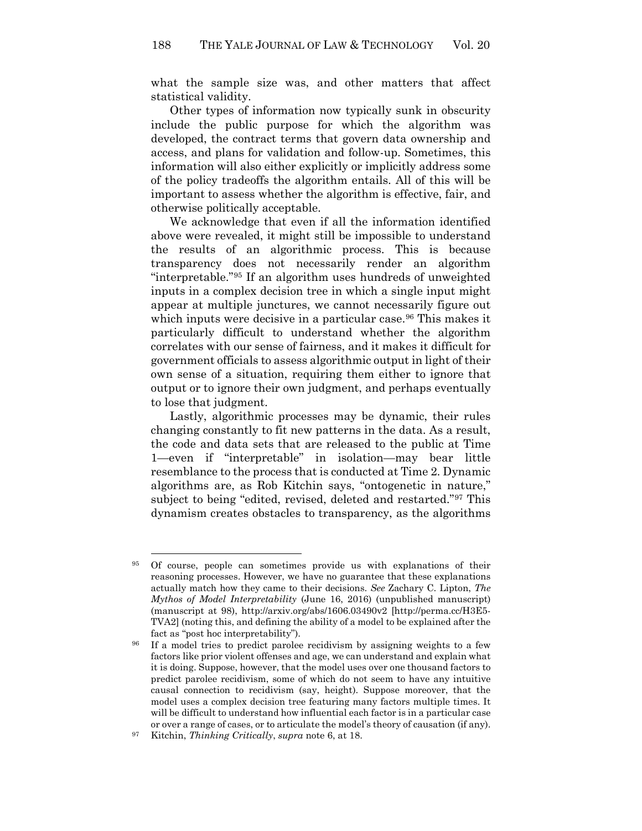what the sample size was, and other matters that affect statistical validity.

Other types of information now typically sunk in obscurity include the public purpose for which the algorithm was developed, the contract terms that govern data ownership and access, and plans for validation and follow-up. Sometimes, this information will also either explicitly or implicitly address some of the policy tradeoffs the algorithm entails. All of this will be important to assess whether the algorithm is effective, fair, and otherwise politically acceptable.

We acknowledge that even if all the information identified above were revealed, it might still be impossible to understand the results of an algorithmic process. This is because transparency does not necessarily render an algorithm "interpretable."[95](#page-28-0) If an algorithm uses hundreds of unweighted inputs in a complex decision tree in which a single input might appear at multiple junctures, we cannot necessarily figure out which inputs were decisive in a particular case.<sup>[96](#page-28-1)</sup> This makes it particularly difficult to understand whether the algorithm correlates with our sense of fairness, and it makes it difficult for government officials to assess algorithmic output in light of their own sense of a situation, requiring them either to ignore that output or to ignore their own judgment, and perhaps eventually to lose that judgment.

Lastly, algorithmic processes may be dynamic, their rules changing constantly to fit new patterns in the data. As a result, the code and data sets that are released to the public at Time 1—even if "interpretable" in isolation—may bear little resemblance to the process that is conducted at Time 2. Dynamic algorithms are, as Rob Kitchin says, "ontogenetic in nature," subject to being "edited, revised, deleted and restarted."[97](#page-28-2) This dynamism creates obstacles to transparency, as the algorithms

<span id="page-28-0"></span><sup>&</sup>lt;sup>95</sup> Of course, people can sometimes provide us with explanations of their reasoning processes. However, we have no guarantee that these explanations actually match how they came to their decisions. *See* Zachary C. Lipton, *The Mythos of Model Interpretability* (June 16, 2016) (unpublished manuscript) (manuscript at 98), http://arxiv.org/abs/1606.03490v2 [http://perma.cc/H3E5- TVA2] (noting this, and defining the ability of a model to be explained after the fact as "post hoc interpretability").

<span id="page-28-1"></span><sup>96</sup> If a model tries to predict parolee recidivism by assigning weights to a few factors like prior violent offenses and age, we can understand and explain what it is doing. Suppose, however, that the model uses over one thousand factors to predict parolee recidivism, some of which do not seem to have any intuitive causal connection to recidivism (say, height). Suppose moreover, that the model uses a complex decision tree featuring many factors multiple times. It will be difficult to understand how influential each factor is in a particular case or over a range of cases, or to articulate the model's theory of causation (if any).

<span id="page-28-2"></span><sup>97</sup> Kitchin, *Thinking Critically*, *supra* note [6,](#page-4-4) at 18.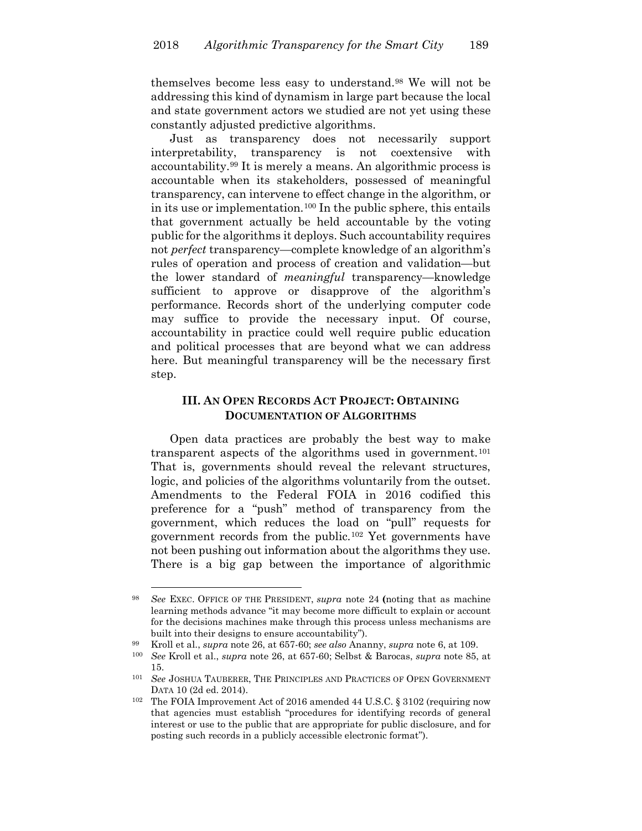themselves become less easy to understand.[98](#page-29-0) We will not be addressing this kind of dynamism in large part because the local and state government actors we studied are not yet using these constantly adjusted predictive algorithms.

Just as transparency does not necessarily support interpretability, transparency is not coextensive with accountability[.99](#page-29-1) It is merely a means. An algorithmic process is accountable when its stakeholders, possessed of meaningful transparency, can intervene to effect change in the algorithm, or in its use or implementation.[100](#page-29-2) In the public sphere, this entails that government actually be held accountable by the voting public for the algorithms it deploys. Such accountability requires not *perfect* transparency—complete knowledge of an algorithm's rules of operation and process of creation and validation—but the lower standard of *meaningful* transparency—knowledge sufficient to approve or disapprove of the algorithm's performance. Records short of the underlying computer code may suffice to provide the necessary input. Of course, accountability in practice could well require public education and political processes that are beyond what we can address here. But meaningful transparency will be the necessary first step.

## **III. AN OPEN RECORDS ACT PROJECT: OBTAINING DOCUMENTATION OF ALGORITHMS**

Open data practices are probably the best way to make transparent aspects of the algorithms used in government.<sup>[101](#page-29-3)</sup> That is, governments should reveal the relevant structures, logic, and policies of the algorithms voluntarily from the outset. Amendments to the Federal FOIA in 2016 codified this preference for a "push" method of transparency from the government, which reduces the load on "pull" requests for government records from the public.[102](#page-29-4) Yet governments have not been pushing out information about the algorithms they use. There is a big gap between the importance of algorithmic

<span id="page-29-0"></span><sup>98</sup> *See* EXEC. OFFICE OF THE PRESIDENT, *supra* note [24](#page-10-3) **(**noting that as machine learning methods advance "it may become more difficult to explain or account for the decisions machines make through this process unless mechanisms are built into their designs to ensure accountability").

<span id="page-29-2"></span><span id="page-29-1"></span><sup>99</sup> Kroll et al., *supra* note [26,](#page-11-8) at 657-60; *see also* Ananny, *supra* not[e 6,](#page-4-4) at 109.

<sup>100</sup> *See* Kroll et al., *supra* note [26,](#page-11-8) at 657-60; Selbst & Barocas, *supra* note [85,](#page-25-3) at 15.

<span id="page-29-3"></span><sup>101</sup> *See* JOSHUA TAUBERER, THE PRINCIPLES AND PRACTICES OF OPEN GOVERNMENT DATA 10 (2d ed. 2014).

<span id="page-29-4"></span><sup>102</sup> The FOIA Improvement Act of 2016 amended 44 U.S.C. § 3102 (requiring now that agencies must establish "procedures for identifying records of general interest or use to the public that are appropriate for public disclosure, and for posting such records in a publicly accessible electronic format").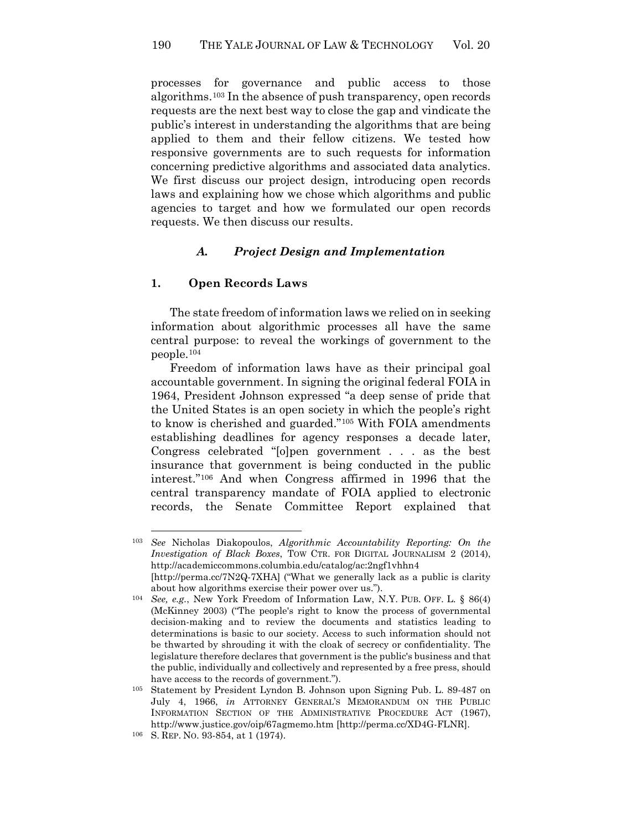processes for governance and public access to those algorithms.[103](#page-30-0) In the absence of push transparency, open records requests are the next best way to close the gap and vindicate the public's interest in understanding the algorithms that are being applied to them and their fellow citizens. We tested how responsive governments are to such requests for information concerning predictive algorithms and associated data analytics. We first discuss our project design, introducing open records laws and explaining how we chose which algorithms and public agencies to target and how we formulated our open records requests. We then discuss our results.

#### *A. Project Design and Implementation*

#### **1. Open Records Laws**

The state freedom of information laws we relied on in seeking information about algorithmic processes all have the same central purpose: to reveal the workings of government to the people.[104](#page-30-1)

Freedom of information laws have as their principal goal accountable government. In signing the original federal FOIA in 1964, President Johnson expressed "a deep sense of pride that the United States is an open society in which the people's right to know is cherished and guarded."[105](#page-30-2) With FOIA amendments establishing deadlines for agency responses a decade later, Congress celebrated "[o]pen government . . . as the best insurance that government is being conducted in the public interest."[106](#page-30-3) And when Congress affirmed in 1996 that the central transparency mandate of FOIA applied to electronic records, the Senate Committee Report explained that

<span id="page-30-0"></span><sup>103</sup> *See* Nicholas Diakopoulos, *Algorithmic Accountability Reporting: On the Investigation of Black Boxes*, TOW CTR. FOR DIGITAL JOURNALISM 2 (2014), http://academiccommons.columbia.edu/catalog/ac:2ngf1vhhn4 [http://perma.cc/7N2Q-7XHA] ("What we generally lack as a public is clarity

<span id="page-30-1"></span>about how algorithms exercise their power over us."). 104 *See, e.g.*, New York Freedom of Information Law, N.Y. PUB. OFF. L. § 86(4) (McKinney 2003) ("The people's right to know the process of governmental decision-making and to review the documents and statistics leading to determinations is basic to our society. Access to such information should not be thwarted by shrouding it with the cloak of secrecy or confidentiality. The legislature therefore declares that government is the public's business and that the public, individually and collectively and represented by a free press, should have access to the records of government.").

<span id="page-30-2"></span><sup>105</sup> Statement by President Lyndon B. Johnson upon Signing Pub. L. 89-487 on July 4, 1966, *in* ATTORNEY GENERAL'S MEMORANDUM ON THE PUBLIC INFORMATION SECTION OF THE ADMINISTRATIVE PROCEDURE ACT (1967), http://www.justice.gov/oip/67agmemo.htm [http://perma.cc/XD4G-FLNR].

<span id="page-30-3"></span><sup>106</sup> S. REP. NO. 93-854, at 1 (1974).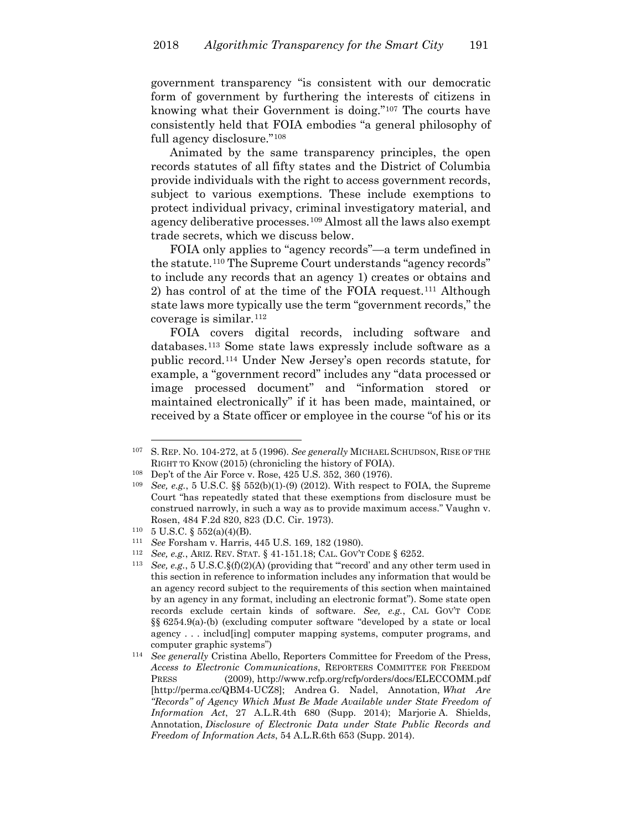government transparency "is consistent with our democratic form of government by furthering the interests of citizens in knowing what their Government is doing."[107](#page-31-1) The courts have consistently held that FOIA embodies "a general philosophy of full agency disclosure."[108](#page-31-2)

Animated by the same transparency principles, the open records statutes of all fifty states and the District of Columbia provide individuals with the right to access government records, subject to various exemptions. These include exemptions to protect individual privacy, criminal investigatory material, and agency deliberative processes.[109](#page-31-3) Almost all the laws also exempt trade secrets, which we discuss below.

FOIA only applies to "agency records"—a term undefined in the statute.[110](#page-31-4) The Supreme Court understands "agency records" to include any records that an agency 1) creates or obtains and 2) has control of at the time of the FOIA request.[111](#page-31-5) Although state laws more typically use the term "government records," the coverage is similar.[112](#page-31-6)

<span id="page-31-0"></span>FOIA covers digital records, including software and databases.[113](#page-31-7) Some state laws expressly include software as a public record.[114](#page-31-8) Under New Jersey's open records statute, for example, a "government record" includes any "data processed or image processed document" and "information stored or maintained electronically" if it has been made, maintained, or received by a State officer or employee in the course "of his or its

<span id="page-31-1"></span><sup>107</sup> S. REP. NO. 104-272, at 5 (1996). *See generally* MICHAEL SCHUDSON, RISE OF THE RIGHT TO KNOW (2015) (chronicling the history of FOIA).

<span id="page-31-2"></span><sup>108</sup> Dep't of the Air Force v. Rose, 425 U.S. 352, 360 (1976).

<span id="page-31-3"></span><sup>&</sup>lt;sup>109</sup> *See, e.g.*, 5 U.S.C.  $\S$  552(b)(1)-(9) (2012). With respect to FOIA, the Supreme Court "has repeatedly stated that these exemptions from disclosure must be construed narrowly, in such a way as to provide maximum access." Vaughn v. Rosen, 484 F.2d 820, 823 (D.C. Cir. 1973).

<span id="page-31-5"></span><span id="page-31-4"></span> $110$  5 U.S.C. §  $552(a)(4)(B)$ .

<sup>111</sup> *See* Forsham v. Harris, 445 U.S. 169, 182 (1980).

<span id="page-31-6"></span><sup>112</sup> *See, e.g.*, ARIZ. REV. STAT. § 41-151.18; CAL. GOV'T CODE § 6252.

<span id="page-31-7"></span><sup>113</sup> *See, e.g.*, 5 U.S.C.§(f)(2)(A) (providing that "'record' and any other term used in this section in reference to information includes any information that would be an agency record subject to the requirements of this section when maintained by an agency in any format, including an electronic format"). Some state open records exclude certain kinds of software. *See, e.g.*, CAL GOV'T CODE §§ 6254.9(a)-(b) (excluding computer software "developed by a state or local agency . . . includ[ing] computer mapping systems, computer programs, and computer graphic systems") 114 *See generally* Cristina Abello, Reporters Committee for Freedom of the Press,

<span id="page-31-8"></span>*Access to Electronic Communications*, REPORTERS COMMITTEE FOR FREEDOM PRESS (2009), http://www.rcfp.org/rcfp/orders/docs/ELECCOMM.pdf [http://perma.cc/QBM4-UCZ8]; Andrea G. Nadel, Annotation, *What Are "Records" of Agency Which Must Be Made Available under State Freedom of Information Act*, 27 A.L.R.4th 680 (Supp. 2014); Marjorie A. Shields, Annotation, *Disclosure of Electronic Data under State Public Records and Freedom of Information Acts*, 54 A.L.R.6th 653 (Supp. 2014).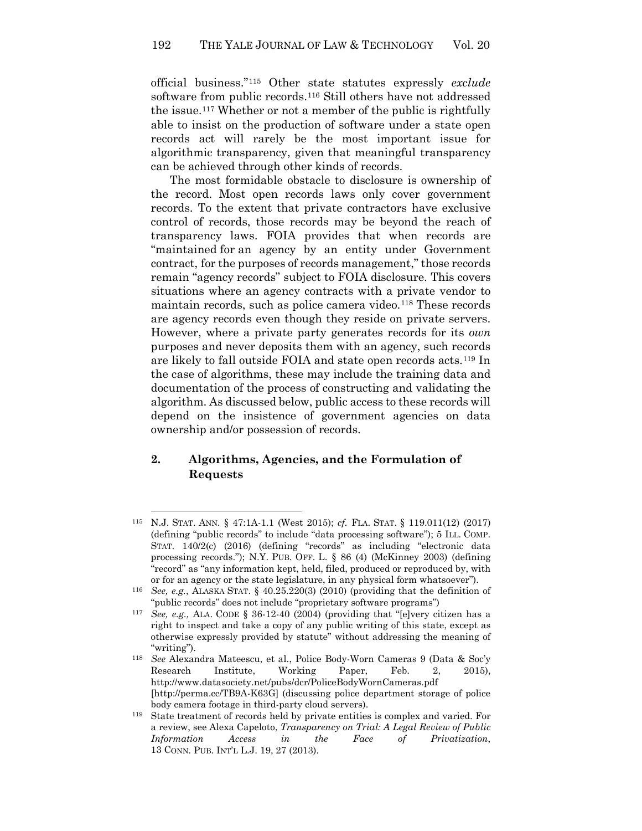<span id="page-32-0"></span>official business."[115](#page-32-1) Other state statutes expressly *exclude*  software from public records.[116](#page-32-2) Still others have not addressed the issue.[117](#page-32-3) Whether or not a member of the public is rightfully able to insist on the production of software under a state open records act will rarely be the most important issue for algorithmic transparency, given that meaningful transparency can be achieved through other kinds of records.

The most formidable obstacle to disclosure is ownership of the record. Most open records laws only cover government records. To the extent that private contractors have exclusive control of records, those records may be beyond the reach of transparency laws. FOIA provides that when records are "maintained for an agency by an entity under Government contract, for the purposes of records management," those records remain "agency records" subject to FOIA disclosure. This covers situations where an agency contracts with a private vendor to maintain records, such as police camera video.<sup>[118](#page-32-4)</sup> These records are agency records even though they reside on private servers. However, where a private party generates records for its *own* purposes and never deposits them with an agency, such records are likely to fall outside FOIA and state open records acts.[119](#page-32-5) In the case of algorithms, these may include the training data and documentation of the process of constructing and validating the algorithm. As discussed below, public access to these records will depend on the insistence of government agencies on data ownership and/or possession of records.

# **2. Algorithms, Agencies, and the Formulation of Requests**

<span id="page-32-1"></span><sup>115</sup> N.J. STAT. ANN. § 47:1A-1.1 (West 2015); *cf.* FLA. STAT. § 119.011(12) (2017) (defining "public records" to include "data processing software"); 5 ILL. COMP. STAT. 140/2(c) (2016) (defining "records" as including "electronic data processing records."); N.Y. PUB. OFF. L. § 86 (4) (McKinney 2003) (defining "record" as "any information kept, held, filed, produced or reproduced by, with

<span id="page-32-2"></span>or for an agency or the state legislature, in any physical form whatsoever"). 116 *See, e.g.*, ALASKA STAT. § 40.25.220(3) (2010) (providing that the definition of "public records" does not include "proprietary software programs")

<span id="page-32-3"></span><sup>117</sup> *See, e.g.,* ALA. CODE § 36-12-40 (2004) (providing that "[e]very citizen has a right to inspect and take a copy of any public writing of this state, except as otherwise expressly provided by statute" without addressing the meaning of "writing").

<span id="page-32-4"></span><sup>118</sup> *See* Alexandra Mateescu, et al., Police Body-Worn Cameras 9 (Data & Soc'y Research Institute, Working Paper, Feb. 2, 2015), http://www.datasociety.net/pubs/dcr/PoliceBodyWornCameras.pdf [http://perma.cc/TB9A-K63G] (discussing police department storage of police

<span id="page-32-5"></span>body camera footage in third-party cloud servers).<br><sup>119</sup> State treatment of records held by private entities is complex and varied. For a review, see Alexa Capeloto, *Transparency on Trial: A Legal Review of Public Information Access in the Face of Privatization*, 13 CONN. PUB. INT'L L.J. 19, 27 (2013).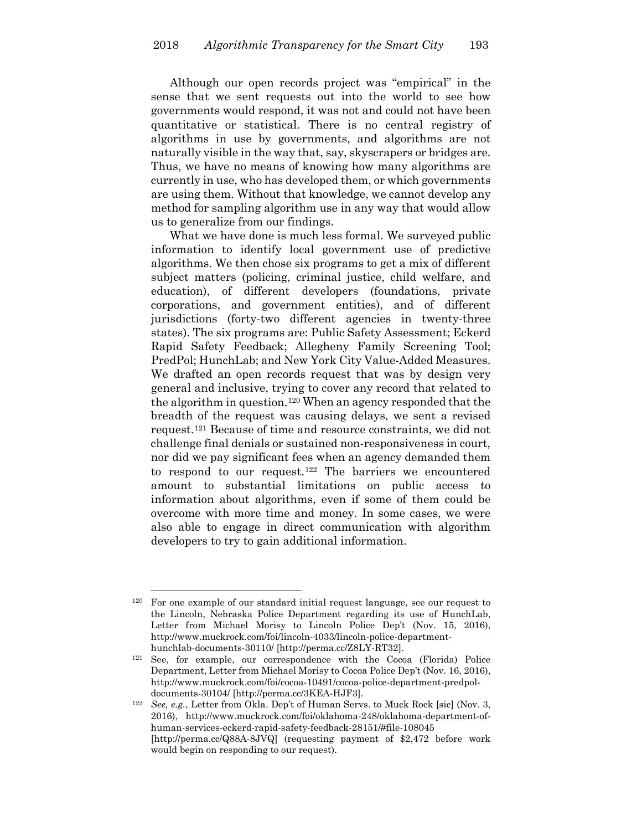Although our open records project was "empirical" in the sense that we sent requests out into the world to see how governments would respond, it was not and could not have been quantitative or statistical. There is no central registry of algorithms in use by governments, and algorithms are not naturally visible in the way that, say, skyscrapers or bridges are. Thus, we have no means of knowing how many algorithms are currently in use, who has developed them, or which governments are using them. Without that knowledge, we cannot develop any method for sampling algorithm use in any way that would allow us to generalize from our findings.

What we have done is much less formal. We surveyed public information to identify local government use of predictive algorithms. We then chose six programs to get a mix of different subject matters (policing, criminal justice, child welfare, and education), of different developers (foundations, private corporations, and government entities), and of different jurisdictions (forty-two different agencies in twenty-three states). The six programs are: Public Safety Assessment; Eckerd Rapid Safety Feedback; Allegheny Family Screening Tool; PredPol; HunchLab; and New York City Value-Added Measures. We drafted an open records request that was by design very general and inclusive, trying to cover any record that related to the algorithm in question.[120](#page-33-0) When an agency responded that the breadth of the request was causing delays, we sent a revised request.[121](#page-33-1) Because of time and resource constraints, we did not challenge final denials or sustained non-responsiveness in court, nor did we pay significant fees when an agency demanded them to respond to our request.[122](#page-33-2) The barriers we encountered amount to substantial limitations on public access to information about algorithms, even if some of them could be overcome with more time and money. In some cases, we were also able to engage in direct communication with algorithm developers to try to gain additional information.

<span id="page-33-0"></span> $120$  For one example of our standard initial request language, see our request to the Lincoln, Nebraska Police Department regarding its use of HunchLab, Letter from Michael Morisy to Lincoln Police Dep't (Nov. 15, 2016), http://www.muckrock.com/foi/lincoln-4033/lincoln-police-departmenthunchlab-documents-30110/ [http://perma.cc/Z8LY-RT32].

<span id="page-33-1"></span><sup>121</sup> See, for example, our correspondence with the Cocoa (Florida) Police Department, Letter from Michael Morisy to Cocoa Police Dep't (Nov. 16, 2016), http://www.muckrock.com/foi/cocoa-10491/cocoa-police-department-predpoldocuments-30104/ [http://perma.cc/3KEA-HJF3].

<span id="page-33-2"></span><sup>122</sup> *See, e.g.*, Letter from Okla. Dep't of Human Servs. to Muck Rock [sic] (Nov. 3, 2016), http://www.muckrock.com/foi/oklahoma-248/oklahoma-department-ofhuman-services-eckerd-rapid-safety-feedback-28151/#file-108045 [http://perma.cc/Q88A-8JVQ] (requesting payment of \$2,472 before work would begin on responding to our request).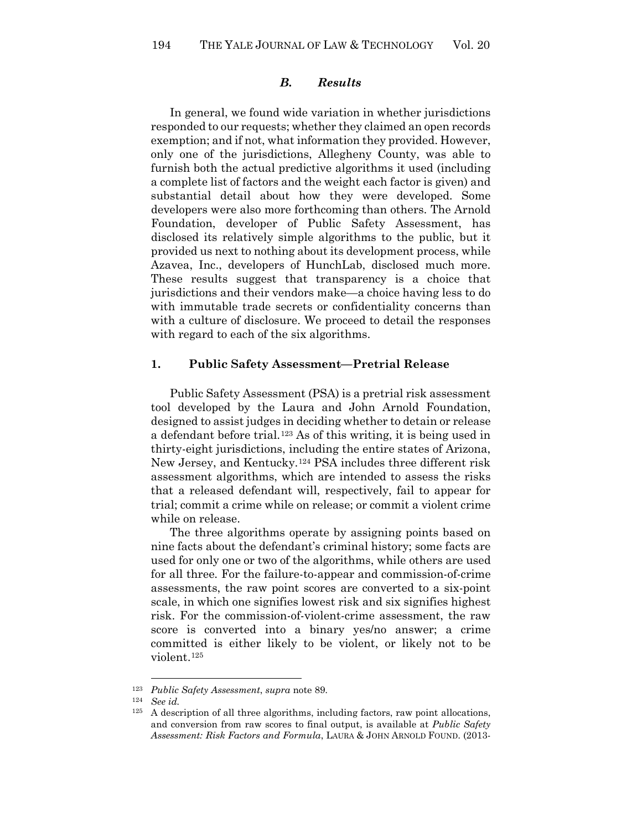#### *B. Results*

In general, we found wide variation in whether jurisdictions responded to our requests; whether they claimed an open records exemption; and if not, what information they provided. However, only one of the jurisdictions, Allegheny County, was able to furnish both the actual predictive algorithms it used (including a complete list of factors and the weight each factor is given) and substantial detail about how they were developed. Some developers were also more forthcoming than others. The Arnold Foundation, developer of Public Safety Assessment, has disclosed its relatively simple algorithms to the public, but it provided us next to nothing about its development process, while Azavea, Inc., developers of HunchLab, disclosed much more. These results suggest that transparency is a choice that jurisdictions and their vendors make—a choice having less to do with immutable trade secrets or confidentiality concerns than with a culture of disclosure. We proceed to detail the responses with regard to each of the six algorithms.

#### **1. Public Safety Assessment—Pretrial Release**

<span id="page-34-0"></span>Public Safety Assessment (PSA) is a pretrial risk assessment tool developed by the Laura and John Arnold Foundation, designed to assist judges in deciding whether to detain or release a defendant before trial.<sup>[123](#page-34-1)</sup> As of this writing, it is being used in thirty-eight jurisdictions, including the entire states of Arizona, New Jersey, and Kentucky.[124](#page-34-2) PSA includes three different risk assessment algorithms, which are intended to assess the risks that a released defendant will, respectively, fail to appear for trial; commit a crime while on release; or commit a violent crime while on release.

The three algorithms operate by assigning points based on nine facts about the defendant's criminal history; some facts are used for only one or two of the algorithms, while others are used for all three. For the failure-to-appear and commission-of-crime assessments, the raw point scores are converted to a six-point scale, in which one signifies lowest risk and six signifies highest risk. For the commission-of-violent-crime assessment, the raw score is converted into a binary yes/no answer; a crime committed is either likely to be violent, or likely not to be violent.[125](#page-34-3)

<span id="page-34-2"></span><span id="page-34-1"></span><sup>123</sup> *Public Safety Assessment*, *supra* note [89.](#page-26-3)

<sup>124</sup> *See id.*

<span id="page-34-3"></span><sup>125</sup> A description of all three algorithms, including factors, raw point allocations, and conversion from raw scores to final output, is available at *Public Safety Assessment: Risk Factors and Formula*, LAURA & JOHN ARNOLD FOUND. (2013-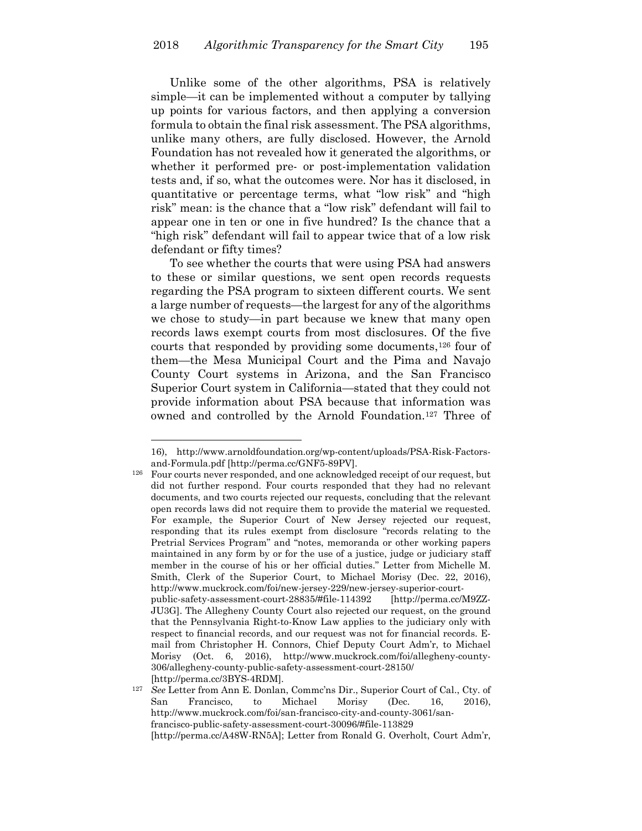Unlike some of the other algorithms, PSA is relatively simple—it can be implemented without a computer by tallying up points for various factors, and then applying a conversion formula to obtain the final risk assessment. The PSA algorithms, unlike many others, are fully disclosed. However, the Arnold Foundation has not revealed how it generated the algorithms, or whether it performed pre- or post-implementation validation tests and, if so, what the outcomes were. Nor has it disclosed, in quantitative or percentage terms, what "low risk" and "high risk" mean: is the chance that a "low risk" defendant will fail to appear one in ten or one in five hundred? Is the chance that a "high risk" defendant will fail to appear twice that of a low risk defendant or fifty times?

To see whether the courts that were using PSA had answers to these or similar questions, we sent open records requests regarding the PSA program to sixteen different courts. We sent a large number of requests—the largest for any of the algorithms we chose to study—in part because we knew that many open records laws exempt courts from most disclosures. Of the five courts that responded by providing some documents,[126](#page-35-0) four of them—the Mesa Municipal Court and the Pima and Navajo County Court systems in Arizona, and the San Francisco Superior Court system in California—stated that they could not provide information about PSA because that information was owned and controlled by the Arnold Foundation.[127](#page-35-1) Three of

[http://perma.cc/3BYS-4RDM].

<sup>16),</sup> http://www.arnoldfoundation.org/wp-content/uploads/PSA-Risk-Factorsand-Formula.pdf [http://perma.cc/GNF5-89PV].

<span id="page-35-0"></span><sup>126</sup> Four courts never responded, and one acknowledged receipt of our request, but did not further respond. Four courts responded that they had no relevant documents, and two courts rejected our requests, concluding that the relevant open records laws did not require them to provide the material we requested. For example, the Superior Court of New Jersey rejected our request, responding that its rules exempt from disclosure "records relating to the Pretrial Services Program" and "notes, memoranda or other working papers maintained in any form by or for the use of a justice, judge or judiciary staff member in the course of his or her official duties." Letter from Michelle M. Smith, Clerk of the Superior Court, to Michael Morisy (Dec. 22, 2016), http://www.muckrock.com/foi/new-jersey-229/new-jersey-superior-courtpublic-safety-assessment-court-28835/#file-114392 [http://perma.cc/M9ZZ-JU3G]. The Allegheny County Court also rejected our request, on the ground that the Pennsylvania Right-to-Know Law applies to the judiciary only with respect to financial records, and our request was not for financial records. Email from Christopher H. Connors, Chief Deputy Court Adm'r, to Michael Morisy (Oct. 6, 2016), http://www.muckrock.com/foi/allegheny-county-306/allegheny-county-public-safety-assessment-court-28150/

<span id="page-35-1"></span><sup>127</sup> *See* Letter from Ann E. Donlan, Commc'ns Dir., Superior Court of Cal., Cty. of San Francisco, to Michael Morisy (Dec. 16, 2016), http://www.muckrock.com/foi/san-francisco-city-and-county-3061/sanfrancisco-public-safety-assessment-court-30096/#file-113829 [http://perma.cc/A48W-RN5A]; Letter from Ronald G. Overholt, Court Adm'r,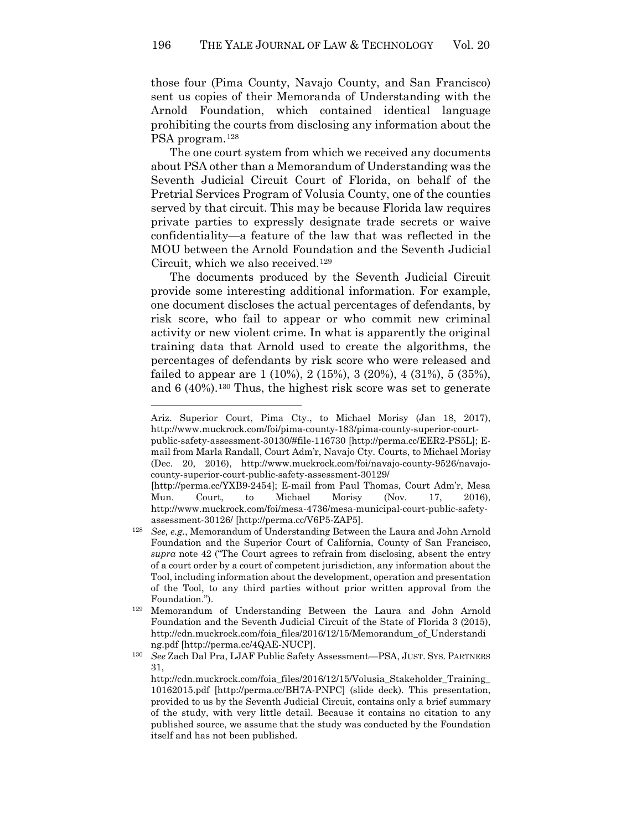those four (Pima County, Navajo County, and San Francisco) sent us copies of their Memoranda of Understanding with the Arnold Foundation, which contained identical language prohibiting the courts from disclosing any information about the PSA program.<sup>[128](#page-36-0)</sup>

<span id="page-36-5"></span>The one court system from which we received any documents about PSA other than a Memorandum of Understanding was the Seventh Judicial Circuit Court of Florida, on behalf of the Pretrial Services Program of Volusia County, one of the counties served by that circuit. This may be because Florida law requires private parties to expressly designate trade secrets or waive confidentiality—a feature of the law that was reflected in the MOU between the Arnold Foundation and the Seventh Judicial Circuit, which we also received.<sup>[129](#page-36-1)</sup>

<span id="page-36-4"></span>The documents produced by the Seventh Judicial Circuit provide some interesting additional information. For example, one document discloses the actual percentages of defendants, by risk score, who fail to appear or who commit new criminal activity or new violent crime. In what is apparently the original training data that Arnold used to create the algorithms, the percentages of defendants by risk score who were released and failed to appear are 1 (10%), 2 (15%), 3 (20%), 4 (31%), 5 (35%), and 6 (40%).[130](#page-36-2) Thus, the highest risk score was set to generate

<span id="page-36-3"></span>Ariz. Superior Court, Pima Cty., to Michael Morisy (Jan 18, 2017), http://www.muckrock.com/foi/pima-county-183/pima-county-superior-courtpublic-safety-assessment-30130/#file-116730 [http://perma.cc/EER2-PS5L]; Email from Marla Randall, Court Adm'r, Navajo Cty. Courts, to Michael Morisy

<sup>(</sup>Dec. 20, 2016), http://www.muckrock.com/foi/navajo-county-9526/navajocounty-superior-court-public-safety-assessment-30129/

<sup>[</sup>http://perma.cc/YXB9-2454]; E-mail from Paul Thomas, Court Adm'r, Mesa Mun. Court, to Michael Morisy (Nov. 17, 2016), http://www.muckrock.com/foi/mesa-4736/mesa-municipal-court-public-safetyassessment-30126/ [http://perma.cc/V6P5-ZAP5].

<span id="page-36-0"></span><sup>128</sup> *See, e.g.*, Memorandum of Understanding Between the Laura and John Arnold Foundation and the Superior Court of California, County of San Francisco, *supra* note [42](#page-14-0) ("The Court agrees to refrain from disclosing, absent the entry of a court order by a court of competent jurisdiction, any information about the Tool, including information about the development, operation and presentation of the Tool, to any third parties without prior written approval from the Foundation.").

<span id="page-36-1"></span><sup>129</sup> Memorandum of Understanding Between the Laura and John Arnold Foundation and the Seventh Judicial Circuit of the State of Florida 3 (2015), http://cdn.muckrock.com/foia\_files/2016/12/15/Memorandum\_of\_Understandi ng.pdf [http://perma.cc/4QAE-NUCP].

<span id="page-36-2"></span><sup>130</sup> *See* Zach Dal Pra, LJAF Public Safety Assessment—PSA, JUST. SYS. PARTNERS 31,

http://cdn.muckrock.com/foia\_files/2016/12/15/Volusia\_Stakeholder\_Training\_ 10162015.pdf [http://perma.cc/BH7A-PNPC] (slide deck). This presentation, provided to us by the Seventh Judicial Circuit, contains only a brief summary of the study, with very little detail. Because it contains no citation to any published source, we assume that the study was conducted by the Foundation itself and has not been published.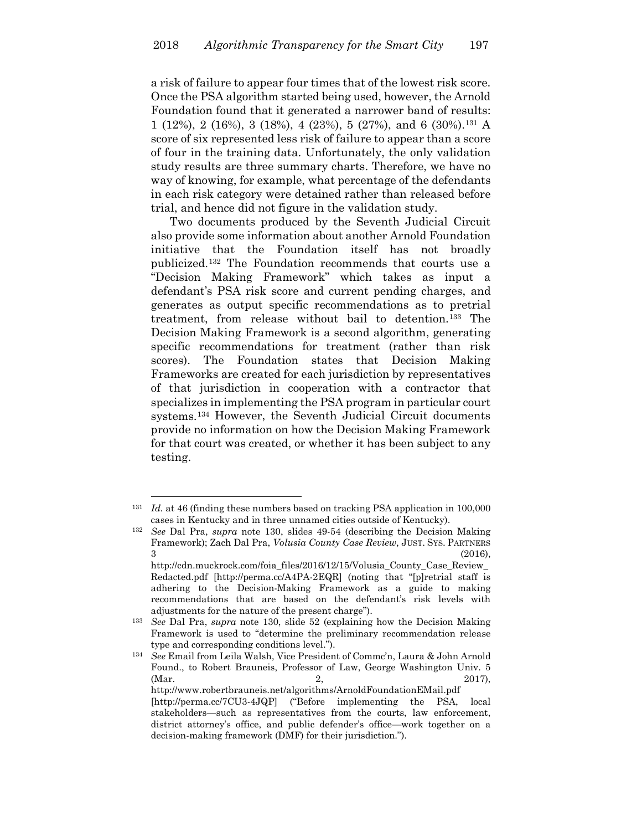a risk of failure to appear four times that of the lowest risk score. Once the PSA algorithm started being used, however, the Arnold Foundation found that it generated a narrower band of results: 1 (12%), 2 (16%), 3 (18%), 4 (23%), 5 (27%), and 6 (30%).<sup>[131](#page-37-0)</sup> A score of six represented less risk of failure to appear than a score of four in the training data. Unfortunately, the only validation study results are three summary charts. Therefore, we have no way of knowing, for example, what percentage of the defendants in each risk category were detained rather than released before trial, and hence did not figure in the validation study.

<span id="page-37-4"></span>Two documents produced by the Seventh Judicial Circuit also provide some information about another Arnold Foundation initiative that the Foundation itself has not broadly publicized.[132](#page-37-1) The Foundation recommends that courts use a "Decision Making Framework" which takes as input a defendant's PSA risk score and current pending charges, and generates as output specific recommendations as to pretrial treatment, from release without bail to detention.[133](#page-37-2) The Decision Making Framework is a second algorithm, generating specific recommendations for treatment (rather than risk scores). The Foundation states that Decision Making Frameworks are created for each jurisdiction by representatives of that jurisdiction in cooperation with a contractor that specializes in implementing the PSA program in particular court systems.[134](#page-37-3) However, the Seventh Judicial Circuit documents provide no information on how the Decision Making Framework for that court was created, or whether it has been subject to any testing.

<span id="page-37-0"></span><sup>&</sup>lt;sup>131</sup> *Id.* at 46 (finding these numbers based on tracking PSA application in 100,000 cases in Kentucky and in three unnamed cities outside of Kentucky).

<span id="page-37-1"></span><sup>132</sup> *See* Dal Pra, *supra* note [130,](#page-36-3) slides 49-54 (describing the Decision Making Framework); Zach Dal Pra, *Volusia County Case Review*, JUST. SYS. PARTNERS  $3 \t (2016),$ http://cdn.muckrock.com/foia\_files/2016/12/15/Volusia\_County\_Case\_Review\_

Redacted.pdf [http://perma.cc/A4PA-2EQR] (noting that "[p]retrial staff is adhering to the Decision-Making Framework as a guide to making recommendations that are based on the defendant's risk levels with adjustments for the nature of the present charge").

<span id="page-37-2"></span><sup>133</sup> *See* Dal Pra, *supra* note [130,](#page-36-3) slide 52 (explaining how the Decision Making Framework is used to "determine the preliminary recommendation release type and corresponding conditions level.").

<span id="page-37-3"></span><sup>134</sup> *See* Email from Leila Walsh, Vice President of Commc'n, Laura & John Arnold Found., to Robert Brauneis, Professor of Law, George Washington Univ. 5 (Mar. 2, 2017), http://www.robertbrauneis.net/algorithms/ArnoldFoundationEMail.pdf [http://perma.cc/7CU3-4JQP] ("Before implementing the PSA, local stakeholders—such as representatives from the courts, law enforcement, district attorney's office, and public defender's office—work together on a decision-making framework (DMF) for their jurisdiction.").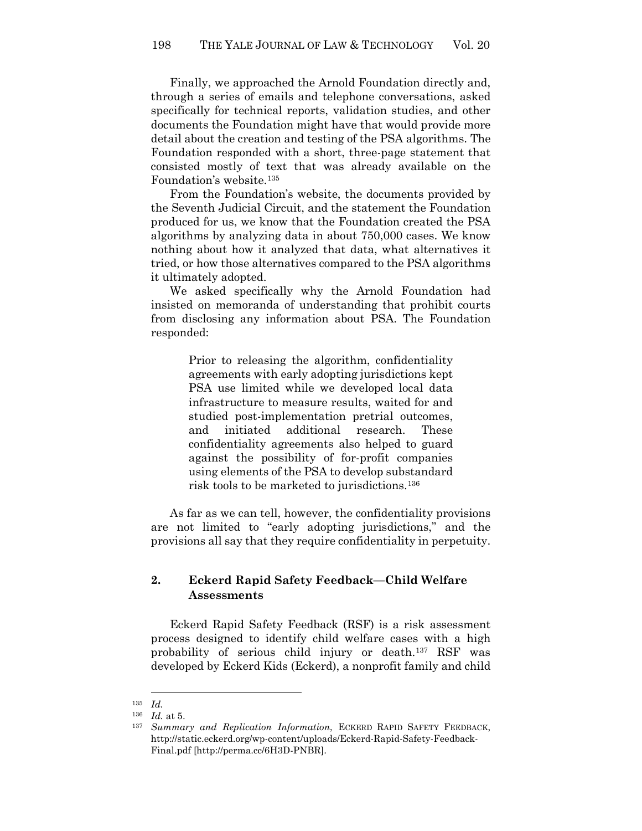Finally, we approached the Arnold Foundation directly and, through a series of emails and telephone conversations, asked specifically for technical reports, validation studies, and other documents the Foundation might have that would provide more detail about the creation and testing of the PSA algorithms. The Foundation responded with a short, three-page statement that consisted mostly of text that was already available on the Foundation's website.[135](#page-38-0)

From the Foundation's website, the documents provided by the Seventh Judicial Circuit, and the statement the Foundation produced for us, we know that the Foundation created the PSA algorithms by analyzing data in about 750,000 cases. We know nothing about how it analyzed that data, what alternatives it tried, or how those alternatives compared to the PSA algorithms it ultimately adopted.

We asked specifically why the Arnold Foundation had insisted on memoranda of understanding that prohibit courts from disclosing any information about PSA. The Foundation responded:

> Prior to releasing the algorithm, confidentiality agreements with early adopting jurisdictions kept PSA use limited while we developed local data infrastructure to measure results, waited for and studied post-implementation pretrial outcomes, and initiated additional research. These confidentiality agreements also helped to guard against the possibility of for-profit companies using elements of the PSA to develop substandard risk tools to be marketed to jurisdictions.[136](#page-38-1)

As far as we can tell, however, the confidentiality provisions are not limited to "early adopting jurisdictions," and the provisions all say that they require confidentiality in perpetuity.

## **2. Eckerd Rapid Safety Feedback—Child Welfare Assessments**

<span id="page-38-3"></span>Eckerd Rapid Safety Feedback (RSF) is a risk assessment process designed to identify child welfare cases with a high probability of serious child injury or death.[137](#page-38-2) RSF was developed by Eckerd Kids (Eckerd), a nonprofit family and child

<span id="page-38-0"></span> $\overline{a}$  $\frac{135}{136}$  *Id.* 

<span id="page-38-2"></span><span id="page-38-1"></span> $\frac{136}{137}$  *Id.* at 5.

Summary and Replication Information, ECKERD RAPID SAFETY FEEDBACK, http://static.eckerd.org/wp-content/uploads/Eckerd-Rapid-Safety-Feedback-Final.pdf [http://perma.cc/6H3D-PNBR].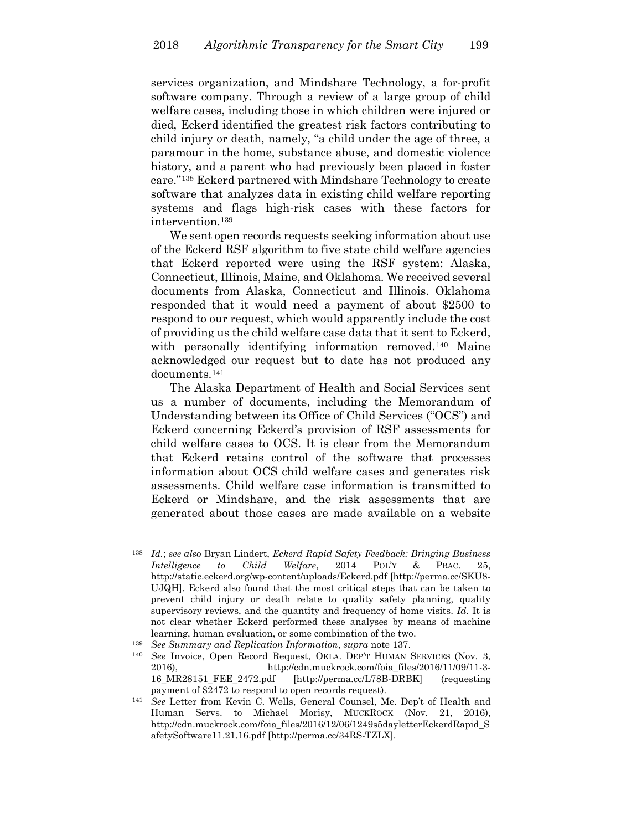services organization, and Mindshare Technology, a for-profit software company. Through a review of a large group of child welfare cases, including those in which children were injured or died, Eckerd identified the greatest risk factors contributing to child injury or death, namely, "a child under the age of three, a paramour in the home, substance abuse, and domestic violence history, and a parent who had previously been placed in foster care."[138](#page-39-0) Eckerd partnered with Mindshare Technology to create software that analyzes data in existing child welfare reporting systems and flags high-risk cases with these factors for intervention[.139](#page-39-1)

We sent open records requests seeking information about use of the Eckerd RSF algorithm to five state child welfare agencies that Eckerd reported were using the RSF system: Alaska, Connecticut, Illinois, Maine, and Oklahoma. We received several documents from Alaska, Connecticut and Illinois. Oklahoma responded that it would need a payment of about \$2500 to respond to our request, which would apparently include the cost of providing us the child welfare case data that it sent to Eckerd, with personally identifying information removed.[140](#page-39-2) Maine acknowledged our request but to date has not produced any documents.<sup>[141](#page-39-3)</sup>

The Alaska Department of Health and Social Services sent us a number of documents, including the Memorandum of Understanding between its Office of Child Services ("OCS") and Eckerd concerning Eckerd's provision of RSF assessments for child welfare cases to OCS. It is clear from the Memorandum that Eckerd retains control of the software that processes information about OCS child welfare cases and generates risk assessments. Child welfare case information is transmitted to Eckerd or Mindshare, and the risk assessments that are generated about those cases are made available on a website

<span id="page-39-0"></span><sup>138</sup> *Id.*; *see also* Bryan Lindert, *Eckerd Rapid Safety Feedback: Bringing Business Intelligence to Child Welfare*, 2014 POL'Y & PRAC. 25, http://static.eckerd.org/wp-content/uploads/Eckerd.pdf [http://perma.cc/SKU8- UJQH]. Eckerd also found that the most critical steps that can be taken to prevent child injury or death relate to quality safety planning, quality supervisory reviews, and the quantity and frequency of home visits. *Id.* It is not clear whether Eckerd performed these analyses by means of machine learning, human evaluation, or some combination of the two.

<span id="page-39-2"></span><span id="page-39-1"></span><sup>&</sup>lt;sup>139</sup> *See Summary and Replication Information, supra* note 137.<br><sup>140</sup> *See* Invoice, Open Record Request, OKLA. DEP'T HUMAN SERVICES (Nov. 3,

<sup>2016),</sup> http://cdn.muckrock.com/foia\_files/2016/11/09/11-3- 16\_MR28151\_FEE\_2472.pdf [http://perma.cc/L78B-DRBK] (requesting payment of \$2472 to respond to open records request).

<span id="page-39-3"></span><sup>141</sup> *See* Letter from Kevin C. Wells, General Counsel, Me. Dep't of Health and Human Servs. to Michael Morisy, MUCKROCK (Nov. 21, 2016), http://cdn.muckrock.com/foia\_files/2016/12/06/1249s5dayletterEckerdRapid\_S afetySoftware11.21.16.pdf [http://perma.cc/34RS-TZLX].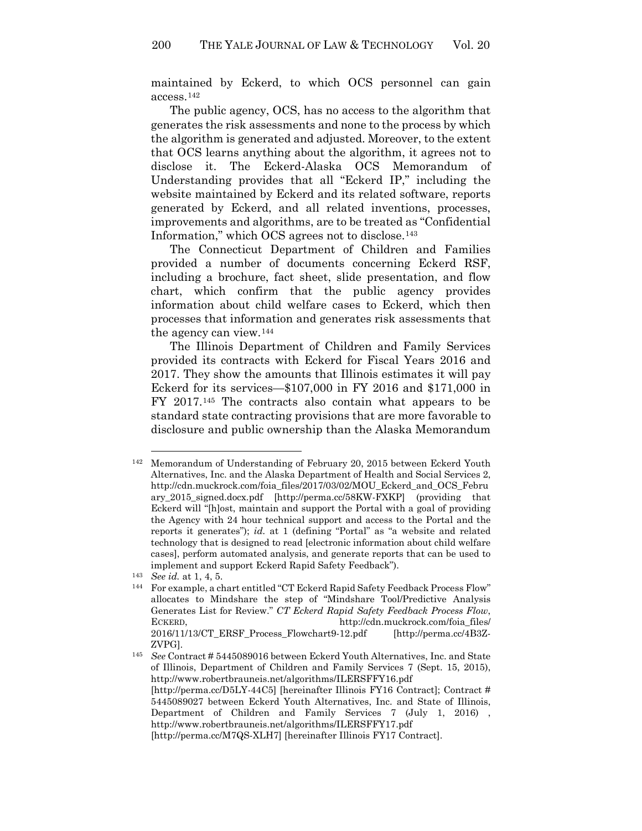<span id="page-40-5"></span>maintained by Eckerd, to which OCS personnel can gain access.[142](#page-40-0)

The public agency, OCS, has no access to the algorithm that generates the risk assessments and none to the process by which the algorithm is generated and adjusted. Moreover, to the extent that OCS learns anything about the algorithm, it agrees not to disclose it. The Eckerd-Alaska OCS Memorandum of Understanding provides that all "Eckerd IP," including the website maintained by Eckerd and its related software, reports generated by Eckerd, and all related inventions, processes, improvements and algorithms, are to be treated as "Confidential Information," which OCS agrees not to disclose.[143](#page-40-1)

The Connecticut Department of Children and Families provided a number of documents concerning Eckerd RSF, including a brochure, fact sheet, slide presentation, and flow chart, which confirm that the public agency provides information about child welfare cases to Eckerd, which then processes that information and generates risk assessments that the agency can view.[144](#page-40-2)

The Illinois Department of Children and Family Services provided its contracts with Eckerd for Fiscal Years 2016 and 2017. They show the amounts that Illinois estimates it will pay Eckerd for its services—\$107,000 in FY 2016 and \$171,000 in FY 2017.[145](#page-40-3) The contracts also contain what appears to be standard state contracting provisions that are more favorable to disclosure and public ownership than the Alaska Memorandum

<span id="page-40-4"></span> $\overline{a}$ 

<span id="page-40-3"></span><sup>145</sup> *See* Contract # 5445089016 between Eckerd Youth Alternatives, Inc. and State of Illinois, Department of Children and Family Services 7 (Sept. 15, 2015), http://www.robertbrauneis.net/algorithms/ILERSFFY16.pdf [http://perma.cc/D5LY-44C5] [hereinafter Illinois FY16 Contract]; Contract # 5445089027 between Eckerd Youth Alternatives, Inc. and State of Illinois, Department of Children and Family Services 7 (July 1, 2016) , http://www.robertbrauneis.net/algorithms/ILERSFFY17.pdf [http://perma.cc/M7QS-XLH7] [hereinafter Illinois FY17 Contract].

<span id="page-40-0"></span><sup>142</sup> Memorandum of Understanding of February 20, 2015 between Eckerd Youth Alternatives, Inc. and the Alaska Department of Health and Social Services 2, http://cdn.muckrock.com/foia\_files/2017/03/02/MOU\_Eckerd\_and\_OCS\_Febru ary\_2015\_signed.docx.pdf [http://perma.cc/58KW-FXKP] (providing that Eckerd will "[h]ost, maintain and support the Portal with a goal of providing the Agency with 24 hour technical support and access to the Portal and the reports it generates"); *id.* at 1 (defining "Portal" as "a website and related technology that is designed to read [electronic information about child welfare cases], perform automated analysis, and generate reports that can be used to implement and support Eckerd Rapid Safety Feedback").

<span id="page-40-1"></span><sup>143</sup> *See id.* at 1, 4, 5.

<span id="page-40-2"></span><sup>144</sup> For example, a chart entitled "CT Eckerd Rapid Safety Feedback Process Flow" allocates to Mindshare the step of "Mindshare Tool/Predictive Analysis Generates List for Review." *CT Eckerd Rapid Safety Feedback Process Flow*, ECKERD, http://cdn.muckrock.com/foia\_files/ 2016/11/13/CT\_ERSF\_Process\_Flowchart9-12.pdf [http://perma.cc/4B3Z-ZVPG].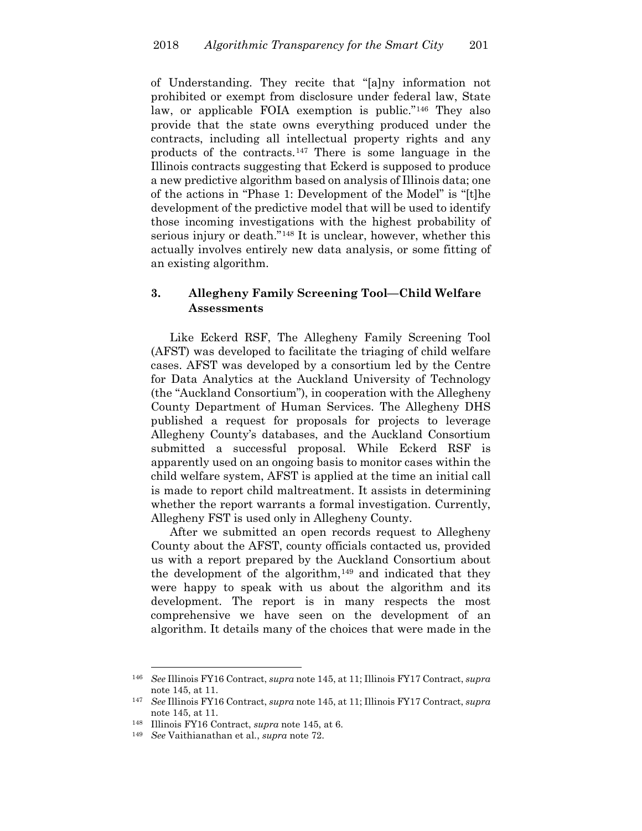of Understanding. They recite that "[a]ny information not prohibited or exempt from disclosure under federal law, State law, or applicable FOIA exemption is public."<sup>[146](#page-41-0)</sup> They also provide that the state owns everything produced under the contracts, including all intellectual property rights and any products of the contracts.[147](#page-41-1) There is some language in the Illinois contracts suggesting that Eckerd is supposed to produce a new predictive algorithm based on analysis of Illinois data; one of the actions in "Phase 1: Development of the Model" is "[t]he development of the predictive model that will be used to identify those incoming investigations with the highest probability of serious injury or death."[148](#page-41-2) It is unclear, however, whether this actually involves entirely new data analysis, or some fitting of an existing algorithm.

## **3. Allegheny Family Screening Tool—Child Welfare Assessments**

Like Eckerd RSF, The Allegheny Family Screening Tool (AFST) was developed to facilitate the triaging of child welfare cases. AFST was developed by a consortium led by the Centre for Data Analytics at the Auckland University of Technology (the "Auckland Consortium"), in cooperation with the Allegheny County Department of Human Services. The Allegheny DHS published a request for proposals for projects to leverage Allegheny County's databases, and the Auckland Consortium submitted a successful proposal. While Eckerd RSF is apparently used on an ongoing basis to monitor cases within the child welfare system, AFST is applied at the time an initial call is made to report child maltreatment. It assists in determining whether the report warrants a formal investigation. Currently, Allegheny FST is used only in Allegheny County.

After we submitted an open records request to Allegheny County about the AFST, county officials contacted us, provided us with a report prepared by the Auckland Consortium about the development of the algorithm,<sup>[149](#page-41-3)</sup> and indicated that they were happy to speak with us about the algorithm and its development. The report is in many respects the most comprehensive we have seen on the development of an algorithm. It details many of the choices that were made in the

<span id="page-41-0"></span><sup>146</sup> *See* Illinois FY16 Contract, *supra* not[e 145,](#page-40-4) at 11; Illinois FY17 Contract, *supra*  not[e 145,](#page-40-4) at 11.

<span id="page-41-1"></span><sup>147</sup> *See* Illinois FY16 Contract, *supra* not[e 145,](#page-40-4) at 11; Illinois FY17 Contract, *supra*  not[e 145,](#page-40-4) at 11.

<span id="page-41-2"></span><sup>148</sup> Illinois FY16 Contract, *supra* note [145,](#page-40-4) at 6.

<span id="page-41-3"></span><sup>149</sup> *See* Vaithianathan et al*.*, *supra* note [72.](#page-21-0)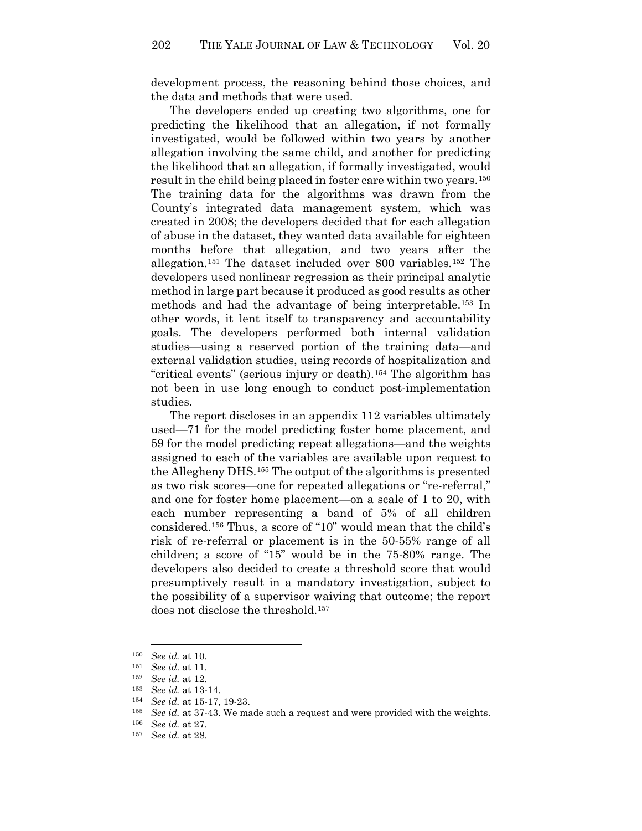development process, the reasoning behind those choices, and the data and methods that were used.

The developers ended up creating two algorithms, one for predicting the likelihood that an allegation, if not formally investigated, would be followed within two years by another allegation involving the same child, and another for predicting the likelihood that an allegation, if formally investigated, would result in the child being placed in foster care within two years.[150](#page-42-0) The training data for the algorithms was drawn from the County's integrated data management system, which was created in 2008; the developers decided that for each allegation of abuse in the dataset, they wanted data available for eighteen months before that allegation, and two years after the allegation.[151](#page-42-1) The dataset included over 800 variables.[152](#page-42-2) The developers used nonlinear regression as their principal analytic method in large part because it produced as good results as other methods and had the advantage of being interpretable.[153](#page-42-3) In other words, it lent itself to transparency and accountability goals. The developers performed both internal validation studies—using a reserved portion of the training data—and external validation studies, using records of hospitalization and "critical events" (serious injury or death).[154](#page-42-4) The algorithm has not been in use long enough to conduct post-implementation studies.

The report discloses in an appendix 112 variables ultimately used—71 for the model predicting foster home placement, and 59 for the model predicting repeat allegations—and the weights assigned to each of the variables are available upon request to the Allegheny DHS.[155](#page-42-5) The output of the algorithms is presented as two risk scores—one for repeated allegations or "re-referral," and one for foster home placement—on a scale of 1 to 20, with each number representing a band of 5% of all children considered.[156](#page-42-6) Thus, a score of "10" would mean that the child's risk of re-referral or placement is in the 50-55% range of all children; a score of "15" would be in the 75-80% range. The developers also decided to create a threshold score that would presumptively result in a mandatory investigation, subject to the possibility of a supervisor waiving that outcome; the report does not disclose the threshold.[157](#page-42-7)

<sup>150</sup> *See id.* at 10.

<span id="page-42-2"></span><span id="page-42-1"></span><span id="page-42-0"></span><sup>151</sup> *See id.* at 11.

<sup>152</sup> *See id.* at 12.

<span id="page-42-3"></span><sup>153</sup> *See id.* at 13-14.

<span id="page-42-4"></span><sup>154</sup> *See id.* at 15-17, 19-23.

<span id="page-42-5"></span><sup>155</sup> *See id.* at 37-43. We made such a request and were provided with the weights.

<span id="page-42-6"></span><sup>156</sup> *See id.* at 27.

<span id="page-42-7"></span><sup>157</sup> *See id.* at 28.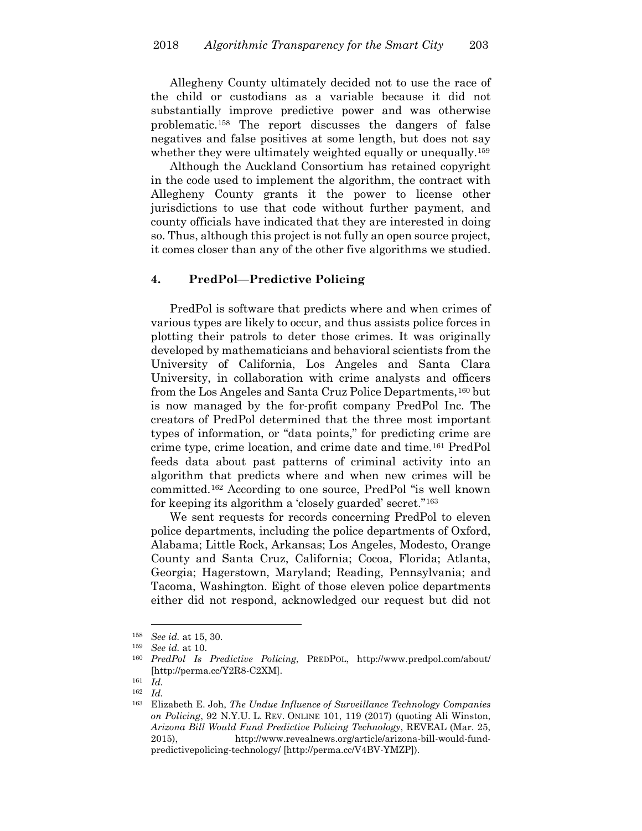Allegheny County ultimately decided not to use the race of the child or custodians as a variable because it did not substantially improve predictive power and was otherwise problematic.[158](#page-43-0) The report discusses the dangers of false negatives and false positives at some length, but does not say whether they were ultimately weighted equally or unequally.<sup>[159](#page-43-1)</sup>

Although the Auckland Consortium has retained copyright in the code used to implement the algorithm, the contract with Allegheny County grants it the power to license other jurisdictions to use that code without further payment, and county officials have indicated that they are interested in doing so. Thus, although this project is not fully an open source project, it comes closer than any of the other five algorithms we studied.

### **4. PredPol—Predictive Policing**

PredPol is software that predicts where and when crimes of various types are likely to occur, and thus assists police forces in plotting their patrols to deter those crimes. It was originally developed by mathematicians and behavioral scientists from the University of California, Los Angeles and Santa Clara University, in collaboration with crime analysts and officers from the Los Angeles and Santa Cruz Police Departments,[160](#page-43-2) but is now managed by the for-profit company PredPol Inc. The creators of PredPol determined that the three most important types of information, or "data points," for predicting crime are crime type, crime location, and crime date and time.[161](#page-43-3) PredPol feeds data about past patterns of criminal activity into an algorithm that predicts where and when new crimes will be committed.[162](#page-43-4) According to one source, PredPol "is well known for keeping its algorithm a 'closely guarded' secret.["163](#page-43-5)

<span id="page-43-6"></span>We sent requests for records concerning PredPol to eleven police departments, including the police departments of Oxford, Alabama; Little Rock, Arkansas; Los Angeles, Modesto, Orange County and Santa Cruz, California; Cocoa, Florida; Atlanta, Georgia; Hagerstown, Maryland; Reading, Pennsylvania; and Tacoma, Washington. Eight of those eleven police departments either did not respond, acknowledged our request but did not

<span id="page-43-0"></span><sup>158</sup> *See id.* at 15, 30.

<span id="page-43-1"></span><sup>159</sup> *See id.* at 10.

<span id="page-43-2"></span><sup>160</sup> *PredPol Is Predictive Policing*, PREDPOL, <http://www.predpol.com/about/> [http://perma.cc/Y2R8-C2XM].

<span id="page-43-4"></span><span id="page-43-3"></span> $\begin{array}{cc} 161 & Id. \\ 162 & Id. \end{array}$ 

*Id.* 

<span id="page-43-5"></span><sup>163</sup> Elizabeth E. Joh, *The Undue Influence of Surveillance Technology Companies on Policing*, 92 N.Y.U. L. REV. ONLINE 101, 119 (2017) (quoting Ali Winston, *Arizona Bill Would Fund Predictive Policing Technology*, REVEAL (Mar. 25, 2015), http://www.revealnews.org/article/arizona-bill-would-fundpredictivepolicing-technology/ [http://perma.cc/V4BV-YMZP]).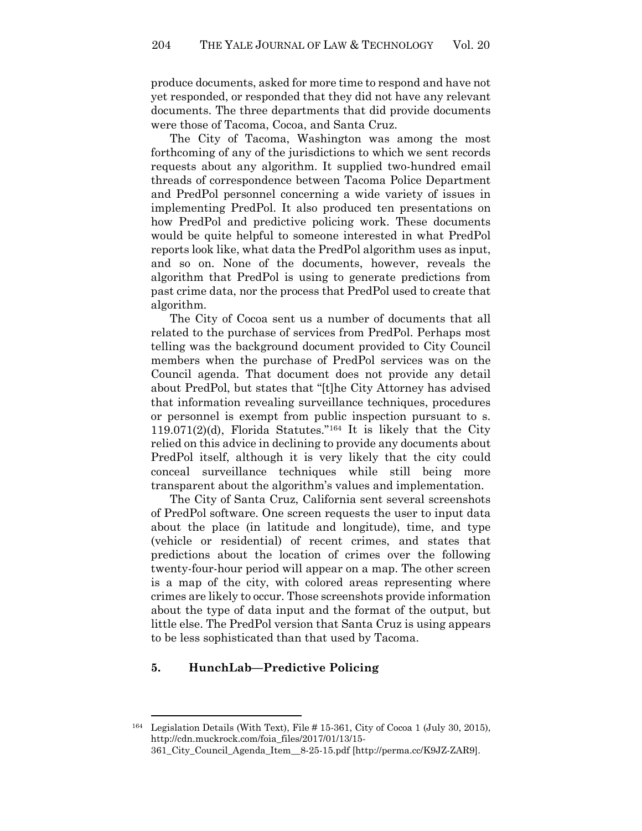produce documents, asked for more time to respond and have not yet responded, or responded that they did not have any relevant documents. The three departments that did provide documents were those of Tacoma, Cocoa, and Santa Cruz.

The City of Tacoma, Washington was among the most forthcoming of any of the jurisdictions to which we sent records requests about any algorithm. It supplied two-hundred email threads of correspondence between Tacoma Police Department and PredPol personnel concerning a wide variety of issues in implementing PredPol. It also produced ten presentations on how PredPol and predictive policing work. These documents would be quite helpful to someone interested in what PredPol reports look like, what data the PredPol algorithm uses as input, and so on. None of the documents, however, reveals the algorithm that PredPol is using to generate predictions from past crime data, nor the process that PredPol used to create that algorithm.

The City of Cocoa sent us a number of documents that all related to the purchase of services from PredPol. Perhaps most telling was the background document provided to City Council members when the purchase of PredPol services was on the Council agenda. That document does not provide any detail about PredPol, but states that "[t]he City Attorney has advised that information revealing surveillance techniques, procedures or personnel is exempt from public inspection pursuant to s. 119.071(2)(d), Florida Statutes."[164](#page-44-0) It is likely that the City relied on this advice in declining to provide any documents about PredPol itself, although it is very likely that the city could conceal surveillance techniques while still being more transparent about the algorithm's values and implementation.

<span id="page-44-1"></span>The City of Santa Cruz, California sent several screenshots of PredPol software. One screen requests the user to input data about the place (in latitude and longitude), time, and type (vehicle or residential) of recent crimes, and states that predictions about the location of crimes over the following twenty-four-hour period will appear on a map. The other screen is a map of the city, with colored areas representing where crimes are likely to occur. Those screenshots provide information about the type of data input and the format of the output, but little else. The PredPol version that Santa Cruz is using appears to be less sophisticated than that used by Tacoma.

### **5. HunchLab—Predictive Policing**

<span id="page-44-0"></span><sup>164</sup> Legislation Details (With Text), File # 15-361, City of Cocoa 1 (July 30, 2015), http://cdn.muckrock.com/foia\_files/2017/01/13/15- 361\_City\_Council\_Agenda\_Item\_\_8-25-15.pdf [http://perma.cc/K9JZ-ZAR9].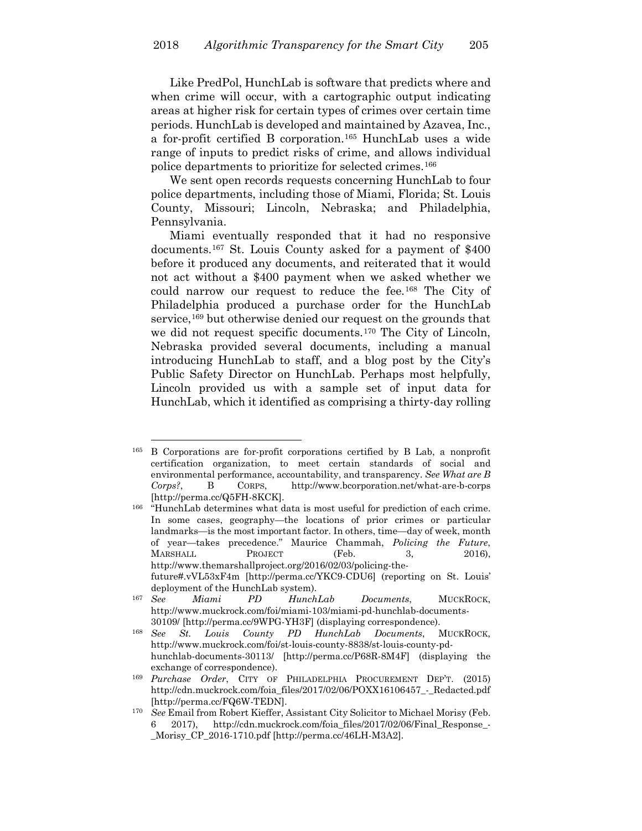Like PredPol, HunchLab is software that predicts where and when crime will occur, with a cartographic output indicating areas at higher risk for certain types of crimes over certain time periods. HunchLab is developed and maintained by Azavea, Inc., a for-profit certified B corporation.[165](#page-45-0) HunchLab uses a wide range of inputs to predict risks of crime, and allows individual police departments to prioritize for selected crimes.[166](#page-45-1)

We sent open records requests concerning HunchLab to four police departments, including those of Miami, Florida; St. Louis County, Missouri; Lincoln, Nebraska; and Philadelphia, Pennsylvania.

Miami eventually responded that it had no responsive documents.[167](#page-45-2) St. Louis County asked for a payment of \$400 before it produced any documents, and reiterated that it would not act without a \$400 payment when we asked whether we could narrow our request to reduce the fee.[168](#page-45-3) The City of Philadelphia produced a purchase order for the HunchLab service,<sup>[169](#page-45-4)</sup> but otherwise denied our request on the grounds that we did not request specific documents.<sup>[170](#page-45-5)</sup> The City of Lincoln, Nebraska provided several documents, including a manual introducing HunchLab to staff, and a blog post by the City's Public Safety Director on HunchLab. Perhaps most helpfully, Lincoln provided us with a sample set of input data for HunchLab, which it identified as comprising a thirty-day rolling

<span id="page-45-0"></span><sup>165</sup> B Corporations are for-profit corporations certified by B Lab, a nonprofit certification organization, to meet certain standards of social and environmental performance, accountability, and transparency. *See What are B Corps?*, B CORPS, http://www.bcorporation.net/what-are-b-corps [http://perma.cc/Q5FH-8KCK].

<span id="page-45-1"></span><sup>166</sup> "HunchLab determines what data is most useful for prediction of each crime. In some cases, geography—the locations of prior crimes or particular landmarks—is the most important factor. In others, time—day of week, month of year—takes precedence." Maurice Chammah, *Policing the Future*, MARSHALL PROJECT (Feb. 3, 2016), http://www.themarshallproject.org/2016/02/03/policing-thefuture#.vVL53xF4m [http://perma.cc/YKC9-CDU6] (reporting on St. Louis' deployment of the HunchLab system).

<span id="page-45-2"></span><sup>167</sup> *See Miami PD HunchLab Documents*, MUCKROCK, http://www.muckrock.com/foi/miami-103/miami-pd-hunchlab-documents-30109/ [http://perma.cc/9WPG-YH3F] (displaying correspondence).

<span id="page-45-3"></span><sup>168</sup> *See St. Louis County PD HunchLab Documents*, MUCKROCK, http://www.muckrock.com/foi/st-louis-county-8838/st-louis-county-pdhunchlab-documents-30113/ [http://perma.cc/P68R-8M4F] (displaying the exchange of correspondence).

<span id="page-45-4"></span><sup>169</sup> *Purchase Order*, CITY OF PHILADELPHIA PROCUREMENT DEP'T. (2015) http://cdn.muckrock.com/foia\_files/2017/02/06/POXX16106457\_-\_Redacted.pdf [http://perma.cc/FQ6W-TEDN]. 170 *See* Email from Robert Kieffer, Assistant City Solicitor to Michael Morisy (Feb.

<span id="page-45-5"></span><sup>6 2017),</sup> http://cdn.muckrock.com/foia\_files/2017/02/06/Final\_Response\_- \_Morisy\_CP\_2016-1710.pdf [http://perma.cc/46LH-M3A2].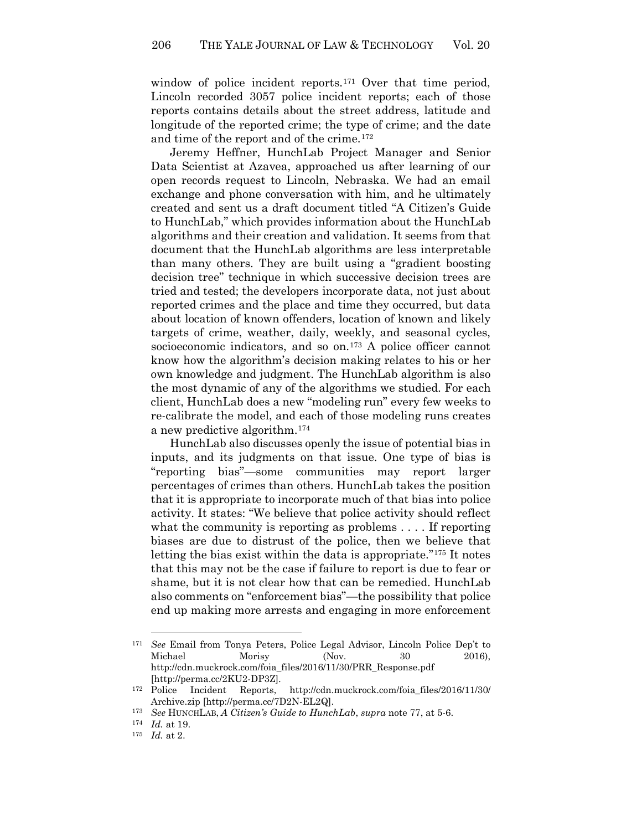<span id="page-46-5"></span>window of police incident reports.<sup>[171](#page-46-0)</sup> Over that time period, Lincoln recorded 3057 police incident reports; each of those reports contains details about the street address, latitude and longitude of the reported crime; the type of crime; and the date and time of the report and of the crime.[172](#page-46-1)

Jeremy Heffner, HunchLab Project Manager and Senior Data Scientist at Azavea, approached us after learning of our open records request to Lincoln, Nebraska. We had an email exchange and phone conversation with him, and he ultimately created and sent us a draft document titled "A Citizen's Guide to HunchLab," which provides information about the HunchLab algorithms and their creation and validation. It seems from that document that the HunchLab algorithms are less interpretable than many others. They are built using a "gradient boosting decision tree" technique in which successive decision trees are tried and tested; the developers incorporate data, not just about reported crimes and the place and time they occurred, but data about location of known offenders, location of known and likely targets of crime, weather, daily, weekly, and seasonal cycles, socioeconomic indicators, and so on.<sup>[173](#page-46-2)</sup> A police officer cannot know how the algorithm's decision making relates to his or her own knowledge and judgment. The HunchLab algorithm is also the most dynamic of any of the algorithms we studied. For each client, HunchLab does a new "modeling run" every few weeks to re-calibrate the model, and each of those modeling runs creates a new predictive algorithm.[174](#page-46-3)

HunchLab also discusses openly the issue of potential bias in inputs, and its judgments on that issue. One type of bias is "reporting bias"—some communities may report larger percentages of crimes than others. HunchLab takes the position that it is appropriate to incorporate much of that bias into police activity. It states: "We believe that police activity should reflect what the community is reporting as problems . . . . If reporting biases are due to distrust of the police, then we believe that letting the bias exist within the data is appropriate."[175](#page-46-4) It notes that this may not be the case if failure to report is due to fear or shame, but it is not clear how that can be remedied. HunchLab also comments on "enforcement bias"—the possibility that police end up making more arrests and engaging in more enforcement

<span id="page-46-0"></span><sup>171</sup> *See* Email from Tonya Peters, Police Legal Advisor, Lincoln Police Dep't to Michael Morisy (Nov. 30 2016), http://cdn.muckrock.com/foia\_files/2016/11/30/PRR\_Response.pdf [http://perma.cc/2KU2-DP3Z].<br><sup>172</sup> Police Incident Reports.

<sup>172</sup> Police Incident Reports, http://cdn.muckrock.com/foia\_files/2016/11/30/ Archive.zip [http://perma.cc/7D2N-EL2Q].

<span id="page-46-2"></span><span id="page-46-1"></span><sup>173</sup> *See* HUNCHLAB, *A Citizen's Guide to HunchLab*, *supra* note [77,](#page-23-0) at 5-6.

<span id="page-46-3"></span><sup>174</sup> *Id.* at 19.

<span id="page-46-4"></span><sup>175</sup> *Id.* at 2.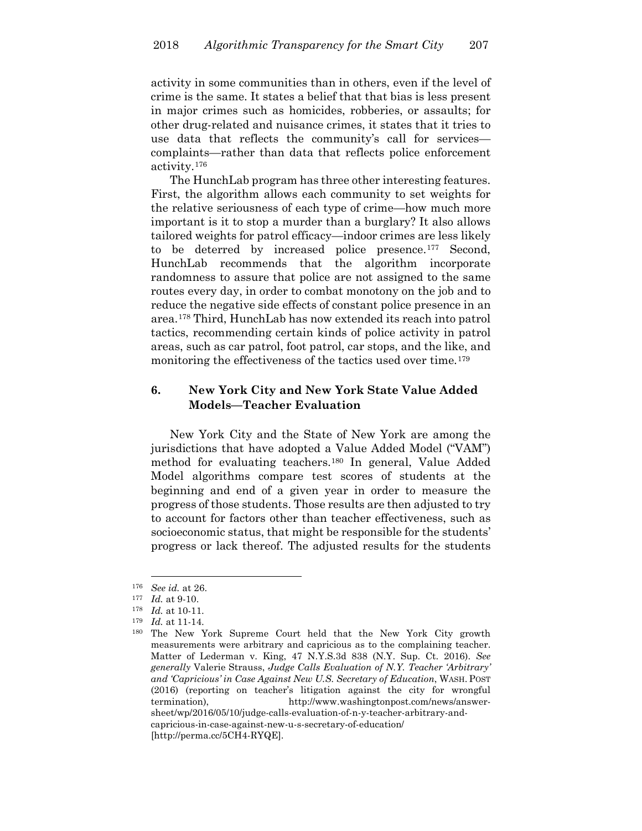activity in some communities than in others, even if the level of crime is the same. It states a belief that that bias is less present in major crimes such as homicides, robberies, or assaults; for other drug-related and nuisance crimes, it states that it tries to use data that reflects the community's call for services complaints—rather than data that reflects police enforcement activity.[176](#page-47-0)

The HunchLab program has three other interesting features. First, the algorithm allows each community to set weights for the relative seriousness of each type of crime—how much more important is it to stop a murder than a burglary? It also allows tailored weights for patrol efficacy—indoor crimes are less likely to be deterred by increased police presence.[177](#page-47-1) Second, HunchLab recommends that the algorithm incorporate randomness to assure that police are not assigned to the same routes every day, in order to combat monotony on the job and to reduce the negative side effects of constant police presence in an area.[178](#page-47-2) Third, HunchLab has now extended its reach into patrol tactics, recommending certain kinds of police activity in patrol areas, such as car patrol, foot patrol, car stops, and the like, and monitoring the effectiveness of the tactics used over time.<sup>[179](#page-47-3)</sup>

# **6. New York City and New York State Value Added Models—Teacher Evaluation**

New York City and the State of New York are among the jurisdictions that have adopted a Value Added Model ("VAM") method for evaluating teachers.[180](#page-47-4) In general, Value Added Model algorithms compare test scores of students at the beginning and end of a given year in order to measure the progress of those students. Those results are then adjusted to try to account for factors other than teacher effectiveness, such as socioeconomic status, that might be responsible for the students' progress or lack thereof. The adjusted results for the students

<span id="page-47-0"></span><sup>176</sup> *See id.* at 26.

<span id="page-47-1"></span><sup>177</sup> *Id.* at 9-10.

<span id="page-47-2"></span><sup>178</sup> *Id.* at 10-11.

<span id="page-47-3"></span><sup>179</sup> *Id.* at 11-14.

<span id="page-47-4"></span><sup>180</sup> The New York Supreme Court held that the New York City growth measurements were arbitrary and capricious as to the complaining teacher. Matter of Lederman v. King, 47 N.Y.S.3d 838 (N.Y. Sup. Ct. 2016). *See generally* Valerie Strauss, *Judge Calls Evaluation of N.Y. Teacher 'Arbitrary' and 'Capricious' in Case Against New U.S. Secretary of Education*, WASH. POST (2016) (reporting on teacher's litigation against the city for wrongful termination), http://www.washingtonpost.com/news/answersheet/wp/2016/05/10/judge-calls-evaluation-of-n-y-teacher-arbitrary-andcapricious-in-case-against-new-u-s-secretary-of-education/ [http://perma.cc/5CH4-RYQE].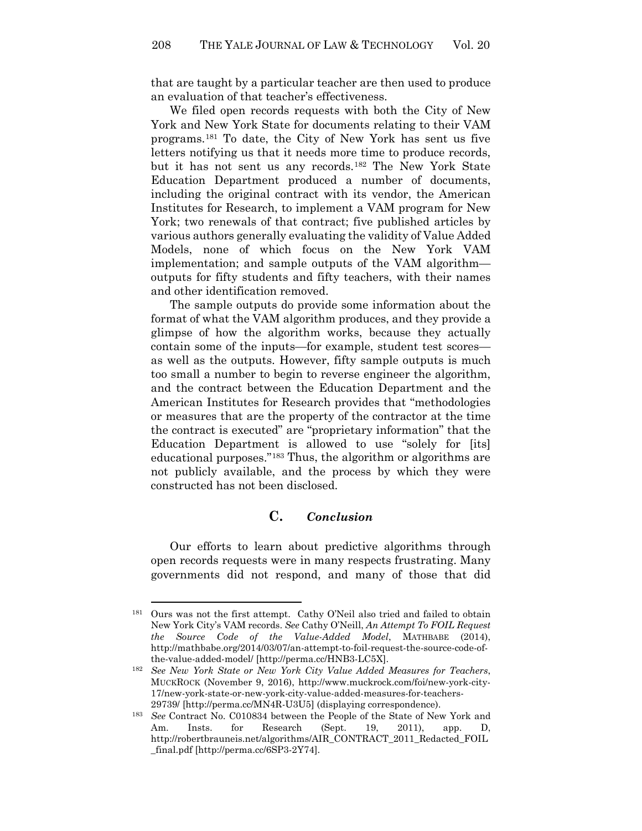that are taught by a particular teacher are then used to produce an evaluation of that teacher's effectiveness.

We filed open records requests with both the City of New York and New York State for documents relating to their VAM programs.[181](#page-48-0) To date, the City of New York has sent us five letters notifying us that it needs more time to produce records, but it has not sent us any records.[182](#page-48-1) The New York State Education Department produced a number of documents, including the original contract with its vendor, the American Institutes for Research, to implement a VAM program for New York; two renewals of that contract; five published articles by various authors generally evaluating the validity of Value Added Models, none of which focus on the New York VAM implementation; and sample outputs of the VAM algorithm outputs for fifty students and fifty teachers, with their names and other identification removed.

The sample outputs do provide some information about the format of what the VAM algorithm produces, and they provide a glimpse of how the algorithm works, because they actually contain some of the inputs—for example, student test scores as well as the outputs. However, fifty sample outputs is much too small a number to begin to reverse engineer the algorithm, and the contract between the Education Department and the American Institutes for Research provides that "methodologies or measures that are the property of the contractor at the time the contract is executed" are "proprietary information" that the Education Department is allowed to use "solely for [its] educational purposes."[183](#page-48-2) Thus, the algorithm or algorithms are not publicly available, and the process by which they were constructed has not been disclosed.

# <span id="page-48-3"></span>**C.** *Conclusion*

Our efforts to learn about predictive algorithms through open records requests were in many respects frustrating. Many governments did not respond, and many of those that did

<span id="page-48-0"></span><sup>181</sup> Ours was not the first attempt. Cathy O'Neil also tried and failed to obtain New York City's VAM records. *See* Cathy O'Neill, *An Attempt To FOIL Request the Source Code of the Value-Added Model*, MATHBABE (2014), http://mathbabe.org/2014/03/07/an-attempt-to-foil-request-the-source-code-ofthe-value-added-model/ [http://perma.cc/HNB3-LC5X].

<span id="page-48-1"></span><sup>182</sup> *See New York State or New York City Value Added Measures for Teachers*, MUCKROCK (November 9, 2016), http://www.muckrock.com/foi/new-york-city-17/new-york-state-or-new-york-city-value-added-measures-for-teachers-29739/ [http://perma.cc/MN4R-U3U5] (displaying correspondence).

<span id="page-48-2"></span><sup>183</sup> *See* Contract No. C010834 between the People of the State of New York and Am. Insts. for Research (Sept. 19, 2011), app. D, http://robertbrauneis.net/algorithms/AIR\_CONTRACT\_2011\_Redacted\_FOIL \_final.pdf [http://perma.cc/6SP3-2Y74].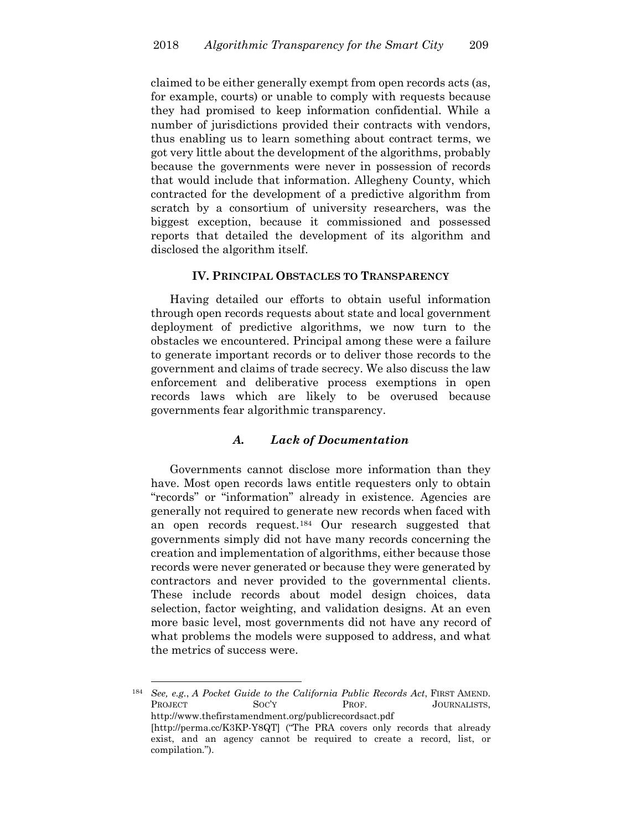claimed to be either generally exempt from open records acts (as, for example, courts) or unable to comply with requests because they had promised to keep information confidential. While a number of jurisdictions provided their contracts with vendors, thus enabling us to learn something about contract terms, we got very little about the development of the algorithms, probably because the governments were never in possession of records that would include that information. Allegheny County, which contracted for the development of a predictive algorithm from scratch by a consortium of university researchers, was the biggest exception, because it commissioned and possessed reports that detailed the development of its algorithm and disclosed the algorithm itself.

### **IV. PRINCIPAL OBSTACLES TO TRANSPARENCY**

Having detailed our efforts to obtain useful information through open records requests about state and local government deployment of predictive algorithms, we now turn to the obstacles we encountered. Principal among these were a failure to generate important records or to deliver those records to the government and claims of trade secrecy. We also discuss the law enforcement and deliberative process exemptions in open records laws which are likely to be overused because governments fear algorithmic transparency.

# *A. Lack of Documentation*

Governments cannot disclose more information than they have. Most open records laws entitle requesters only to obtain "records" or "information" already in existence. Agencies are generally not required to generate new records when faced with an open records request.[184](#page-49-0) Our research suggested that governments simply did not have many records concerning the creation and implementation of algorithms, either because those records were never generated or because they were generated by contractors and never provided to the governmental clients. These include records about model design choices, data selection, factor weighting, and validation designs. At an even more basic level, most governments did not have any record of what problems the models were supposed to address, and what the metrics of success were.

<span id="page-49-0"></span> $\overline{a}$ <sup>184</sup> *See, e.g.*, *A Pocket Guide to the California Public Records Act*, FIRST AMEND. PROJECT SOC'Y PROF. JOURNALISTS, http://www.thefirstamendment.org/publicrecordsact.pdf [http://perma.cc/K3KP-Y8QT] ("The PRA covers only records that already exist, and an agency cannot be required to create a record, list, or compilation.").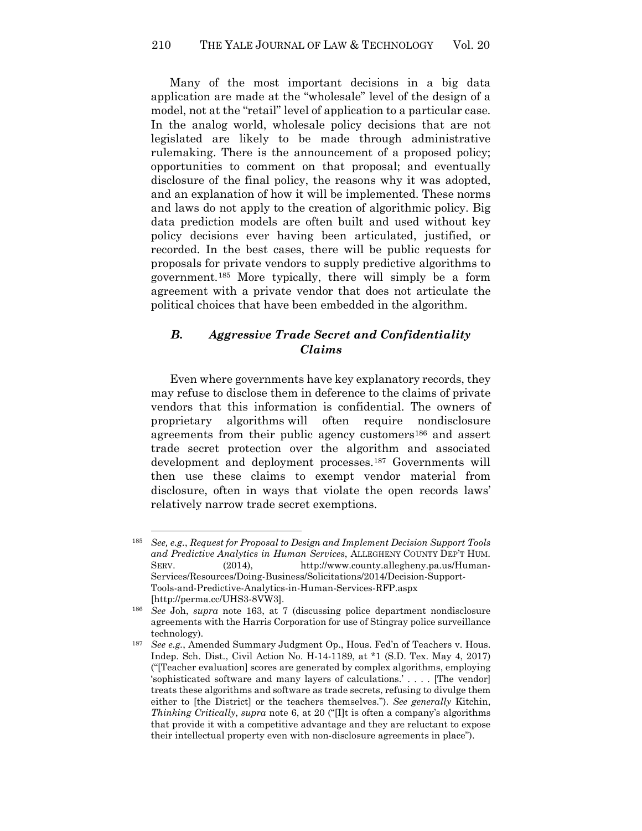Many of the most important decisions in a big data application are made at the "wholesale" level of the design of a model, not at the "retail" level of application to a particular case. In the analog world, wholesale policy decisions that are not legislated are likely to be made through administrative rulemaking. There is the announcement of a proposed policy; opportunities to comment on that proposal; and eventually disclosure of the final policy, the reasons why it was adopted, and an explanation of how it will be implemented. These norms and laws do not apply to the creation of algorithmic policy. Big data prediction models are often built and used without key policy decisions ever having been articulated, justified, or recorded. In the best cases, there will be public requests for proposals for private vendors to supply predictive algorithms to government.[185](#page-50-0) More typically, there will simply be a form agreement with a private vendor that does not articulate the political choices that have been embedded in the algorithm.

## *B. Aggressive Trade Secret and Confidentiality Claims*

Even where governments have key explanatory records, they may refuse to disclose them in deference to the claims of private vendors that this information is confidential. The owners of proprietary algorithms will often require nondisclosure agreements from their public agency customers<sup>[186](#page-50-1)</sup> and assert trade secret protection over the algorithm and associated development and deployment processes.[187](#page-50-2) Governments will then use these claims to exempt vendor material from disclosure, often in ways that violate the open records laws' relatively narrow trade secret exemptions.

<span id="page-50-0"></span><sup>185</sup> *See, e.g.*, *Request for Proposal to Design and Implement Decision Support Tools and Predictive Analytics in Human Services*, ALLEGHENY COUNTY DEP'T HUM. SERV. (2014), http://www.county.allegheny.pa.us/Human-Services/Resources/Doing-Business/Solicitations/2014/Decision-Support-Tools-and-Predictive-Analytics-in-Human-Services-RFP.aspx [http://perma.cc/UHS3-8VW3]. 186 *See* Joh, *supra* note [163,](#page-43-6) at 7 (discussing police department nondisclosure

<span id="page-50-1"></span>agreements with the Harris Corporation for use of Stingray police surveillance technology). 187 *See e.g.*, Amended Summary Judgment Op., Hous. Fed'n of Teachers v. Hous.

<span id="page-50-2"></span>Indep. Sch. Dist., Civil Action No. H-14-1189, at \*1 (S.D. Tex. May 4, 2017) ("[Teacher evaluation] scores are generated by complex algorithms, employing 'sophisticated software and many layers of calculations.' . . . . [The vendor] treats these algorithms and software as trade secrets, refusing to divulge them either to [the District] or the teachers themselves."). *See generally* Kitchin, *Thinking Critically, supra* note [6,](#page-4-0) at 20 ("[I]t is often a company's algorithms that provide it with a competitive advantage and they are reluctant to expose their intellectual property even with non-disclosure agreements in place").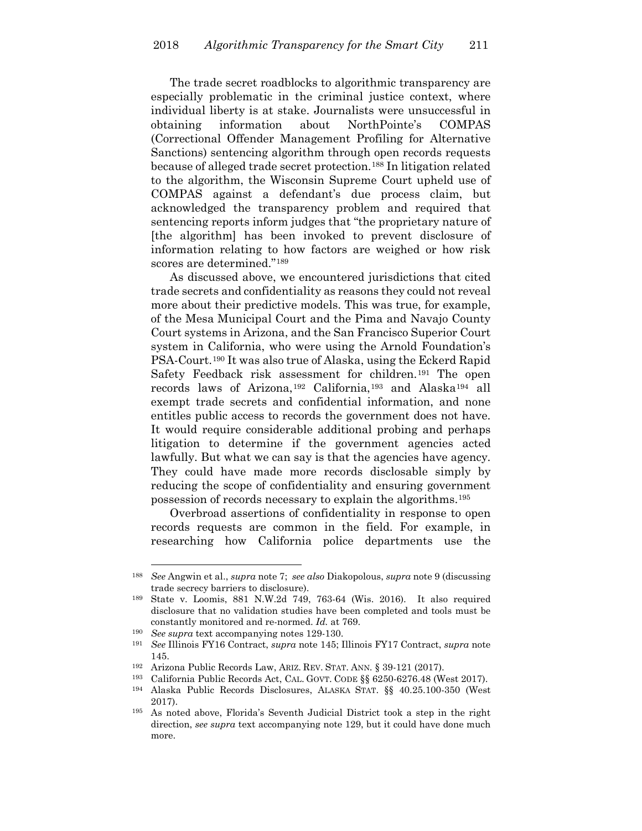The trade secret roadblocks to algorithmic transparency are especially problematic in the criminal justice context, where individual liberty is at stake. Journalists were unsuccessful in obtaining information about NorthPointe's COMPAS (Correctional Offender Management Profiling for Alternative Sanctions) sentencing algorithm through open records requests because of alleged trade secret protection.[188](#page-51-0) In litigation related to the algorithm, the Wisconsin Supreme Court upheld use of COMPAS against a defendant's due process claim, but acknowledged the transparency problem and required that sentencing reports inform judges that "the proprietary nature of [the algorithm] has been invoked to prevent disclosure of information relating to how factors are weighed or how risk scores are determined."[189](#page-51-1)

As discussed above, we encountered jurisdictions that cited trade secrets and confidentiality as reasons they could not reveal more about their predictive models. This was true, for example, of the Mesa Municipal Court and the Pima and Navajo County Court systems in Arizona, and the San Francisco Superior Court system in California, who were using the Arnold Foundation's PSA-Court.[190](#page-51-2) It was also true of Alaska, using the Eckerd Rapid Safety Feedback risk assessment for children.[191](#page-51-3) The open records laws of Arizona,[192](#page-51-4) California,[193](#page-51-5) and Alask[a194](#page-51-6) all exempt trade secrets and confidential information, and none entitles public access to records the government does not have. It would require considerable additional probing and perhaps litigation to determine if the government agencies acted lawfully. But what we can say is that the agencies have agency. They could have made more records disclosable simply by reducing the scope of confidentiality and ensuring government possession of records necessary to explain the algorithms.[195](#page-51-7)

Overbroad assertions of confidentiality in response to open records requests are common in the field. For example, in researching how California police departments use the

<span id="page-51-0"></span><sup>188</sup> *See* Angwin et al., *supra* not[e 7;](#page-5-0) *see also* Diakopolous, *supra* not[e 9](#page-5-1) (discussing trade secrecy barriers to disclosure).

<span id="page-51-1"></span><sup>189</sup> State v. Loomis, 881 N.W.2d 749, 763-64 (Wis. 2016). It also required disclosure that no validation studies have been completed and tools must be constantly monitored and re-normed. *Id.* at 769.

<span id="page-51-2"></span><sup>190</sup> *See supra* text accompanying notes [129](#page-36-4)[-130.](#page-36-3)

<span id="page-51-3"></span><sup>191</sup> *See* Illinois FY16 Contract, *supra* not[e 145;](#page-40-4) Illinois FY17 Contract, *supra* note [145.](#page-40-4)

<span id="page-51-5"></span><span id="page-51-4"></span><sup>&</sup>lt;sup>192</sup> Arizona Public Records Law, ARIZ. REV. STAT. ANN. § 39-121 (2017).<br><sup>193</sup> California Public Records Act, CAL. GOVT. CODE §§ 6250-6276.48 (West 2017).

<span id="page-51-6"></span><sup>194</sup> Alaska Public Records Disclosures, ALASKA STAT. §§ 40.25.100-350 (West 2017).

<span id="page-51-7"></span><sup>195</sup> As noted above, Florida's Seventh Judicial District took a step in the right direction, *see supra* text accompanying note [129,](#page-36-4) but it could have done much more.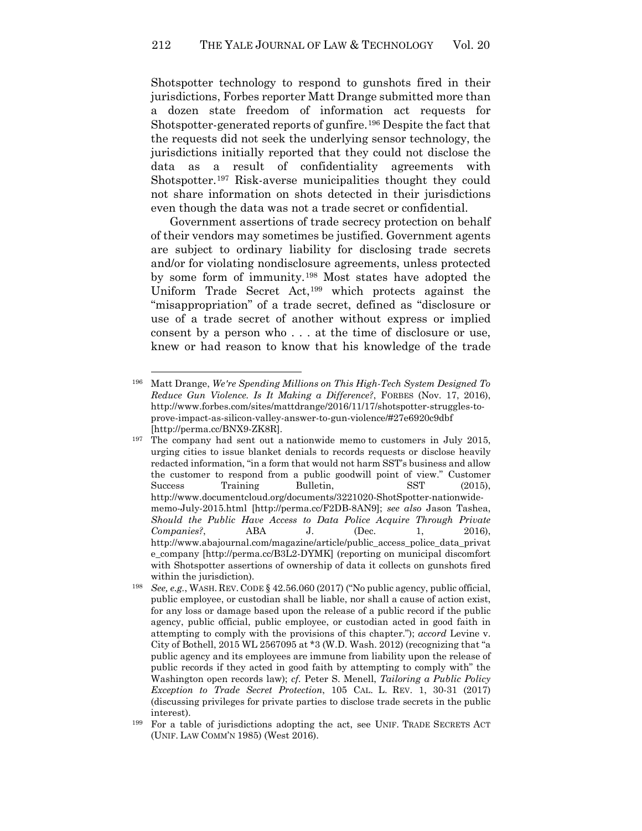Shotspotter technology to respond to gunshots fired in their jurisdictions, Forbes reporter Matt Drange submitted more than a dozen state freedom of information act requests for Shotspotter-generated reports of gunfire.[196](#page-52-0) Despite the fact that the requests did not seek the underlying sensor technology, the jurisdictions initially reported that they could not disclose the data as a result of confidentiality agreements with Shotspotter.[197](#page-52-1) Risk-averse municipalities thought they could not share information on shots detected in their jurisdictions even though the data was not a trade secret or confidential.

Government assertions of trade secrecy protection on behalf of their vendors may sometimes be justified. Government agents are subject to ordinary liability for disclosing trade secrets and/or for violating nondisclosure agreements, unless protected by some form of immunity.[198](#page-52-2) Most states have adopted the Uniform Trade Secret Act,[199](#page-52-3) which protects against the "misappropriation" of a trade secret, defined as "disclosure or use of a trade secret of another without express or implied consent by a person who . . . at the time of disclosure or use, knew or had reason to know that his knowledge of the trade

<span id="page-52-0"></span><sup>196</sup> Matt Drange, *We're Spending Millions on This High-Tech System Designed To Reduce Gun Violence. Is It Making a Difference?*, FORBES (Nov. 17, 2016), http://www.forbes.com/sites/mattdrange/2016/11/17/shotspotter-struggles-toprove-impact-as-silicon-valley-answer-to-gun-violence/#27e6920c9dbf [http://perma.cc/BNX9-ZK8R].

<span id="page-52-1"></span> $197$  The company had sent out a [nationwide memo](https://www.documentcloud.org/documents/3221020-ShotSpotter-nationwide-memo-July-2015.html) to customers in July 2015. urging cities to issue blanket denials to records requests or disclose heavily redacted information, "in a form that would not harm SST's business and allow the customer to respond from a public goodwill point of view." Customer Success Training Bulletin, SST (2015), http://www.documentcloud.org/documents/3221020-ShotSpotter-nationwidememo-July-2015.html [http://perma.cc/F2DB-8AN9]; *see also* Jason Tashea, *Should the Public Have Access to Data Police Acquire Through Private Companies?*, ABA J. (Dec. 1, 2016), http://www.abajournal.com/magazine/article/public\_access\_police\_data\_privat e\_company [http://perma.cc/B3L2-DYMK] (reporting on municipal discomfort with Shotspotter assertions of ownership of data it collects on gunshots fired within the jurisdiction).

<span id="page-52-2"></span><sup>198</sup> *See, e.g.*, WASH. REV. CODE § 42.56.060 (2017) ("No public agency, public official, public employee, or custodian shall be liable, nor shall a cause of action exist, for any loss or damage based upon the release of a public record if the public agency, public official, public employee, or custodian acted in good faith in attempting to comply with the provisions of this chapter."); *accord* Levine v. City of Bothell, 2015 WL 2567095 at  $*3$  (W.D. Wash. 2012) (recognizing that "a public agency and its employees are immune from liability upon the release of public records if they acted in good faith by attempting to comply with" the Washington open records law); *cf.* Peter S. Menell, *Tailoring a Public Policy Exception to Trade Secret Protection*, 105 CAL. L. REV. 1, 30-31 (2017) (discussing privileges for private parties to disclose trade secrets in the public interest).

<span id="page-52-3"></span>For a table of jurisdictions adopting the act, see UNIF. TRADE SECRETS ACT (UNIF. LAW COMM'N 1985) (West 2016).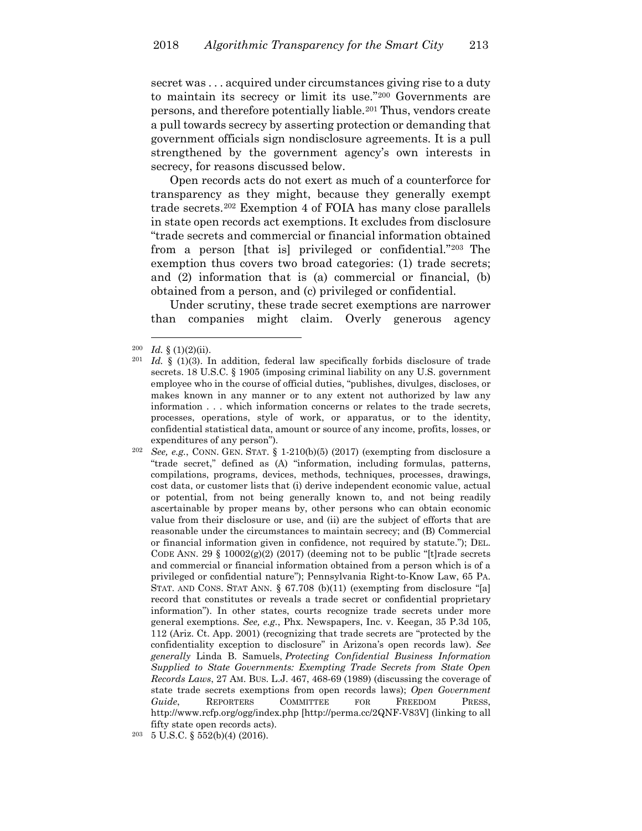secret was . . . acquired under circumstances giving rise to a duty to maintain its secrecy or limit its use."[200](#page-53-0) Governments are persons, and therefore potentially liable.[201](#page-53-1) Thus, vendors create a pull towards secrecy by asserting protection or demanding that government officials sign nondisclosure agreements. It is a pull strengthened by the government agency's own interests in secrecy, for reasons discussed below.

Open records acts do not exert as much of a counterforce for transparency as they might, because they generally exempt trade secrets[.202](#page-53-2) Exemption 4 of FOIA has many close parallels in state open records act exemptions. It excludes from disclosure "trade secrets and commercial or financial information obtained from a person [that is] privileged or confidential.["203](#page-53-3) The exemption thus covers two broad categories: (1) trade secrets; and (2) information that is (a) commercial or financial, (b) obtained from a person, and (c) privileged or confidential.

Under scrutiny, these trade secret exemptions are narrower than companies might claim. Overly generous agency

<span id="page-53-1"></span><span id="page-53-0"></span> $200$  *Id.* § (1)(2)(ii).

 $201$  *Id.* § (1)(3). In addition, federal law specifically forbids disclosure of trade secrets. 18 U.S.C. § 1905 (imposing criminal liability on any U.S. government employee who in the course of official duties, "publishes, divulges, discloses, or makes known in any manner or to any extent not authorized by law any information . . . which information concerns or relates to the trade secrets, processes, operations, style of work, or apparatus, or to the identity, confidential statistical data, amount or source of any income, profits, losses, or expenditures of any person").

<span id="page-53-2"></span><sup>&</sup>lt;sup>202</sup> *See, e.g., CONN. GEN. STAT.*  $\S$  1-210(b)(5) (2017) (exempting from disclosure a "trade secret," defined as (A) "information, including formulas, patterns, compilations, programs, devices, methods, techniques, processes, drawings, cost data, or customer lists that (i) derive independent economic value, actual or potential, from not being generally known to, and not being readily ascertainable by proper means by, other persons who can obtain economic value from their disclosure or use, and (ii) are the subject of efforts that are reasonable under the circumstances to maintain secrecy; and (B) Commercial or financial information given in confidence, not required by statute."); DEL. CODE ANN. 29 § 10002 $(g)(2)$  (2017) (deeming not to be public "[t] rade secrets and commercial or financial information obtained from a person which is of a privileged or confidential nature"); Pennsylvania Right-to-Know Law, 65 PA. STAT. AND CONS. STAT ANN. § 67.708 (b)(11) (exempting from disclosure "[a] record that constitutes or reveals a trade secret or confidential proprietary information"). In other states, courts recognize trade secrets under more general exemptions. *See, e.g.*, Phx. Newspapers, Inc. v. Keegan, 35 P.3d 105, 112 (Ariz. Ct. App. 2001) (recognizing that trade secrets are "protected by the confidentiality exception to disclosure" in Arizona's open records law). *See generally* Linda B. Samuels, *Protecting Confidential Business Information Supplied to State Governments: Exempting Trade Secrets from State Open Records Laws*, 27 AM. BUS. L.J. 467, 468-69 (1989) (discussing the coverage of state trade secrets exemptions from open records laws); *Open Government Guide*, REPORTERS COMMITTEE FOR FREEDOM PRESS, http://www.rcfp.org/ogg/index.php [http://perma.cc/2QNF-V83V] (linking to all fifty state open records acts).<br><sup>203</sup> 5 U.S.C. § 552(b)(4) (2016).

<span id="page-53-3"></span>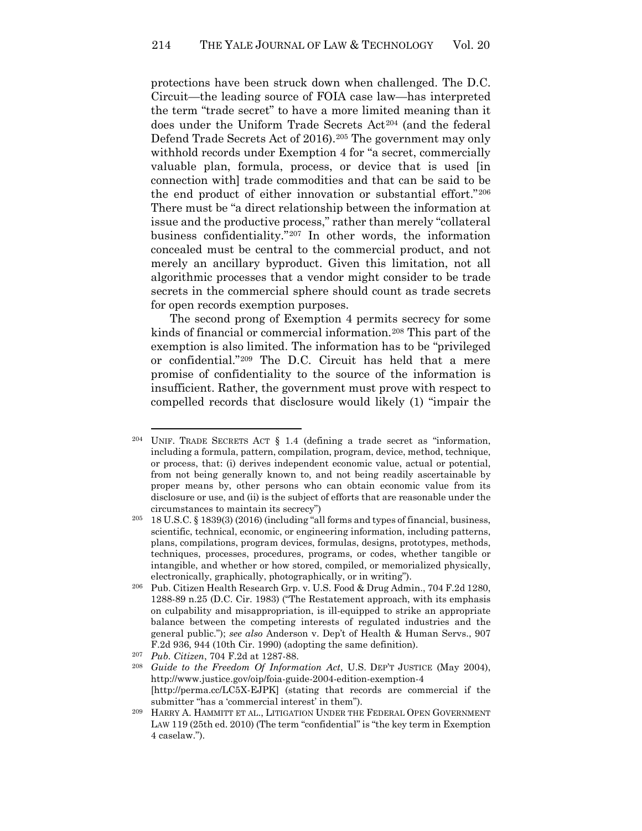<span id="page-54-7"></span>protections have been struck down when challenged. The D.C. Circuit—the leading source of FOIA case law—has interpreted the term "trade secret" to have a more limited meaning than it does under the Uniform Trade Secrets Act<sup>[204](#page-54-0)</sup> (and the federal Defend Trade Secrets Act of 2016).[205](#page-54-1) The government may only withhold records under Exemption 4 for "a secret, commercially valuable plan, formula, process, or device that is used [in connection with] trade commodities and that can be said to be the end product of either innovation or substantial effort."[206](#page-54-2) There must be "a direct relationship between the information at issue and the productive process," rather than merely "collateral business confidentiality."[207](#page-54-3) In other words, the information concealed must be central to the commercial product, and not merely an ancillary byproduct. Given this limitation, not all algorithmic processes that a vendor might consider to be trade secrets in the commercial sphere should count as trade secrets for open records exemption purposes.

<span id="page-54-6"></span>The second prong of Exemption 4 permits secrecy for some kinds of financial or commercial information.[208](#page-54-4) This part of the exemption is also limited. The information has to be "privileged or confidential."[209](#page-54-5) The D.C. Circuit has held that a mere promise of confidentiality to the source of the information is insufficient. Rather, the government must prove with respect to compelled records that disclosure would likely (1) "impair the

<span id="page-54-0"></span> $204$  UNIF. TRADE SECRETS ACT § 1.4 (defining a trade secret as "information, including a formula, pattern, compilation, program, device, method, technique, or process, that: (i) derives independent economic value, actual or potential, from not being generally known to, and not being readily ascertainable by proper means by, other persons who can obtain economic value from its disclosure or use, and (ii) is the subject of efforts that are reasonable under the circumstances to maintain its secrecy")

<span id="page-54-1"></span><sup>205</sup> 18 U.S.C. § 1839(3) (2016) (including "all forms and types of financial, business, scientific, technical, economic, or engineering information, including patterns, plans, compilations, program devices, formulas, designs, prototypes, methods, techniques, processes, procedures, programs, or codes, whether tangible or intangible, and whether or how stored, compiled, or memorialized physically, electronically, graphically, photographically, or in writing").

<span id="page-54-2"></span><sup>206</sup> Pub. Citizen Health Research Grp. v. U.S. Food & Drug Admin., 704 F.2d 1280, 1288-89 n.25 (D.C. Cir. 1983) ("The Restatement approach, with its emphasis on culpability and misappropriation, is ill-equipped to strike an appropriate balance between the competing interests of regulated industries and the general public."); *see also* Anderson v. Dep't of Health & Human Servs., 907 F.2d 936, 944 (10th Cir. 1990) (adopting the same definition).

<span id="page-54-4"></span><span id="page-54-3"></span>

<sup>207</sup> *Pub. Citizen*, 704 F.2d at 1287-88. 208 *Guide to the Freedom Of Information Act*, U.S. DEP'T JUSTICE (May 2004), http://www.justice.gov/oip/foia-guide-2004-edition-exemption-4 [http://perma.cc/LC5X-EJPK] (stating that records are commercial if the submitter "has a 'commercial interest' in them").

<span id="page-54-5"></span><sup>209</sup> HARRY A. HAMMITT ET AL., LITIGATION UNDER THE FEDERAL OPEN GOVERNMENT LAW 119 (25th ed. 2010) (The term "confidential" is "the key term in Exemption 4 caselaw.").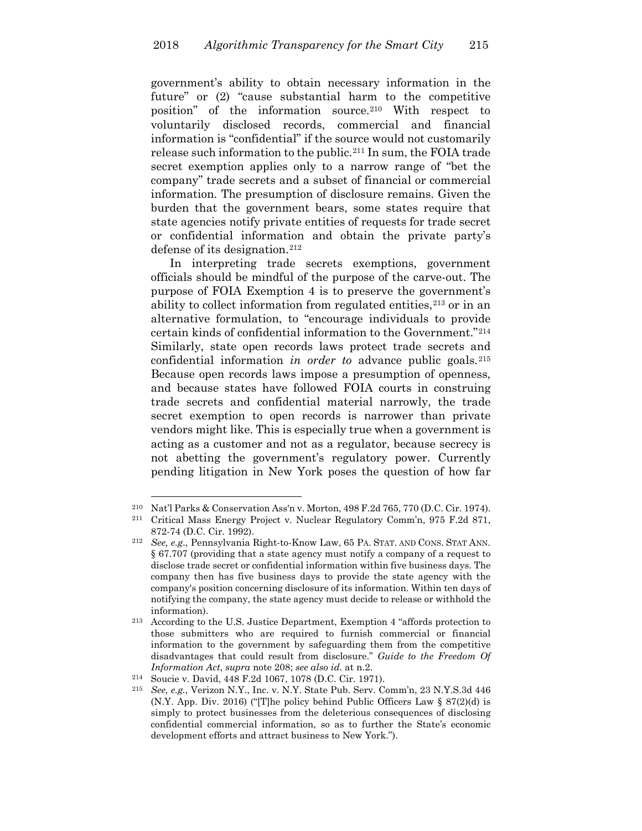government's ability to obtain necessary information in the future" or (2) "cause substantial harm to the competitive position" of the information source.<sup>[210](#page-55-0)</sup> With respect to voluntarily disclosed records, commercial and financial information is "confidential" if the source would not customarily release such information to the public[.211](#page-55-1) In sum, the FOIA trade secret exemption applies only to a narrow range of "bet the company" trade secrets and a subset of financial or commercial information. The presumption of disclosure remains. Given the burden that the government bears, some states require that state agencies notify private entities of requests for trade secret or confidential information and obtain the private party's defense of its designation.[212](#page-55-2)

In interpreting trade secrets exemptions, government officials should be mindful of the purpose of the carve-out. The purpose of FOIA Exemption 4 is to preserve the government's ability to collect information from regulated entities,<sup>[213](#page-55-3)</sup> or in an alternative formulation, to "encourage individuals to provide certain kinds of confidential information to the Government."[214](#page-55-4) Similarly, state open records laws protect trade secrets and confidential information *in order to* advance public goals.[215](#page-55-5) Because open records laws impose a presumption of openness, and because states have followed FOIA courts in construing trade secrets and confidential material narrowly, the trade secret exemption to open records is narrower than private vendors might like. This is especially true when a government is acting as a customer and not as a regulator, because secrecy is not abetting the government's regulatory power. Currently pending litigation in New York poses the question of how far

<span id="page-55-0"></span> $\overline{a}$ <sup>210</sup> Nat'l Parks & Conservation Ass'n v. Morton, 498 F.2d 765, 770 (D.C. Cir. 1974).

<span id="page-55-1"></span><sup>211</sup> Critical Mass Energy Project v. Nuclear Regulatory Comm'n, 975 F.2d 871, 872-74 (D.C. Cir. 1992).

<span id="page-55-2"></span><sup>212</sup> *See, e.g*., Pennsylvania Right-to-Know Law, 65 PA. STAT. AND CONS. STAT ANN. § 67.707 (providing that a state agency must notify a company of a request to disclose trade secret or confidential information within five business days. The company then has five business days to provide the state agency with the company's position concerning disclosure of its information. Within ten days of notifying the company, the state agency must decide to release or withhold the information).

<span id="page-55-3"></span><sup>213</sup> According to the U.S. Justice Department, Exemption 4 "affords protection to those submitters who are required to furnish commercial or financial information to the government by safeguarding them from the competitive disadvantages that could result from disclosure." *Guide to the Freedom Of* 

<span id="page-55-5"></span><span id="page-55-4"></span>

Information Act, supra note [208;](#page-54-6) see also id. at n.2.<br><sup>214</sup> Soucie v. David, 448 F.2d 1067, 1078 (D.C. Cir. 1971).<br><sup>215</sup> See, e.g., Verizon N.Y., Inc. v. N.Y. State Pub. Serv. Comm'n, 23 N.Y.S.3d 446  $(N.Y.$  App. Div. 2016) ("[T]he policy behind Public Officers Law § 87(2)(d) is simply to protect businesses from the deleterious consequences of disclosing confidential commercial information, so as to further the State's economic development efforts and attract business to New York.").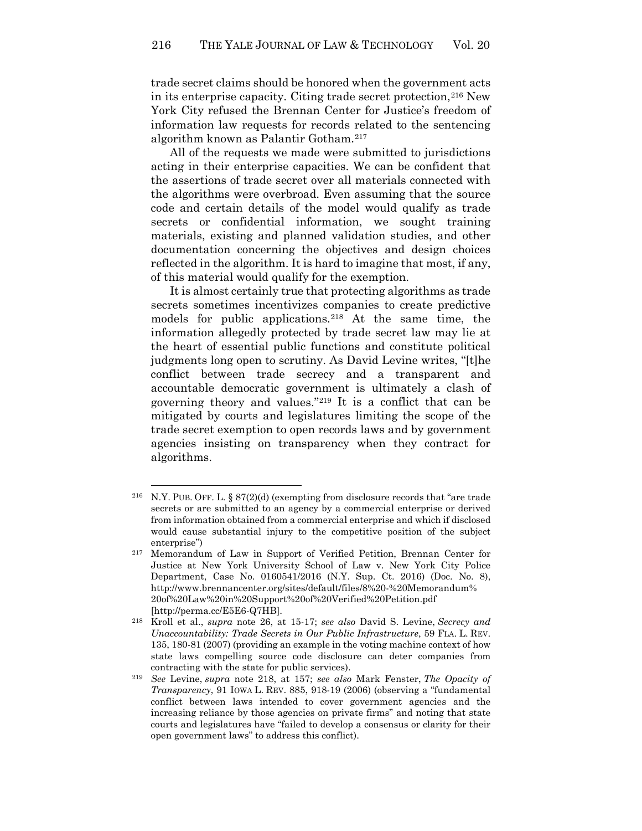trade secret claims should be honored when the government acts in its enterprise capacity. Citing trade secret protection,<sup>[216](#page-56-1)</sup> New York City refused the Brennan Center for Justice's freedom of information law requests for records related to the sentencing algorithm known as Palantir Gotham.[217](#page-56-2)

<span id="page-56-5"></span>All of the requests we made were submitted to jurisdictions acting in their enterprise capacities. We can be confident that the assertions of trade secret over all materials connected with the algorithms were overbroad. Even assuming that the source code and certain details of the model would qualify as trade secrets or confidential information, we sought training materials, existing and planned validation studies, and other documentation concerning the objectives and design choices reflected in the algorithm. It is hard to imagine that most, if any, of this material would qualify for the exemption.

<span id="page-56-0"></span>It is almost certainly true that protecting algorithms as trade secrets sometimes incentivizes companies to create predictive models for public applications.<sup>[218](#page-56-3)</sup> At the same time, the information allegedly protected by trade secret law may lie at the heart of essential public functions and constitute political judgments long open to scrutiny. As David Levine writes, "[t]he conflict between trade secrecy and a transparent and accountable democratic government is ultimately a clash of governing theory and values."[219](#page-56-4) It is a conflict that can be mitigated by courts and legislatures limiting the scope of the trade secret exemption to open records laws and by government agencies insisting on transparency when they contract for algorithms.

<span id="page-56-1"></span><sup>216</sup> N.Y. PUB. OFF. L. § 87(2)(d) (exempting from disclosure records that "are trade secrets or are submitted to an agency by a commercial enterprise or derived from information obtained from a commercial enterprise and which if disclosed would cause substantial injury to the competitive position of the subject enterprise")

<span id="page-56-2"></span><sup>217</sup> Memorandum of Law in Support of Verified Petition, Brennan Center for Justice at New York University School of Law v. New York City Police Department, Case No. 0160541/2016 (N.Y. Sup. Ct. 2016) (Doc. No. 8), http://www.brennancenter.org/sites/default/files/8%20-%20Memorandum% 20of%20Law%20in%20Support%20of%20Verified%20Petition.pdf [http://perma.cc/E5E6-Q7HB].

<span id="page-56-3"></span><sup>218</sup> Kroll et al., *supra* note [26,](#page-11-0) at 15-17; *see also* David S. Levine, *Secrecy and Unaccountability: Trade Secrets in Our Public Infrastructure*, 59 FLA. L. REV. 135, 180-81 (2007) (providing an example in the voting machine context of how state laws compelling source code disclosure can deter companies from contracting with the state for public services).

<span id="page-56-4"></span><sup>219</sup> *See* Levine, *supra* note [218,](#page-56-0) at 157; *see also* Mark Fenster, *The Opacity of Transparency*, 91 IOWA L. REV. 885, 918-19 (2006) (observing a "fundamental conflict between laws intended to cover government agencies and the increasing reliance by those agencies on private firms" and noting that state courts and legislatures have "failed to develop a consensus or clarity for their open government laws" to address this conflict).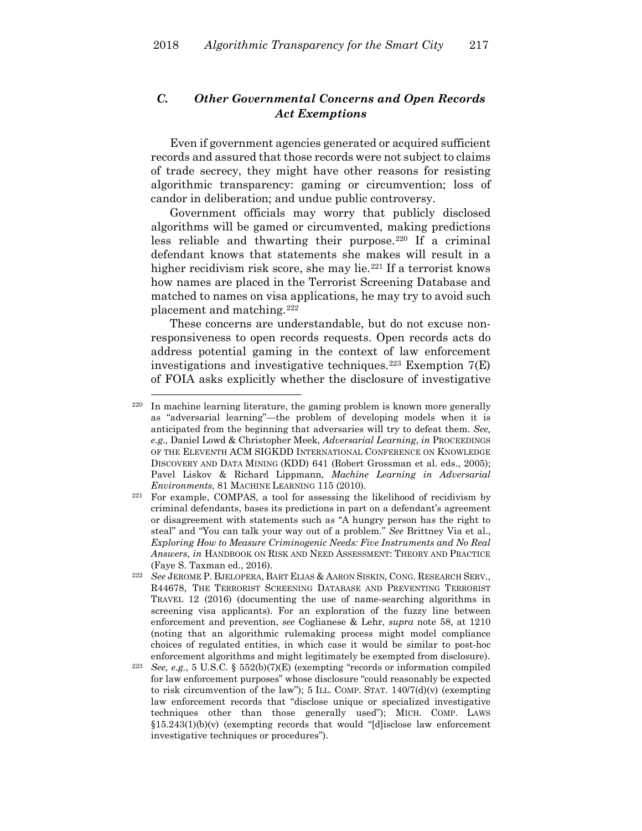# *C. Other Governmental Concerns and Open Records Act Exemptions*

Even if government agencies generated or acquired sufficient records and assured that those records were not subject to claims of trade secrecy, they might have other reasons for resisting algorithmic transparency: gaming or circumvention; loss of candor in deliberation; and undue public controversy.

Government officials may worry that publicly disclosed algorithms will be gamed or circumvented, making predictions less reliable and thwarting their purpose.<sup>[220](#page-57-0)</sup> If a criminal defendant knows that statements she makes will result in a higher recidivism risk score, she may lie.[221](#page-57-1) If a terrorist knows how names are placed in the Terrorist Screening Database and matched to names on visa applications, he may try to avoid such placement and matching.[222](#page-57-2)

These concerns are understandable, but do not excuse nonresponsiveness to open records requests. Open records acts do address potential gaming in the context of law enforcement investigations and investigative techniques.<sup>[223](#page-57-3)</sup> Exemption  $7(E)$ of FOIA asks explicitly whether the disclosure of investigative

<span id="page-57-0"></span><sup>220</sup> In machine learning literature, the gaming problem is known more generally as "adversarial learning"—the problem of developing models when it is anticipated from the beginning that adversaries will try to defeat them. *See, e.g.,* Daniel Lowd & Christopher Meek, *Adversarial Learning*, *in* PROCEEDINGS OF THE ELEVENTH ACM SIGKDD INTERNATIONAL CONFERENCE ON KNOWLEDGE DISCOVERY AND DATA MINING (KDD) 641 (Robert Grossman et al. eds., 2005); Pavel Liskov & Richard Lippmann, *Machine Learning in Adversarial Environments*, 81 MACHINE LEARNING 115 (2010).

<span id="page-57-1"></span><sup>221</sup> For example, COMPAS, a tool for assessing the likelihood of recidivism by criminal defendants, bases its predictions in part on a defendant's agreement or disagreement with statements such as "A hungry person has the right to steal" and "You can talk your way out of a problem." *See* Brittney Via et al., *Exploring How to Measure Criminogenic Needs: Five Instruments and No Real Answers*, *in* HANDBOOK ON RISK AND NEED ASSESSMENT: THEORY AND PRACTICE (Faye S. Taxman ed., 2016).

<span id="page-57-2"></span><sup>222</sup> *See* JEROME P. BJELOPERA, BART ELIAS & AARON SISKIN, CONG. RESEARCH SERV., R44678, THE TERRORIST SCREENING DATABASE AND PREVENTING TERRORIST TRAVEL 12 (2016) (documenting the use of name-searching algorithms in screening visa applicants). For an exploration of the fuzzy line between enforcement and prevention, *see* Coglianese & Lehr, *supra* note [58,](#page-18-0) at 1210 (noting that an algorithmic rulemaking process might model compliance choices of regulated entities, in which case it would be similar to post-hoc enforcement algorithms and might legitimately be exempted from disclosure). 223 *See, e.g.*, 5 U.S.C. § 552(b)(7)(E) (exempting "records or information compiled

<span id="page-57-3"></span>for law enforcement purposes" whose disclosure "could reasonably be expected to risk circumvention of the law"); 5 ILL. COMP. STAT.  $140/7(d)(v)$  (exempting law enforcement records that "disclose unique or specialized investigative techniques other than those generally used"); MICH. COMP. LAWS  $$15.243(1)(b)(v)$  (exempting records that would "[d]isclose law enforcement investigative techniques or procedures").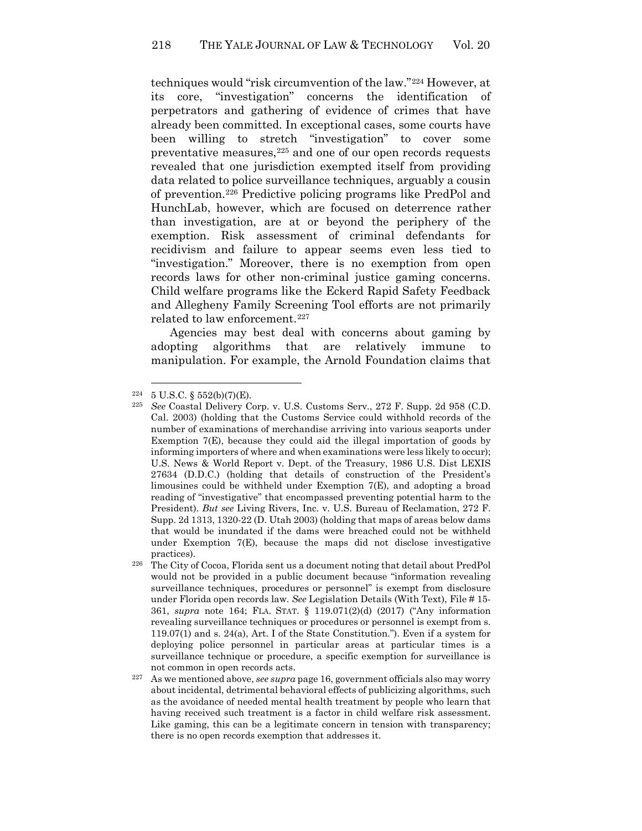techniques would "risk circumvention of the law."[224](#page-58-0) However, at its core, "investigation" concerns the identification of perpetrators and gathering of evidence of crimes that have already been committed. In exceptional cases, some courts have been willing to stretch "investigation" to cover some preventative measures,[225](#page-58-1) and one of our open records requests revealed that one jurisdiction exempted itself from providing data related to police surveillance techniques, arguably a cousin of prevention.[226](#page-58-2) Predictive policing programs like PredPol and HunchLab, however, which are focused on deterrence rather than investigation, are at or beyond the periphery of the exemption. Risk assessment of criminal defendants for recidivism and failure to appear seems even less tied to "investigation." Moreover, there is no exemption from open records laws for other non-criminal justice gaming concerns. Child welfare programs like the Eckerd Rapid Safety Feedback and Allegheny Family Screening Tool efforts are not primarily related to law enforcement.[227](#page-58-3)

Agencies may best deal with concerns about gaming by adopting algorithms that are relatively immune manipulation. For example, the Arnold Foundation claims that

<span id="page-58-1"></span><span id="page-58-0"></span> $^{224}$  5 U.S.C. § 552(b)(7)(E).<br> $^{225}$  See Coastal Delivery C

<sup>225</sup> *See* Coastal Delivery Corp. v. U.S. Customs Serv., 272 F. Supp. 2d 958 (C.D. Cal. 2003) (holding that the Customs Service could withhold records of the number of examinations of merchandise arriving into various seaports under Exemption 7(E), because they could aid the illegal importation of goods by informing importers of where and when examinations were less likely to occur); U.S. News & World Report v. Dept. of the Treasury, 1986 U.S. Dist LEXIS 27634 (D.D.C.) (holding that details of construction of the President's limousines could be withheld under Exemption 7(E), and adopting a broad reading of "investigative" that encompassed preventing potential harm to the President). *But see* Living Rivers, Inc. v. U.S. Bureau of Reclamation, 272 F. Supp. 2d 1313, 1320-22 (D. Utah 2003) (holding that maps of areas below dams that would be inundated if the dams were breached could not be withheld under Exemption 7(E), because the maps did not disclose investigative practices).

<span id="page-58-2"></span><sup>226</sup> The City of Cocoa, Florida sent us a document noting that detail about PredPol would not be provided in a public document because "information revealing surveillance techniques, procedures or personnel" is exempt from disclosure under Florida open records law. *See* Legislation Details (With Text), File # 15- 361, *supra* note [164;](#page-44-1) FLA. STAT. § 119.071(2)(d) (2017) ("Any information revealing surveillance techniques or procedures or personnel is exempt from s. 119.07(1) and s. 24(a), Art. I of the State Constitution."). Even if a system for deploying police personnel in particular areas at particular times is a surveillance technique or procedure, a specific exemption for surveillance is not common in open records acts. 227 As we mentioned above, *see supra* pag[e 16,](#page-20-0) government officials also may worry

<span id="page-58-3"></span>about incidental, detrimental behavioral effects of publicizing algorithms, such as the avoidance of needed mental health treatment by people who learn that having received such treatment is a factor in child welfare risk assessment. Like gaming, this can be a legitimate concern in tension with transparency; there is no open records exemption that addresses it.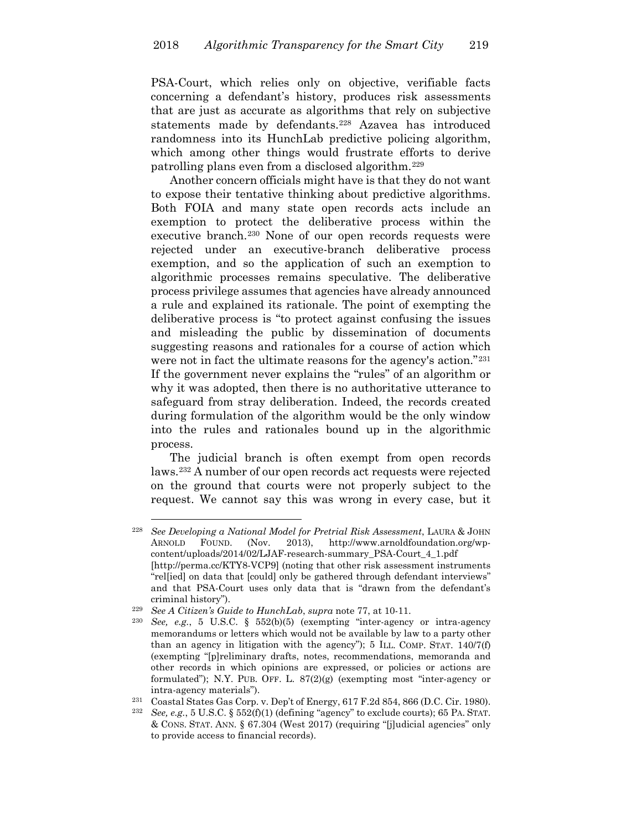<span id="page-59-5"></span>PSA-Court, which relies only on objective, verifiable facts concerning a defendant's history, produces risk assessments that are just as accurate as algorithms that rely on subjective statements made by defendants.[228](#page-59-0) Azavea has introduced randomness into its HunchLab predictive policing algorithm, which among other things would frustrate efforts to derive patrolling plans even from a disclosed algorithm.[229](#page-59-1)

Another concern officials might have is that they do not want to expose their tentative thinking about predictive algorithms. Both FOIA and many state open records acts include an exemption to protect the deliberative process within the executive branch.[230](#page-59-2) None of our open records requests were rejected under an executive-branch deliberative process exemption, and so the application of such an exemption to algorithmic processes remains speculative. The deliberative process privilege assumes that agencies have already announced a rule and explained its rationale. The point of exempting the deliberative process is "to protect against confusing the issues and misleading the public by dissemination of documents suggesting reasons and rationales for a course of action which were not in fact the ultimate reasons for the agency's action."[231](#page-59-3) If the government never explains the "rules" of an algorithm or why it was adopted, then there is no authoritative utterance to safeguard from stray deliberation. Indeed, the records created during formulation of the algorithm would be the only window into the rules and rationales bound up in the algorithmic process.

The judicial branch is often exempt from open records laws.[232](#page-59-4) A number of our open records act requests were rejected on the ground that courts were not properly subject to the request. We cannot say this was wrong in every case, but it

<span id="page-59-0"></span><sup>228</sup> *See Developing a National Model for Pretrial Risk Assessment*, LAURA & JOHN ARNOLD FOUND. (Nov. 2013), http://www.arnoldfoundation.org/wpcontent/uploads/2014/02/LJAF-research-summary\_PSA-Court\_4\_1.pdf [http://perma.cc/KTY8-VCP9] (noting that other risk assessment instruments "rel[ied] on data that [could] only be gathered through defendant interviews" and that PSA-Court uses only data that is "drawn from the defendant's criminal history").

<span id="page-59-1"></span><sup>229</sup> *See A Citizen's Guide to HunchLab*, *supra* not[e 77,](#page-23-0) at 10-11.

<span id="page-59-2"></span><sup>230</sup> *See, e.g.*, 5 U.S.C. § 552(b)(5) (exempting "inter-agency or intra-agency memorandums or letters which would not be available by law to a party other than an agency in litigation with the agency");  $5$  ILL. COMP. STAT.  $140/7(f)$ (exempting "[p]reliminary drafts, notes, recommendations, memoranda and other records in which opinions are expressed, or policies or actions are formulated"); N.Y. PUB. OFF. L.  $87(2)(g)$  (exempting most "inter-agency or intra-agency materials").

<span id="page-59-4"></span><span id="page-59-3"></span><sup>231</sup> Coastal States Gas Corp. v. Dep't of Energy, 617 F.2d 854, 866 (D.C. Cir. 1980).

See, e.g., 5 U.S.C. § 552(f)(1) (defining "agency" to exclude courts); 65 PA. STAT. & CONS. STAT. ANN. § 67.304 (West 2017) (requiring "[j]udicial agencies" only to provide access to financial records).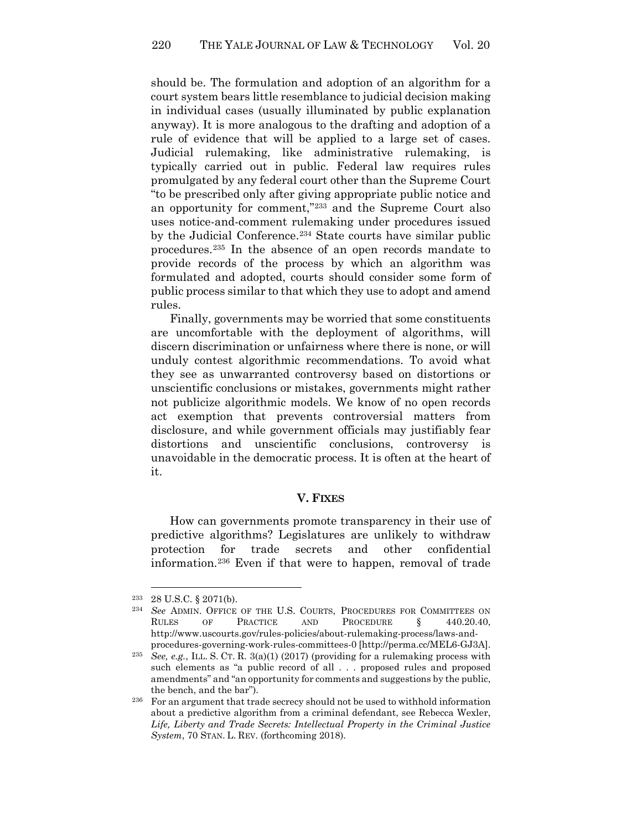should be. The formulation and adoption of an algorithm for a court system bears little resemblance to judicial decision making in individual cases (usually illuminated by public explanation anyway). It is more analogous to the drafting and adoption of a rule of evidence that will be applied to a large set of cases. Judicial rulemaking, like administrative rulemaking, is typically carried out in public. Federal law requires rules promulgated by any federal court other than the Supreme Court "to be prescribed only after giving appropriate public notice and an opportunity for comment,"[233](#page-60-0) and the Supreme Court also uses notice-and-comment rulemaking under procedures issued by the Judicial Conference.<sup>[234](#page-60-1)</sup> State courts have similar public procedures.[235](#page-60-2) In the absence of an open records mandate to provide records of the process by which an algorithm was formulated and adopted, courts should consider some form of public process similar to that which they use to adopt and amend rules.

Finally, governments may be worried that some constituents are uncomfortable with the deployment of algorithms, will discern discrimination or unfairness where there is none, or will unduly contest algorithmic recommendations. To avoid what they see as unwarranted controversy based on distortions or unscientific conclusions or mistakes, governments might rather not publicize algorithmic models. We know of no open records act exemption that prevents controversial matters from disclosure, and while government officials may justifiably fear distortions and unscientific conclusions, controversy is unavoidable in the democratic process. It is often at the heart of it.

### **V. FIXES**

How can governments promote transparency in their use of predictive algorithms? Legislatures are unlikely to withdraw protection for trade secrets and other confidential information.[236](#page-60-3) Even if that were to happen, removal of trade

<sup>233</sup> 28 U.S.C. § 2071(b).

<span id="page-60-1"></span><span id="page-60-0"></span><sup>234</sup> *See* ADMIN. OFFICE OF THE U.S. COURTS, PROCEDURES FOR COMMITTEES ON RULES OF PRACTICE AND PROCEDURE § 440.20.40, http://www.uscourts.gov/rules-policies/about-rulemaking-process/laws-and-

<span id="page-60-2"></span>procedures-governing-work-rules-committees-0 [http://perma.cc/MEL6-GJ3A]. 235 *See, e.g.*, ILL. S. CT. R. 3(a)(1) (2017) (providing for a rulemaking process with such elements as "a public record of all . . . proposed rules and proposed amendments" and "an opportunity for comments and suggestions by the public, the bench, and the bar").

<span id="page-60-3"></span><sup>236</sup> For an argument that trade secrecy should not be used to withhold information about a predictive algorithm from a criminal defendant, see Rebecca Wexler, *Life, Liberty and Trade Secrets: Intellectual Property in the Criminal Justice System*, 70 STAN. L. REV. (forthcoming 2018).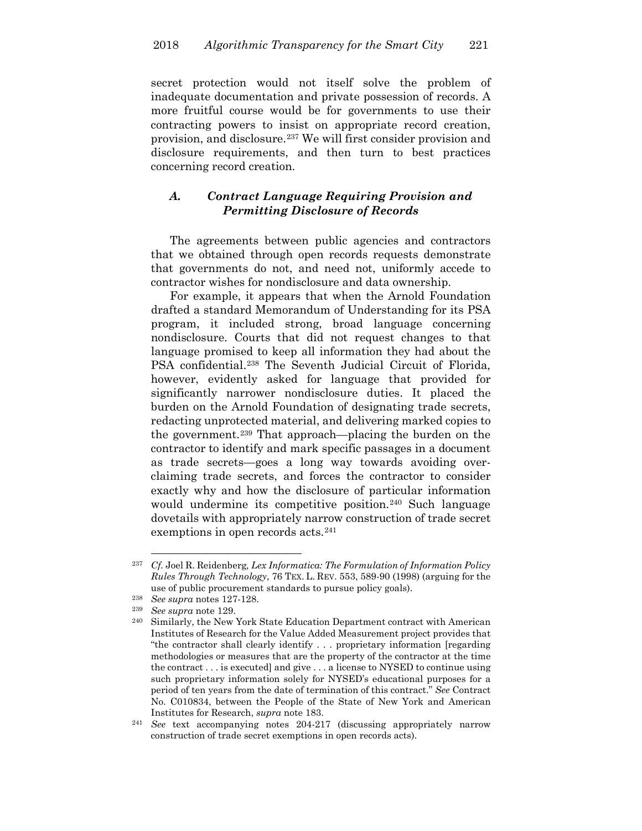secret protection would not itself solve the problem of inadequate documentation and private possession of records. A more fruitful course would be for governments to use their contracting powers to insist on appropriate record creation, provision, and disclosure.[237](#page-61-0) We will first consider provision and disclosure requirements, and then turn to best practices concerning record creation.

# *A. Contract Language Requiring Provision and Permitting Disclosure of Records*

The agreements between public agencies and contractors that we obtained through open records requests demonstrate that governments do not, and need not, uniformly accede to contractor wishes for nondisclosure and data ownership.

For example, it appears that when the Arnold Foundation drafted a standard Memorandum of Understanding for its PSA program, it included strong, broad language concerning nondisclosure. Courts that did not request changes to that language promised to keep all information they had about the PSA confidential.[238](#page-61-1) The Seventh Judicial Circuit of Florida, however, evidently asked for language that provided for significantly narrower nondisclosure duties. It placed the burden on the Arnold Foundation of designating trade secrets, redacting unprotected material, and delivering marked copies to the government.[239](#page-61-2) That approach—placing the burden on the contractor to identify and mark specific passages in a document as trade secrets—goes a long way towards avoiding overclaiming trade secrets, and forces the contractor to consider exactly why and how the disclosure of particular information would undermine its competitive position.<sup>[240](#page-61-3)</sup> Such language dovetails with appropriately narrow construction of trade secret exemptions in open records acts.<sup>[241](#page-61-4)</sup>

<span id="page-61-0"></span><sup>237</sup> *Cf.* Joel R. Reidenberg*, Lex Informatica: The Formulation of Information Policy Rules Through Technology*, 76 TEX. L. REV. 553, 589-90 (1998) (arguing for the use of public procurement standards to pursue policy goals).

<span id="page-61-1"></span><sup>238</sup> *See supra* note[s 127](#page-35-0)[-128.](#page-36-5)

<sup>239</sup> *See supra* note [129.](#page-36-4)

<span id="page-61-3"></span><span id="page-61-2"></span><sup>240</sup> Similarly, the New York State Education Department contract with American Institutes of Research for the Value Added Measurement project provides that "the contractor shall clearly identify . . . proprietary information [regarding methodologies or measures that are the property of the contractor at the time the contract  $\ldots$  is executed and give  $\ldots$  a license to NYSED to continue using such proprietary information solely for NYSED's educational purposes for a period of ten years from the date of termination of this contract." *See* Contract No. C010834, between the People of the State of New York and American Institutes for Research, *supra* note [183.](#page-48-3)

<span id="page-61-4"></span><sup>241</sup> *See* text accompanying notes [204-](#page-54-7)[217](#page-56-5) (discussing appropriately narrow construction of trade secret exemptions in open records acts).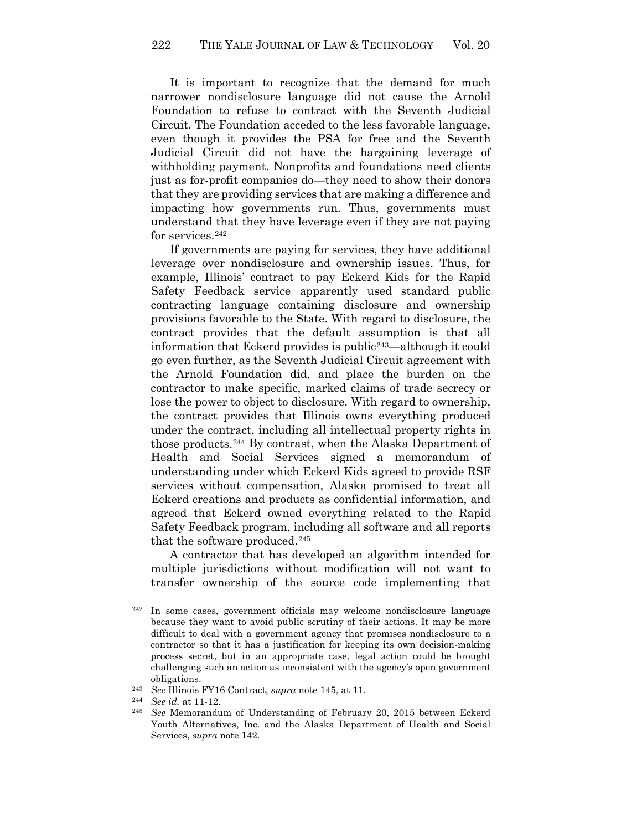It is important to recognize that the demand for much narrower nondisclosure language did not cause the Arnold Foundation to refuse to contract with the Seventh Judicial Circuit. The Foundation acceded to the less favorable language, even though it provides the PSA for free and the Seventh Judicial Circuit did not have the bargaining leverage of withholding payment. Nonprofits and foundations need clients just as for-profit companies do—they need to show their donors that they are providing services that are making a difference and impacting how governments run. Thus, governments must understand that they have leverage even if they are not paying for services.<sup>[242](#page-62-0)</sup>

If governments are paying for services, they have additional leverage over nondisclosure and ownership issues. Thus, for example, Illinois' contract to pay Eckerd Kids for the Rapid Safety Feedback service apparently used standard public contracting language containing disclosure and ownership provisions favorable to the State. With regard to disclosure, the contract provides that the default assumption is that all information that Eckerd provides is public[243—](#page-62-1)although it could go even further, as the Seventh Judicial Circuit agreement with the Arnold Foundation did, and place the burden on the contractor to make specific, marked claims of trade secrecy or lose the power to object to disclosure. With regard to ownership, the contract provides that Illinois owns everything produced under the contract, including all intellectual property rights in those products.[244](#page-62-2) By contrast, when the Alaska Department of Health and Social Services signed a memorandum of understanding under which Eckerd Kids agreed to provide RSF services without compensation, Alaska promised to treat all Eckerd creations and products as confidential information, and agreed that Eckerd owned everything related to the Rapid Safety Feedback program, including all software and all reports that the software produced.[245](#page-62-3)

A contractor that has developed an algorithm intended for multiple jurisdictions without modification will not want to transfer ownership of the source code implementing that

<span id="page-62-0"></span><sup>242</sup> In some cases, government officials may welcome nondisclosure language because they want to avoid public scrutiny of their actions. It may be more difficult to deal with a government agency that promises nondisclosure to a contractor so that it has a justification for keeping its own decision-making process secret, but in an appropriate case, legal action could be brought challenging such an action as inconsistent with the agency's open government obligations.

<span id="page-62-2"></span><span id="page-62-1"></span><sup>243</sup> *See* Illinois FY16 Contract, *supra* note [145,](#page-40-4) at 11.

<sup>244</sup> *See id.* at 11-12.

<span id="page-62-3"></span><sup>245</sup> *See* Memorandum of Understanding of February 20, 2015 between Eckerd Youth Alternatives, Inc. and the Alaska Department of Health and Social Services, *supra* note [142.](#page-40-5)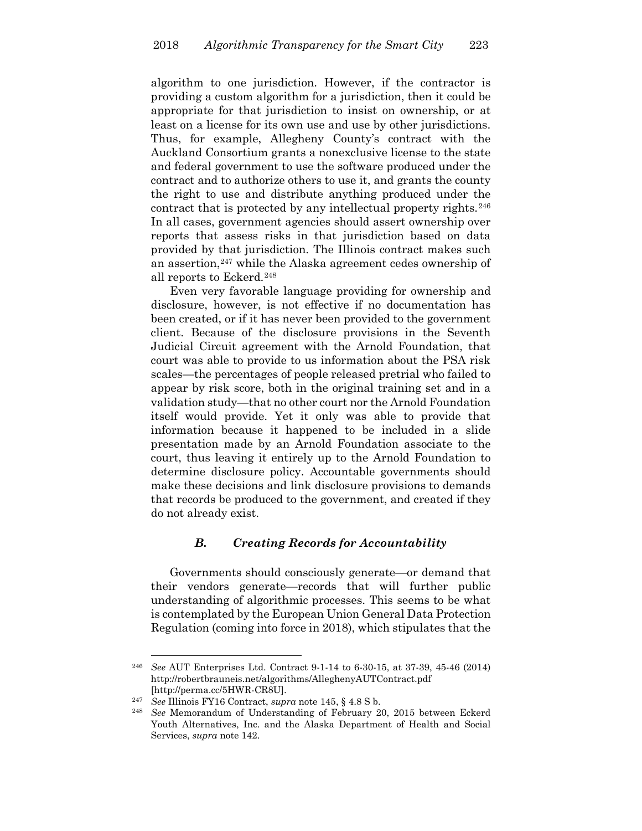algorithm to one jurisdiction. However, if the contractor is providing a custom algorithm for a jurisdiction, then it could be appropriate for that jurisdiction to insist on ownership, or at least on a license for its own use and use by other jurisdictions. Thus, for example, Allegheny County's contract with the Auckland Consortium grants a nonexclusive license to the state and federal government to use the software produced under the contract and to authorize others to use it, and grants the county the right to use and distribute anything produced under the contract that is protected by any intellectual property rights.[246](#page-63-0) In all cases, government agencies should assert ownership over reports that assess risks in that jurisdiction based on data provided by that jurisdiction. The Illinois contract makes such an assertion,[247](#page-63-1) while the Alaska agreement cedes ownership of all reports to Eckerd.[248](#page-63-2)

Even very favorable language providing for ownership and disclosure, however, is not effective if no documentation has been created, or if it has never been provided to the government client. Because of the disclosure provisions in the Seventh Judicial Circuit agreement with the Arnold Foundation, that court was able to provide to us information about the PSA risk scales—the percentages of people released pretrial who failed to appear by risk score, both in the original training set and in a validation study—that no other court nor the Arnold Foundation itself would provide. Yet it only was able to provide that information because it happened to be included in a slide presentation made by an Arnold Foundation associate to the court, thus leaving it entirely up to the Arnold Foundation to determine disclosure policy. Accountable governments should make these decisions and link disclosure provisions to demands that records be produced to the government, and created if they do not already exist.

### *B. Creating Records for Accountability*

Governments should consciously generate—or demand that their vendors generate—records that will further public understanding of algorithmic processes. This seems to be what is contemplated by the European Union General Data Protection Regulation (coming into force in 2018), which stipulates that the

<span id="page-63-0"></span><sup>246</sup> *See* AUT Enterprises Ltd. Contract 9-1-14 to 6-30-15, at 37-39, 45-46 (2014) http://robertbrauneis.net/algorithms/AlleghenyAUTContract.pdf

<span id="page-63-1"></span><sup>[</sup>http://perma.cc/5HWR-CR8U]. 247 *See* Illinois FY16 Contract, *supra* note [145,](#page-40-4) § 4.8 S b.

<span id="page-63-2"></span><sup>248</sup> *See* Memorandum of Understanding of February 20, 2015 between Eckerd Youth Alternatives, Inc. and the Alaska Department of Health and Social Services, *supra* note [142.](#page-40-5)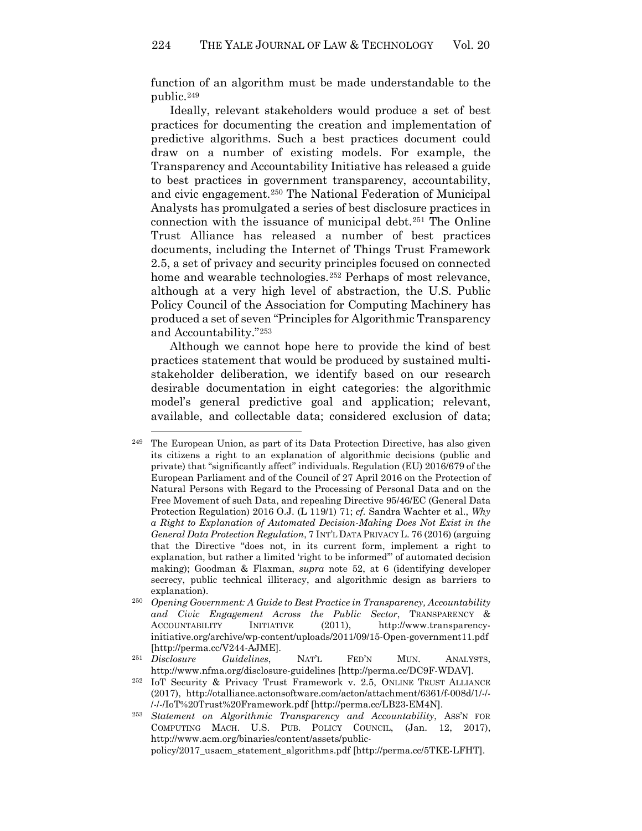function of an algorithm must be made understandable to the public.[249](#page-64-0)

Ideally, relevant stakeholders would produce a set of best practices for documenting the creation and implementation of predictive algorithms. Such a best practices document could draw on a number of existing models. For example, the Transparency and Accountability Initiative has released a guide to best practices in government transparency, accountability, and civic engagement.[250](#page-64-1) The National Federation of Municipal Analysts has promulgated a series of best disclosure practices in connection with the issuance of municipal debt.[251](#page-64-2) The Online Trust Alliance has released a number of best practices documents, including the Internet of Things Trust Framework 2.5, a set of privacy and security principles focused on connected home and wearable technologies.[252](#page-64-3) Perhaps of most relevance, although at a very high level of abstraction, the U.S. Public Policy Council of the Association for Computing Machinery has produced a set of seven "Principles for Algorithmic Transparency and Accountability."[253](#page-64-4)

<span id="page-64-5"></span>Although we cannot hope here to provide the kind of best practices statement that would be produced by sustained multistakeholder deliberation, we identify based on our research desirable documentation in eight categories: the algorithmic model's general predictive goal and application; relevant, available, and collectable data; considered exclusion of data;

<span id="page-64-0"></span><sup>249</sup> The European Union, as part of its Data Protection Directive, has also given its citizens a right to an explanation of algorithmic decisions (public and private) that "significantly affect" individuals. Regulation (EU) 2016/679 of the European Parliament and of the Council of 27 April 2016 on the Protection of Natural Persons with Regard to the Processing of Personal Data and on the Free Movement of such Data, and repealing Directive 95/46/EC (General Data Protection Regulation) 2016 O.J. (L 119/1) 71; *cf.* Sandra Wachter et al., *Why a Right to Explanation of Automated Decision-Making Does Not Exist in the General Data Protection Regulation*, 7 INT'L DATA PRIVACY L. 76 (2016) (arguing that the Directive "does not, in its current form, implement a right to explanation, but rather a limited 'right to be informed'" of automated decision making); Goodman & Flaxman, *supra* note [52,](#page-16-0) at 6 (identifying developer secrecy, public technical illiteracy, and algorithmic design as barriers to explanation).

<span id="page-64-1"></span><sup>250</sup> *Opening Government: A Guide to Best Practice in Transparency, Accountability and Civic Engagement Across the Public Sector*, TRANSPARENCY & ACCOUNTABILITY INITIATIVE (2011), http://www.transparencyinitiative.org/archive/wp-content/uploads/2011/09/15-Open-government11.pdf [http://perma.cc/V244-AJME]. 251 *Disclosure Guidelines*, NAT'L FED'N MUN. ANALYSTS,

<span id="page-64-2"></span>http://www.nfma.org/disclosure-guidelines [http://perma.cc/DC9F-WDAV].

<span id="page-64-3"></span><sup>252</sup> IoT Security & Privacy Trust Framework v. 2.5, ONLINE TRUST ALLIANCE (2017), [http://otalliance.actonsoftware.com/acton/attachment/6361/f-008d/1/-/-](http://otalliance.actonsoftware.com/acton/attachment/6361/f-008d/1/-/-/-/-/IoT%20Trust%20Framework.pdf) /-/-/IoT%20Trust%20Framework.pdf [http://perma.cc/LB23-EM4N]. 253 *Statement on Algorithmic Transparency and Accountability*, ASS'N FOR

<span id="page-64-4"></span>COMPUTING MACH. U.S. PUB. POLICY COUNCIL, (Jan. 12, 2017), [http://www.acm.org/binaries/content/assets/public](http://www.acm.org/binaries/content/assets/public-policy/2017_usacm_statement_algorithms.pdf)[policy/2017\\_usacm\\_statement\\_algorithms.pdf](http://www.acm.org/binaries/content/assets/public-policy/2017_usacm_statement_algorithms.pdf) [http://perma.cc/5TKE-LFHT].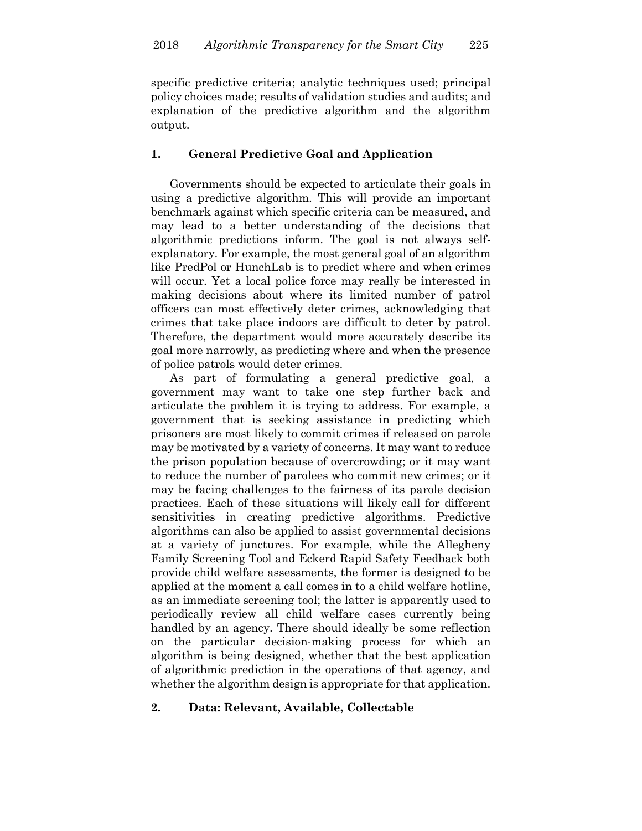specific predictive criteria; analytic techniques used; principal policy choices made; results of validation studies and audits; and explanation of the predictive algorithm and the algorithm output.

## **1. General Predictive Goal and Application**

Governments should be expected to articulate their goals in using a predictive algorithm. This will provide an important benchmark against which specific criteria can be measured, and may lead to a better understanding of the decisions that algorithmic predictions inform. The goal is not always selfexplanatory. For example, the most general goal of an algorithm like PredPol or HunchLab is to predict where and when crimes will occur. Yet a local police force may really be interested in making decisions about where its limited number of patrol officers can most effectively deter crimes, acknowledging that crimes that take place indoors are difficult to deter by patrol. Therefore, the department would more accurately describe its goal more narrowly, as predicting where and when the presence of police patrols would deter crimes.

As part of formulating a general predictive goal, a government may want to take one step further back and articulate the problem it is trying to address. For example, a government that is seeking assistance in predicting which prisoners are most likely to commit crimes if released on parole may be motivated by a variety of concerns. It may want to reduce the prison population because of overcrowding; or it may want to reduce the number of parolees who commit new crimes; or it may be facing challenges to the fairness of its parole decision practices. Each of these situations will likely call for different sensitivities in creating predictive algorithms. Predictive algorithms can also be applied to assist governmental decisions at a variety of junctures. For example, while the Allegheny Family Screening Tool and Eckerd Rapid Safety Feedback both provide child welfare assessments, the former is designed to be applied at the moment a call comes in to a child welfare hotline, as an immediate screening tool; the latter is apparently used to periodically review all child welfare cases currently being handled by an agency. There should ideally be some reflection on the particular decision-making process for which an algorithm is being designed, whether that the best application of algorithmic prediction in the operations of that agency, and whether the algorithm design is appropriate for that application.

### **2. Data: Relevant, Available, Collectable**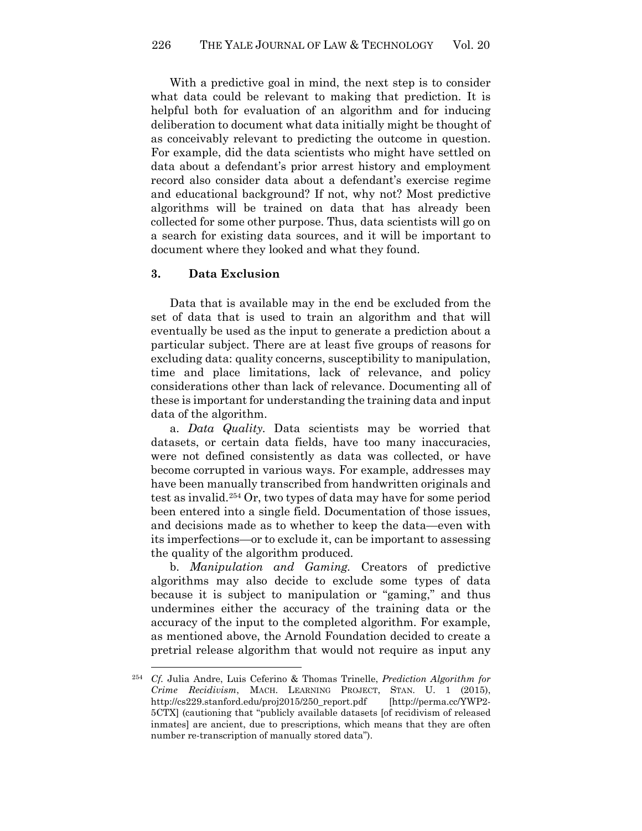With a predictive goal in mind, the next step is to consider what data could be relevant to making that prediction. It is helpful both for evaluation of an algorithm and for inducing deliberation to document what data initially might be thought of as conceivably relevant to predicting the outcome in question. For example, did the data scientists who might have settled on data about a defendant's prior arrest history and employment record also consider data about a defendant's exercise regime and educational background? If not, why not? Most predictive algorithms will be trained on data that has already been collected for some other purpose. Thus, data scientists will go on a search for existing data sources, and it will be important to document where they looked and what they found.

### **3. Data Exclusion**

 $\overline{a}$ 

Data that is available may in the end be excluded from the set of data that is used to train an algorithm and that will eventually be used as the input to generate a prediction about a particular subject. There are at least five groups of reasons for excluding data: quality concerns, susceptibility to manipulation, time and place limitations, lack of relevance, and policy considerations other than lack of relevance. Documenting all of these is important for understanding the training data and input data of the algorithm.

a. *Data Quality.* Data scientists may be worried that datasets, or certain data fields, have too many inaccuracies, were not defined consistently as data was collected, or have become corrupted in various ways. For example, addresses may have been manually transcribed from handwritten originals and test as invalid.[254](#page-66-0) Or, two types of data may have for some period been entered into a single field. Documentation of those issues, and decisions made as to whether to keep the data—even with its imperfections—or to exclude it, can be important to assessing the quality of the algorithm produced.

b. *Manipulation and Gaming.* Creators of predictive algorithms may also decide to exclude some types of data because it is subject to manipulation or "gaming," and thus undermines either the accuracy of the training data or the accuracy of the input to the completed algorithm. For example, as mentioned above, the Arnold Foundation decided to create a pretrial release algorithm that would not require as input any

<span id="page-66-0"></span><sup>254</sup> *Cf.* Julia Andre, Luis Ceferino & Thomas Trinelle, *Prediction Algorithm for Crime Recidivism*, MACH. LEARNING PROJECT, STAN. U. 1 (2015), http://cs229.stanford.edu/proj2015/250\_report.pdf [http://perma.cc/YWP2- 5CTX] (cautioning that "publicly available datasets [of recidivism of released inmates] are ancient, due to prescriptions, which means that they are often number re-transcription of manually stored data").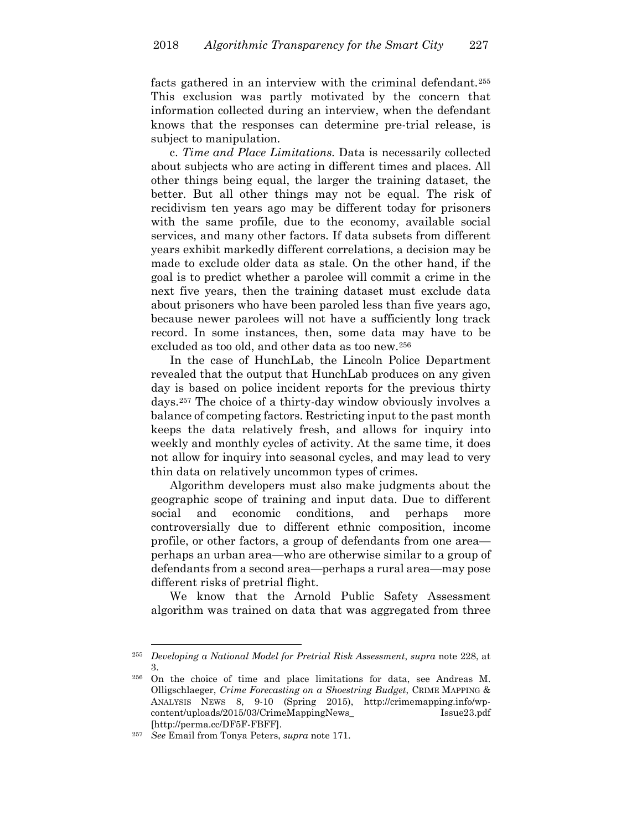facts gathered in an interview with the criminal defendant.<sup>[255](#page-67-0)</sup> This exclusion was partly motivated by the concern that information collected during an interview, when the defendant knows that the responses can determine pre-trial release, is subject to manipulation.

c. *Time and Place Limitations.* Data is necessarily collected about subjects who are acting in different times and places. All other things being equal, the larger the training dataset, the better. But all other things may not be equal. The risk of recidivism ten years ago may be different today for prisoners with the same profile, due to the economy, available social services, and many other factors. If data subsets from different years exhibit markedly different correlations, a decision may be made to exclude older data as stale. On the other hand, if the goal is to predict whether a parolee will commit a crime in the next five years, then the training dataset must exclude data about prisoners who have been paroled less than five years ago, because newer parolees will not have a sufficiently long track record. In some instances, then, some data may have to be excluded as too old, and other data as too new.[256](#page-67-1)

In the case of HunchLab, the Lincoln Police Department revealed that the output that HunchLab produces on any given day is based on police incident reports for the previous thirty days.[257](#page-67-2) The choice of a thirty-day window obviously involves a balance of competing factors. Restricting input to the past month keeps the data relatively fresh, and allows for inquiry into weekly and monthly cycles of activity. At the same time, it does not allow for inquiry into seasonal cycles, and may lead to very thin data on relatively uncommon types of crimes.

Algorithm developers must also make judgments about the geographic scope of training and input data. Due to different social and economic conditions, and perhaps more controversially due to different ethnic composition, income profile, or other factors, a group of defendants from one area perhaps an urban area—who are otherwise similar to a group of defendants from a second area—perhaps a rural area—may pose different risks of pretrial flight.

We know that the Arnold Public Safety Assessment algorithm was trained on data that was aggregated from three

<span id="page-67-0"></span><sup>255</sup> *Developing a National Model for Pretrial Risk Assessment*, *supra* note [228,](#page-59-5) at 3.

<span id="page-67-1"></span><sup>256</sup> On the choice of time and place limitations for data, see Andreas M. Olligschlaeger, *Crime Forecasting on a Shoestring Budget*, CRIME MAPPING & ANALYSIS NEWS 8, 9-10 (Spring 2015), http://crimemapping.info/wpcontent/uploads/2015/03/CrimeMappingNews\_ Issue23.pdf [http://perma.cc/DF5F-FBFF].

<span id="page-67-2"></span><sup>257</sup> *See* Email from Tonya Peters, *supra* note [171.](#page-46-5)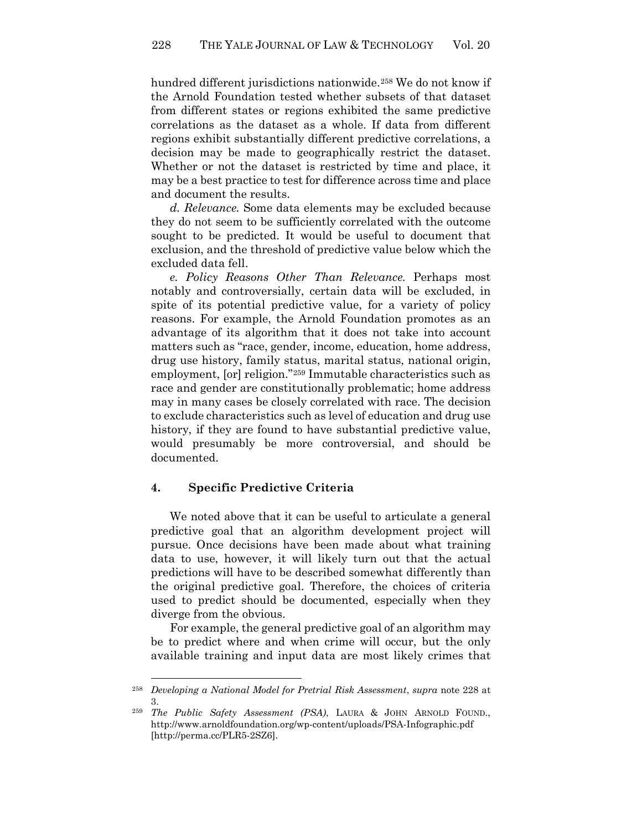hundred different jurisdictions nationwide.[258](#page-68-0) We do not know if the Arnold Foundation tested whether subsets of that dataset from different states or regions exhibited the same predictive correlations as the dataset as a whole. If data from different regions exhibit substantially different predictive correlations, a decision may be made to geographically restrict the dataset. Whether or not the dataset is restricted by time and place, it may be a best practice to test for difference across time and place and document the results.

*d. Relevance.* Some data elements may be excluded because they do not seem to be sufficiently correlated with the outcome sought to be predicted. It would be useful to document that exclusion, and the threshold of predictive value below which the excluded data fell.

*e. Policy Reasons Other Than Relevance.* Perhaps most notably and controversially, certain data will be excluded, in spite of its potential predictive value, for a variety of policy reasons. For example, the Arnold Foundation promotes as an advantage of its algorithm that it does not take into account matters such as "race, gender, income, education, home address, drug use history, family status, marital status, national origin, employment, [or] religion."[259](#page-68-1) Immutable characteristics such as race and gender are constitutionally problematic; home address may in many cases be closely correlated with race. The decision to exclude characteristics such as level of education and drug use history, if they are found to have substantial predictive value, would presumably be more controversial, and should be documented.

### **4. Specific Predictive Criteria**

 $\overline{a}$ 

We noted above that it can be useful to articulate a general predictive goal that an algorithm development project will pursue. Once decisions have been made about what training data to use, however, it will likely turn out that the actual predictions will have to be described somewhat differently than the original predictive goal. Therefore, the choices of criteria used to predict should be documented, especially when they diverge from the obvious.

For example, the general predictive goal of an algorithm may be to predict where and when crime will occur, but the only available training and input data are most likely crimes that

<span id="page-68-1"></span><span id="page-68-0"></span><sup>258</sup> *Developing a National Model for Pretrial Risk Assessment*, *supra* note [228](#page-59-5) at 3.

<sup>259</sup> *The Public Safety Assessment (PSA)*, LAURA & JOHN ARNOLD FOUND., http://www.arnoldfoundation.org/wp-content/uploads/PSA-Infographic.pdf [http://perma.cc/PLR5-2SZ6].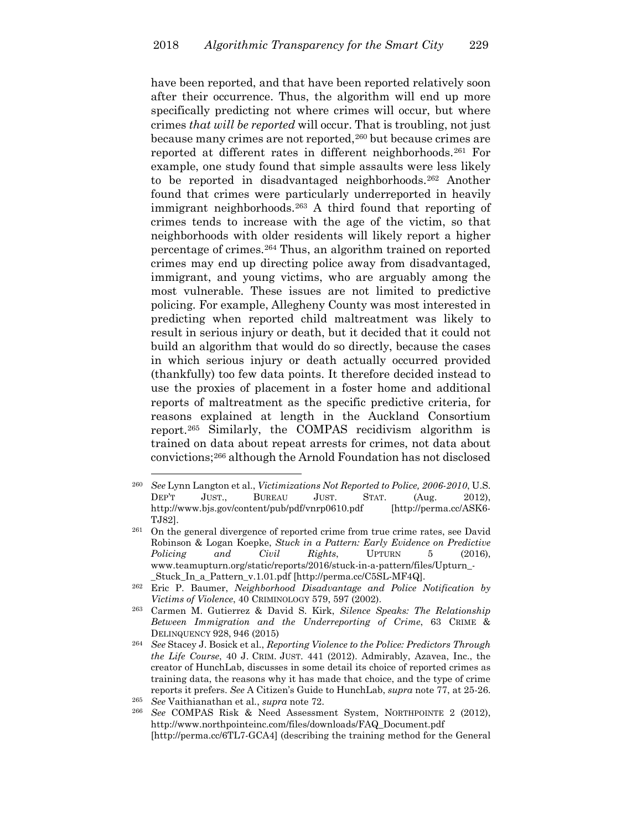have been reported, and that have been reported relatively soon after their occurrence. Thus, the algorithm will end up more specifically predicting not where crimes will occur, but where crimes *that will be reported* will occur. That is troubling, not just because many crimes are not reported,[260](#page-69-0) but because crimes are reported at different rates in different neighborhoods.[261](#page-69-1) For example, one study found that simple assaults were less likely to be reported in disadvantaged neighborhoods.[262](#page-69-2) Another found that crimes were particularly underreported in heavily immigrant neighborhoods.[263](#page-69-3) A third found that reporting of crimes tends to increase with the age of the victim, so that neighborhoods with older residents will likely report a higher percentage of crimes.[264](#page-69-4) Thus, an algorithm trained on reported crimes may end up directing police away from disadvantaged, immigrant, and young victims, who are arguably among the most vulnerable. These issues are not limited to predictive policing. For example, Allegheny County was most interested in predicting when reported child maltreatment was likely to result in serious injury or death, but it decided that it could not build an algorithm that would do so directly, because the cases in which serious injury or death actually occurred provided (thankfully) too few data points. It therefore decided instead to use the proxies of placement in a foster home and additional reports of maltreatment as the specific predictive criteria, for reasons explained at length in the Auckland Consortium report.[265](#page-69-5) Similarly, the COMPAS recidivism algorithm is trained on data about repeat arrests for crimes, not data about convictions;[266](#page-69-6) although the Arnold Foundation has not disclosed

<span id="page-69-0"></span><sup>260</sup> *See* Lynn Langton et al., *Victimizations Not Reported to Police, 2006-2010*, U.S. DEP'T JUST., BUREAU JUST. STAT. (Aug. 2012), http://www.bjs.gov/content/pub/pdf/vnrp0610.pdf [http://perma.cc/ASK6-

<span id="page-69-1"></span>TJ82]. 261 On the general divergence of reported crime from true crime rates, see David Robinson & Logan Koepke, *Stuck in a Pattern: Early Evidence on Predictive Policing and Civil Rights*, UPTURN 5 (2016), www.teamupturn.org/static/reports/2016/stuck-in-a-pattern/files/Upturn\_-

<span id="page-69-2"></span>\_Stuck\_In\_a\_Pattern\_v.1.01.pdf [http://perma.cc/C5SL-MF4Q]. 262 Eric P. Baumer, *Neighborhood Disadvantage and Police Notification by Victims of Violence*, 40 CRIMINOLOGY 579, 597 (2002).

<span id="page-69-3"></span><sup>263</sup> Carmen M. Gutierrez & David S. Kirk, *Silence Speaks: The Relationship Between Immigration and the Underreporting of Crime*, 63 CRIME & DELINQUENCY 928, 946 (2015)

<span id="page-69-4"></span><sup>264</sup> *See* Stacey J. Bosick et al., *Reporting Violence to the Police: Predictors Through the Life Course*, 40 J. CRIM. JUST. 441 (2012). Admirably, Azavea, Inc., the creator of HunchLab, discusses in some detail its choice of reported crimes as training data, the reasons why it has made that choice, and the type of crime reports it prefers. See A Citizen's Guide to HunchLab, *supra* note 77, at 25-26.<br><sup>265</sup> See Vaithianathan et al., *supra* note [72.](#page-21-0)<br><sup>266</sup> See COMPAS Risk & Need Assessment System, NORTHPOINTE 2 (2012),

<span id="page-69-6"></span><span id="page-69-5"></span>http://www.northpointeinc.com/files/downloads/FAQ\_Document.pdf [http://perma.cc/6TL7-GCA4] (describing the training method for the General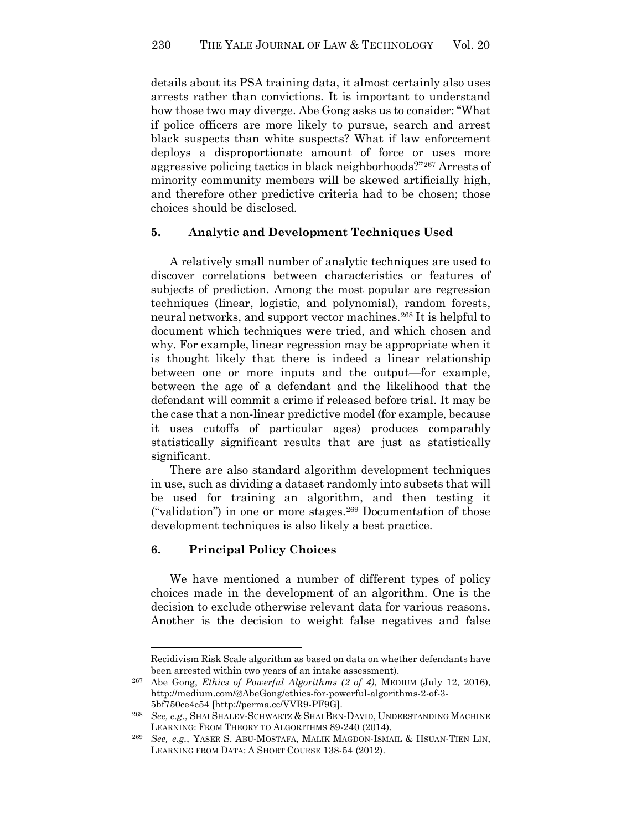details about its PSA training data, it almost certainly also uses arrests rather than convictions. It is important to understand how those two may diverge. Abe Gong asks us to consider: "What if police officers are more likely to pursue, search and arrest black suspects than white suspects? What if law enforcement deploys a disproportionate amount of force or uses more aggressive policing tactics in black neighborhoods?"[267](#page-70-0) Arrests of minority community members will be skewed artificially high, and therefore other predictive criteria had to be chosen; those choices should be disclosed.

#### **5. Analytic and Development Techniques Used**

A relatively small number of analytic techniques are used to discover correlations between characteristics or features of subjects of prediction. Among the most popular are regression techniques (linear, logistic, and polynomial), random forests, neural networks, and support vector machines.[268](#page-70-1) It is helpful to document which techniques were tried, and which chosen and why. For example, linear regression may be appropriate when it is thought likely that there is indeed a linear relationship between one or more inputs and the output—for example, between the age of a defendant and the likelihood that the defendant will commit a crime if released before trial. It may be the case that a non-linear predictive model (for example, because it uses cutoffs of particular ages) produces comparably statistically significant results that are just as statistically significant.

There are also standard algorithm development techniques in use, such as dividing a dataset randomly into subsets that will be used for training an algorithm, and then testing it ("validation") in one or more stages.[269](#page-70-2) Documentation of those development techniques is also likely a best practice.

### **6. Principal Policy Choices**

 $\overline{a}$ 

We have mentioned a number of different types of policy choices made in the development of an algorithm. One is the decision to exclude otherwise relevant data for various reasons. Another is the decision to weight false negatives and false

Recidivism Risk Scale algorithm as based on data on whether defendants have been arrested within two years of an intake assessment).

<sup>267</sup> Abe Gong, *Ethics of Powerful Algorithms (2 of 4)*, MEDIUM (July 12, 2016), http://medium.com/@AbeGong/ethics-for-powerful-algorithms-2-of-3- 5bf750ce4c54 [http://perma.cc/VVR9-PF9G].

<span id="page-70-1"></span><span id="page-70-0"></span><sup>268</sup> *See, e.g.*, SHAI SHALEV-SCHWARTZ & SHAI BEN-DAVID, UNDERSTANDING MACHINE LEARNING: FROM THEORY TO ALGORITHMS 89-240 (2014).

<span id="page-70-2"></span><sup>269</sup> *See, e.g.*, YASER S. ABU-MOSTAFA, MALIK MAGDON-ISMAIL & HSUAN-TIEN LIN, LEARNING FROM DATA: A SHORT COURSE 138-54 (2012).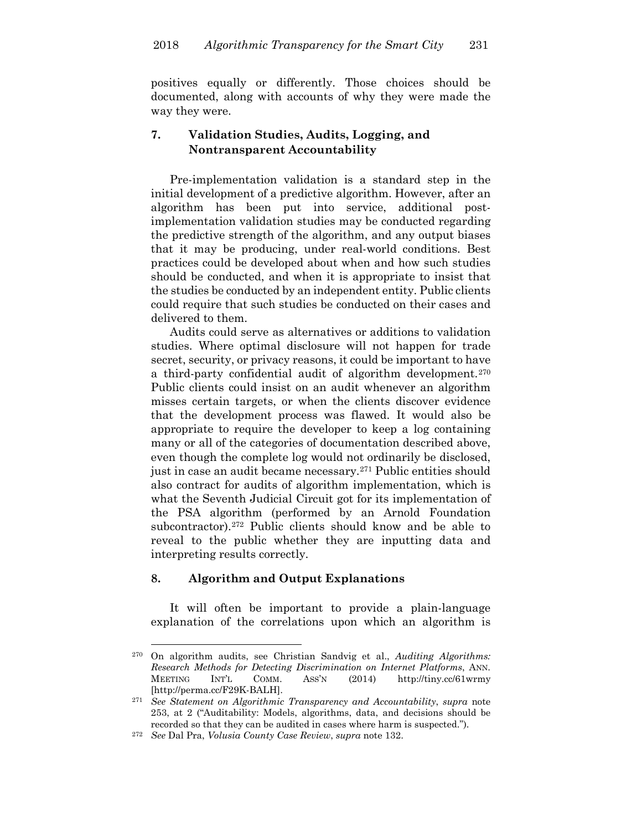positives equally or differently. Those choices should be documented, along with accounts of why they were made the way they were.

# **7. Validation Studies, Audits, Logging, and Nontransparent Accountability**

Pre-implementation validation is a standard step in the initial development of a predictive algorithm. However, after an algorithm has been put into service, additional postimplementation validation studies may be conducted regarding the predictive strength of the algorithm, and any output biases that it may be producing, under real-world conditions. Best practices could be developed about when and how such studies should be conducted, and when it is appropriate to insist that the studies be conducted by an independent entity. Public clients could require that such studies be conducted on their cases and delivered to them.

Audits could serve as alternatives or additions to validation studies. Where optimal disclosure will not happen for trade secret, security, or privacy reasons, it could be important to have a third-party confidential audit of algorithm development.[270](#page-71-0) Public clients could insist on an audit whenever an algorithm misses certain targets, or when the clients discover evidence that the development process was flawed. It would also be appropriate to require the developer to keep a log containing many or all of the categories of documentation described above, even though the complete log would not ordinarily be disclosed, just in case an audit became necessary[.271](#page-71-1) Public entities should also contract for audits of algorithm implementation, which is what the Seventh Judicial Circuit got for its implementation of the PSA algorithm (performed by an Arnold Foundation subcontractor).<sup>[272](#page-71-2)</sup> Public clients should know and be able to reveal to the public whether they are inputting data and interpreting results correctly.

# **8. Algorithm and Output Explanations**

It will often be important to provide a plain-language explanation of the correlations upon which an algorithm is

<span id="page-71-0"></span><sup>270</sup> On algorithm audits, see Christian Sandvig et al., *Auditing Algorithms: Research Methods for Detecting Discrimination on Internet Platforms*, ANN. MEETING INT'L COMM. ASS'N (2014) <http://tiny.cc/61wrmy>

<span id="page-71-1"></span><sup>[</sup>http://perma.cc/F29K-BALH]. 271 *See Statement on Algorithmic Transparency and Accountability*, *supra* note [253,](#page-64-5) at 2 ("Auditability: Models, algorithms, data, and decisions should be recorded so that they can be audited in cases where harm is suspected.").

<span id="page-71-2"></span><sup>272</sup> *See* Dal Pra, *Volusia County Case Review*, *supra* note [132.](#page-37-4)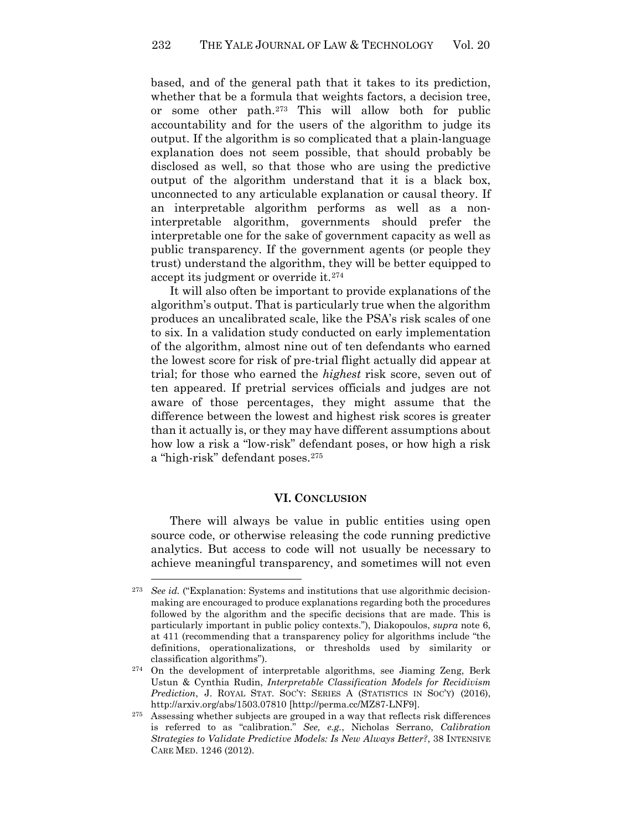based, and of the general path that it takes to its prediction, whether that be a formula that weights factors, a decision tree, or some other path.[273](#page-72-0) This will allow both for public accountability and for the users of the algorithm to judge its output. If the algorithm is so complicated that a plain-language explanation does not seem possible, that should probably be disclosed as well, so that those who are using the predictive output of the algorithm understand that it is a black box, unconnected to any articulable explanation or causal theory. If an interpretable algorithm performs as well as a noninterpretable algorithm, governments should prefer the interpretable one for the sake of government capacity as well as public transparency. If the government agents (or people they trust) understand the algorithm, they will be better equipped to accept its judgment or override it.[274](#page-72-1)

It will also often be important to provide explanations of the algorithm's output. That is particularly true when the algorithm produces an uncalibrated scale, like the PSA's risk scales of one to six. In a validation study conducted on early implementation of the algorithm, almost nine out of ten defendants who earned the lowest score for risk of pre-trial flight actually did appear at trial; for those who earned the *highest* risk score, seven out of ten appeared. If pretrial services officials and judges are not aware of those percentages, they might assume that the difference between the lowest and highest risk scores is greater than it actually is, or they may have different assumptions about how low a risk a "low-risk" defendant poses, or how high a risk a "high-risk" defendant poses.[275](#page-72-2)

## **VI. CONCLUSION**

There will always be value in public entities using open source code, or otherwise releasing the code running predictive analytics. But access to code will not usually be necessary to achieve meaningful transparency, and sometimes will not even

 $\overline{a}$ 

<span id="page-72-0"></span><sup>273</sup> *See id.* ("Explanation: Systems and institutions that use algorithmic decisionmaking are encouraged to produce explanations regarding both the procedures followed by the algorithm and the specific decisions that are made. This is particularly important in public policy contexts."), Diakopoulos, *supra* note [6,](#page-4-0) at 411 (recommending that a transparency policy for algorithms include "the definitions, operationalizations, or thresholds used by similarity or classification algorithms").

<span id="page-72-1"></span> $274$  On the development of interpretable algorithms, see Jiaming Zeng, Berk Ustun & Cynthia Rudin, *Interpretable Classification Models for Recidivism Prediction*, J. ROYAL STAT. SOC'Y: SERIES A (STATISTICS IN SOC'Y) (2016), http://arxiv.org/abs/1503.07810 [http://perma.cc/MZ87-LNF9].<br>Assessing whether subjects are grouped in a way that reflects risk differences

<span id="page-72-2"></span>is referred to as "calibration." *See, e.g.*, Nicholas Serrano, *Calibration Strategies to Validate Predictive Models: Is New Always Better?*, 38 INTENSIVE CARE MED. 1246 (2012).